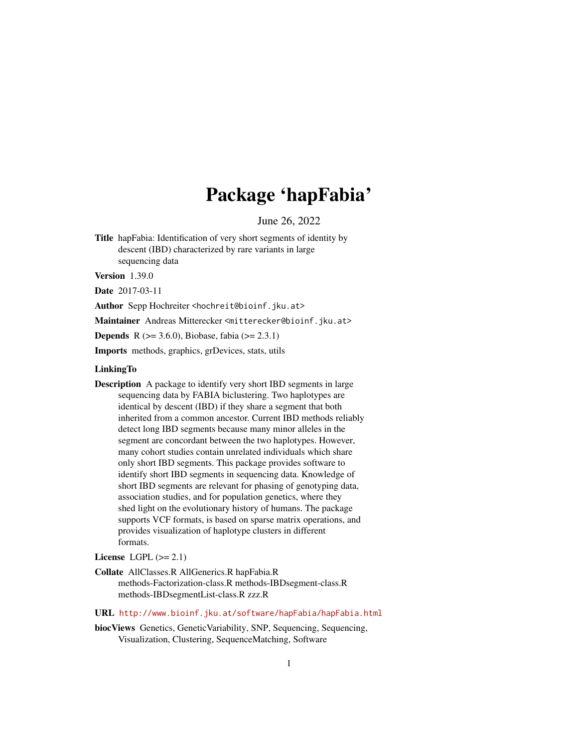# Package 'hapFabia'

June 26, 2022

Title hapFabia: Identification of very short segments of identity by descent (IBD) characterized by rare variants in large sequencing data

Version 1.39.0

Date 2017-03-11

Author Sepp Hochreiter <hochreit@bioinf.jku.at>

Maintainer Andreas Mitterecker <mitterecker@bioinf.jku.at>

**Depends** R ( $>= 3.6.0$ ), Biobase, fabia ( $>= 2.3.1$ )

Imports methods, graphics, grDevices, stats, utils

# LinkingTo

Description A package to identify very short IBD segments in large sequencing data by FABIA biclustering. Two haplotypes are identical by descent (IBD) if they share a segment that both inherited from a common ancestor. Current IBD methods reliably detect long IBD segments because many minor alleles in the segment are concordant between the two haplotypes. However, many cohort studies contain unrelated individuals which share only short IBD segments. This package provides software to identify short IBD segments in sequencing data. Knowledge of short IBD segments are relevant for phasing of genotyping data, association studies, and for population genetics, where they shed light on the evolutionary history of humans. The package supports VCF formats, is based on sparse matrix operations, and provides visualization of haplotype clusters in different formats.

# License LGPL  $(>= 2.1)$

- Collate AllClasses.R AllGenerics.R hapFabia.R methods-Factorization-class.R methods-IBDsegment-class.R methods-IBDsegmentList-class.R zzz.R
- URL <http://www.bioinf.jku.at/software/hapFabia/hapFabia.html>
- biocViews Genetics, GeneticVariability, SNP, Sequencing, Sequencing, Visualization, Clustering, SequenceMatching, Software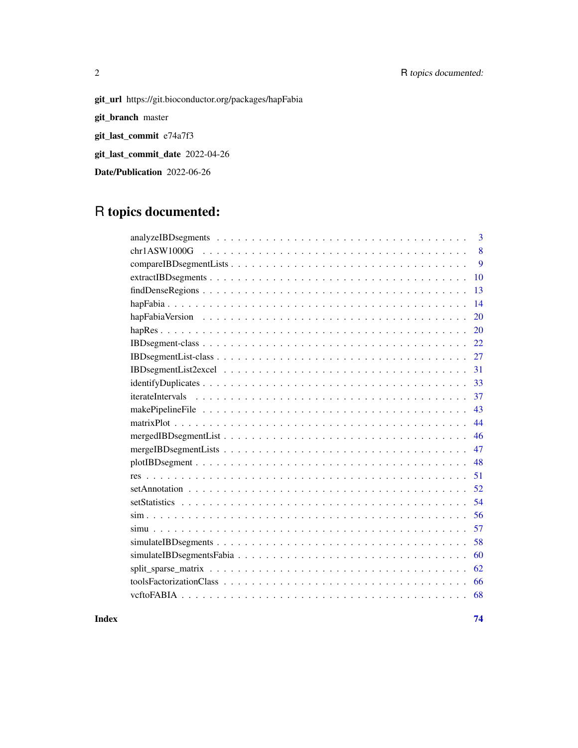# 2 R topics documented:

git\_url https://git.bioconductor.org/packages/hapFabia

git\_branch master

git\_last\_commit e74a7f3

git\_last\_commit\_date 2022-04-26

Date/Publication 2022-06-26

# R topics documented:

| 3  |
|----|
| 8  |
| 9  |
| 10 |
| 13 |
| 14 |
| 20 |
| 20 |
| 22 |
| 27 |
| 31 |
| 33 |
| 37 |
| 43 |
| 44 |
| 46 |
| 47 |
| 48 |
| 51 |
| 52 |
| 54 |
| 56 |
| 57 |
| 58 |
| 60 |
| 62 |
| 66 |
| 68 |

**Index** [74](#page-73-0)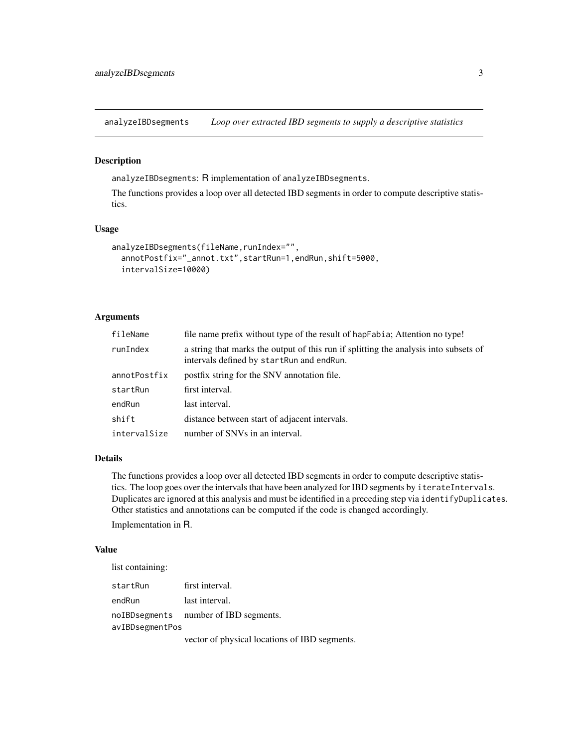<span id="page-2-1"></span><span id="page-2-0"></span>analyzeIBDsegments *Loop over extracted IBD segments to supply a descriptive statistics*

# Description

analyzeIBDsegments: R implementation of analyzeIBDsegments.

The functions provides a loop over all detected IBD segments in order to compute descriptive statistics.

# Usage

```
analyzeIBDsegments(fileName, runIndex="",
  annotPostfix="_annot.txt",startRun=1,endRun,shift=5000,
  intervalSize=10000)
```
# Arguments

| fileName     | file name prefix without type of the result of hap Fabia; Attention no type!                                                      |
|--------------|-----------------------------------------------------------------------------------------------------------------------------------|
| runIndex     | a string that marks the output of this run if splitting the analysis into subsets of<br>intervals defined by startRun and endRun. |
| annotPostfix | postfix string for the SNV annotation file.                                                                                       |
| startRun     | first interval.                                                                                                                   |
| endRun       | last interval.                                                                                                                    |
| shift        | distance between start of adjacent intervals.                                                                                     |
| intervalSize | number of SNVs in an interval.                                                                                                    |

# Details

The functions provides a loop over all detected IBD segments in order to compute descriptive statistics. The loop goes over the intervals that have been analyzed for IBD segments by iterateIntervals. Duplicates are ignored at this analysis and must be identified in a preceding step via identifyDuplicates. Other statistics and annotations can be computed if the code is changed accordingly.

Implementation in R.

# Value

list containing:

| startRun        | first interval.                       |
|-----------------|---------------------------------------|
| endRun          | last interval.                        |
|                 | noIBDsegments number of IBD segments. |
| avIBDsegmentPos |                                       |
|                 |                                       |

vector of physical locations of IBD segments.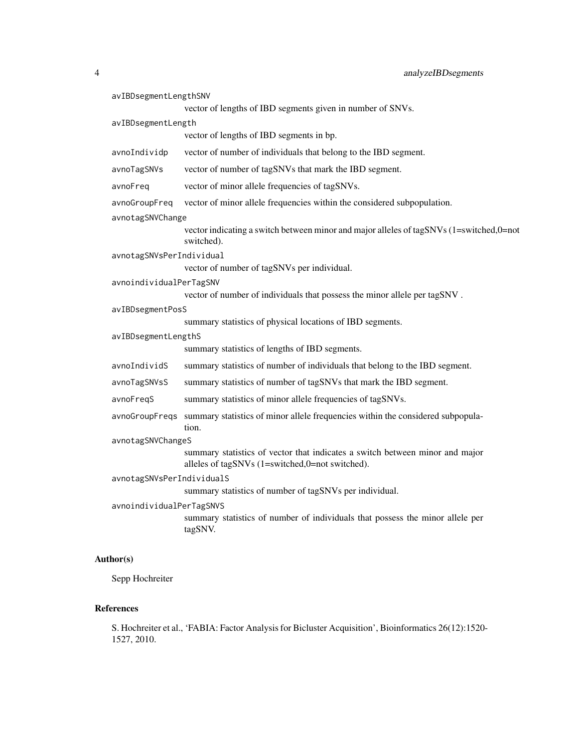| avIBDsegmentLengthSNV     |                                                                                                                                 |
|---------------------------|---------------------------------------------------------------------------------------------------------------------------------|
|                           | vector of lengths of IBD segments given in number of SNVs.                                                                      |
| avIBDsegmentLength        |                                                                                                                                 |
|                           | vector of lengths of IBD segments in bp.                                                                                        |
| avnoIndividp              | vector of number of individuals that belong to the IBD segment.                                                                 |
| avnoTagSNVs               | vector of number of tagSNVs that mark the IBD segment.                                                                          |
| avnoFreg                  | vector of minor allele frequencies of tagSNVs.                                                                                  |
| avnoGroupFreq             | vector of minor allele frequencies within the considered subpopulation.                                                         |
| avnotagSNVChange          |                                                                                                                                 |
|                           | vector indicating a switch between minor and major alleles of tagSNVs (1=switched,0=not<br>switched).                           |
| avnotagSNVsPerIndividual  |                                                                                                                                 |
|                           | vector of number of tagSNVs per individual.                                                                                     |
| avnoindividualPerTagSNV   |                                                                                                                                 |
|                           | vector of number of individuals that possess the minor allele per tagSNV.                                                       |
| avIBDsegmentPosS          |                                                                                                                                 |
| avIBDsegmentLengthS       | summary statistics of physical locations of IBD segments.                                                                       |
|                           | summary statistics of lengths of IBD segments.                                                                                  |
| avnoIndividS              | summary statistics of number of individuals that belong to the IBD segment.                                                     |
| avnoTagSNVsS              | summary statistics of number of tagSNVs that mark the IBD segment.                                                              |
| avnoFreqS                 | summary statistics of minor allele frequencies of tagSNVs.                                                                      |
| avnoGroupFreqs            | summary statistics of minor allele frequencies within the considered subpopula-<br>tion.                                        |
| avnotagSNVChangeS         |                                                                                                                                 |
|                           | summary statistics of vector that indicates a switch between minor and major<br>alleles of tagSNVs (1=switched,0=not switched). |
| avnotagSNVsPerIndividualS |                                                                                                                                 |
|                           | summary statistics of number of tagSNVs per individual.                                                                         |
| avnoindividualPerTagSNVS  |                                                                                                                                 |
|                           | summary statistics of number of individuals that possess the minor allele per<br>tagSNV.                                        |
|                           |                                                                                                                                 |

# Author(s)

Sepp Hochreiter

# References

S. Hochreiter et al., 'FABIA: Factor Analysis for Bicluster Acquisition', Bioinformatics 26(12):1520- 1527, 2010.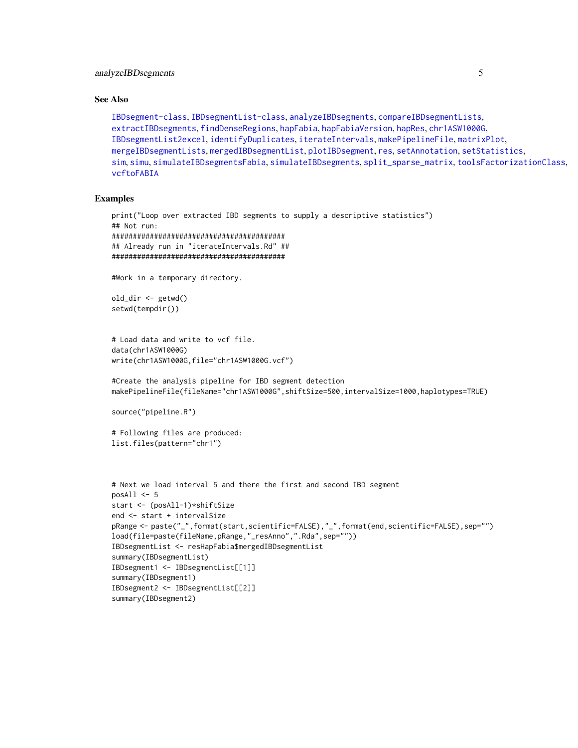# See Also

```
IBDsegment-class, IBDsegmentList-class, analyzeIBDsegments, compareIBDsegmentLists,
extractIBDsegments, findDenseRegions, hapFabia, hapFabiaVersion, hapRes, chr1ASW1000G,
IBDsegmentList2excel, identifyDuplicates, iterateIntervals, makePipelineFile, matrixPlot,
mergeIBDsegmentLists, mergedIBDsegmentList, plotIBDsegment, res, setAnnotation, setStatistics,
sim, simu, simulateIBDsegmentsFabia, simulateIBDsegments, split_sparse_matrix, toolsFactorizationClass,
vcftoFABIA
```
# Examples

```
print("Loop over extracted IBD segments to supply a descriptive statistics")
## Not run:
#########################################
## Already run in "iterateIntervals.Rd" ##
#########################################
#Work in a temporary directory.
old_dir <- getwd()
setwd(tempdir())
# Load data and write to vcf file.
data(chr1ASW1000G)
write(chr1ASW1000G,file="chr1ASW1000G.vcf")
#Create the analysis pipeline for IBD segment detection
makePipelineFile(fileName="chr1ASW1000G",shiftSize=500,intervalSize=1000,haplotypes=TRUE)
source("pipeline.R")
# Following files are produced:
list.files(pattern="chr1")
# Next we load interval 5 and there the first and second IBD segment
posAll \leftarrow 5start <- (posAll-1)*shiftSize
end <- start + intervalSize
pRange <- paste("_",format(start,scientific=FALSE),"_",format(end,scientific=FALSE),sep="")
load(file=paste(fileName,pRange,"_resAnno",".Rda",sep=""))
IBDsegmentList <- resHapFabia$mergedIBDsegmentList
summary(IBDsegmentList)
IBDsegment1 <- IBDsegmentList[[1]]
summary(IBDsegment1)
IBDsegment2 <- IBDsegmentList[[2]]
summary(IBDsegment2)
```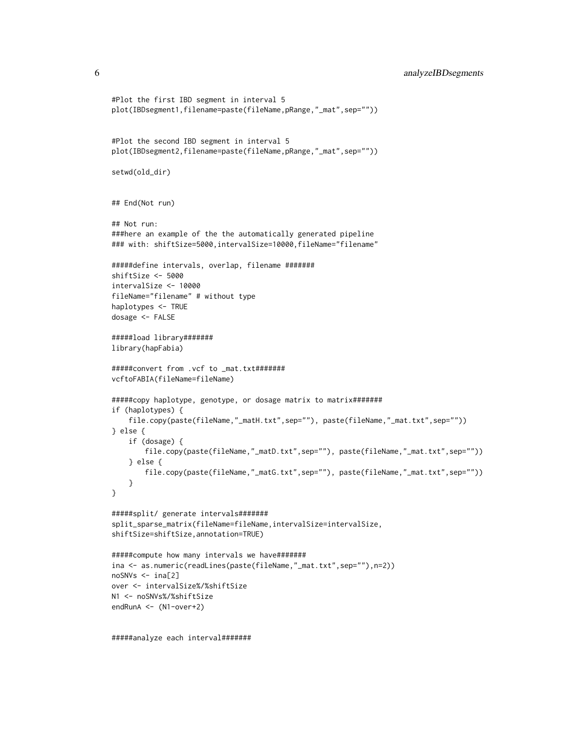```
#Plot the first IBD segment in interval 5
plot(IBDsegment1,filename=paste(fileName,pRange,"_mat",sep=""))
#Plot the second IBD segment in interval 5
plot(IBDsegment2,filename=paste(fileName,pRange,"_mat",sep=""))
setwd(old_dir)
## End(Not run)
## Not run:
###here an example of the the automatically generated pipeline
### with: shiftSize=5000,intervalSize=10000,fileName="filename"
#####define intervals, overlap, filename #######
shiftSize <- 5000
intervalSize <- 10000
fileName="filename" # without type
haplotypes <- TRUE
dosage <- FALSE
#####load library#######
library(hapFabia)
#####convert from .vcf to _mat.txt#######
vcftoFABIA(fileName=fileName)
#####copy haplotype, genotype, or dosage matrix to matrix#######
if (haplotypes) {
    file.copy(paste(fileName,"_matH.txt",sep=""), paste(fileName,"_mat.txt",sep=""))
} else {
   if (dosage) {
       file.copy(paste(fileName,"_matD.txt",sep=""), paste(fileName,"_mat.txt",sep=""))
    } else {
       file.copy(paste(fileName,"_matG.txt",sep=""), paste(fileName,"_mat.txt",sep=""))
    }
}
#####split/ generate intervals#######
split_sparse_matrix(fileName=fileName,intervalSize=intervalSize,
shiftSize=shiftSize,annotation=TRUE)
#####compute how many intervals we have#######
ina <- as.numeric(readLines(paste(fileName,"_mat.txt",sep=""),n=2))
noSNVs <- ina[2]
over <- intervalSize%/%shiftSize
N1 <- noSNVs%/%shiftSize
endRunA <- (N1-over+2)
```
#####analyze each interval#######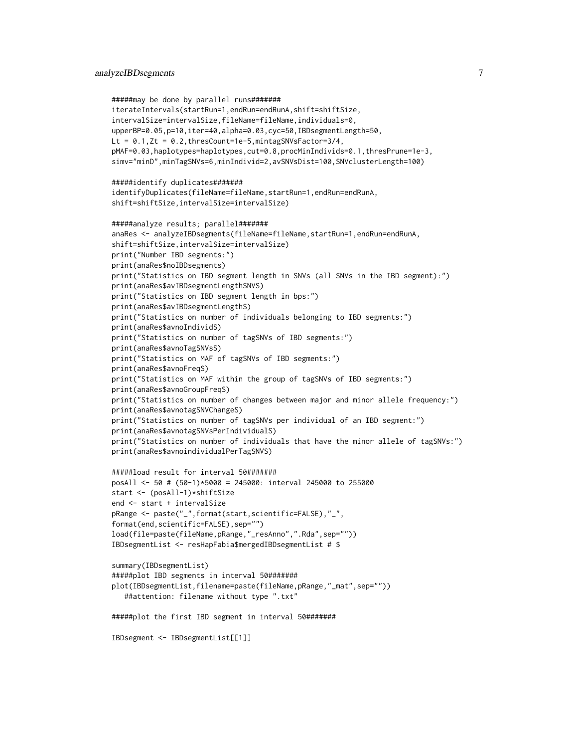# analyzeIBDsegments 7

```
#####may be done by parallel runs#######
iterateIntervals(startRun=1,endRun=endRunA,shift=shiftSize,
intervalSize=intervalSize,fileName=fileName,individuals=0,
upperBP=0.05,p=10,iter=40,alpha=0.03,cyc=50,IBDsegmentLength=50,
Lt = 0.1, Zt = 0.2, thresCount=1e-5, mintagSNVsFactor=3/4,
pMAF=0.03,haplotypes=haplotypes,cut=0.8,procMinIndivids=0.1,thresPrune=1e-3,
simv="minD",minTagSNVs=6,minIndivid=2,avSNVsDist=100,SNVclusterLength=100)
#####identify duplicates#######
identifyDuplicates(fileName=fileName,startRun=1,endRun=endRunA,
shift=shiftSize,intervalSize=intervalSize)
#####analyze results; parallel#######
anaRes <- analyzeIBDsegments(fileName=fileName,startRun=1,endRun=endRunA,
shift=shiftSize,intervalSize=intervalSize)
print("Number IBD segments:")
print(anaRes$noIBDsegments)
print("Statistics on IBD segment length in SNVs (all SNVs in the IBD segment):")
print(anaRes$avIBDsegmentLengthSNVS)
print("Statistics on IBD segment length in bps:")
print(anaRes$avIBDsegmentLengthS)
print("Statistics on number of individuals belonging to IBD segments:")
print(anaRes$avnoIndividS)
print("Statistics on number of tagSNVs of IBD segments:")
print(anaRes$avnoTagSNVsS)
print("Statistics on MAF of tagSNVs of IBD segments:")
print(anaRes$avnoFreqS)
print("Statistics on MAF within the group of tagSNVs of IBD segments:")
print(anaRes$avnoGroupFreqS)
print("Statistics on number of changes between major and minor allele frequency:")
print(anaRes$avnotagSNVChangeS)
print("Statistics on number of tagSNVs per individual of an IBD segment:")
print(anaRes$avnotagSNVsPerIndividualS)
print("Statistics on number of individuals that have the minor allele of tagSNVs:")
print(anaRes$avnoindividualPerTagSNVS)
#####load result for interval 50#######
posAll <- 50 # (50-1)*5000 = 245000: interval 245000 to 255000
start <- (posAll-1)*shiftSize
end <- start + intervalSize
pRange <- paste("_",format(start,scientific=FALSE),"_",
format(end,scientific=FALSE),sep="")
load(file=paste(fileName,pRange,"_resAnno",".Rda",sep=""))
IBDsegmentList <- resHapFabia$mergedIBDsegmentList # $
summary(IBDsegmentList)
#####plot IBD segments in interval 50#######
plot(IBDsegmentList,filename=paste(fileName,pRange,"_mat",sep=""))
   ##attention: filename without type ".txt"
#####plot the first IBD segment in interval 50#######
IBDsegment <- IBDsegmentList[[1]]
```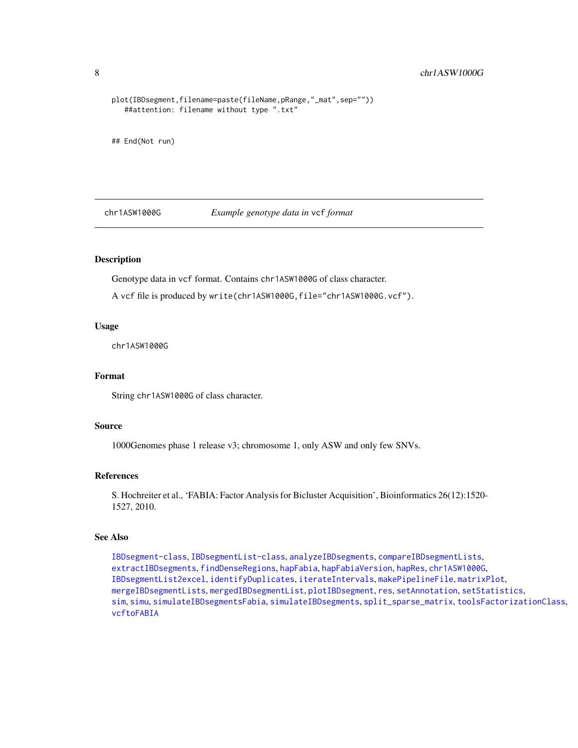```
plot(IBDsegment,filename=paste(fileName,pRange,"_mat",sep=""))
   ##attention: filename without type ".txt"
## End(Not run)
```
<span id="page-7-1"></span>chr1ASW1000G *Example genotype data in* vcf *format*

# Description

Genotype data in vcf format. Contains chr1ASW1000G of class character.

A vcf file is produced by write(chr1ASW1000G,file="chr1ASW1000G.vcf").

#### Usage

chr1ASW1000G

#### Format

String chr1ASW1000G of class character.

# Source

1000Genomes phase 1 release v3; chromosome 1, only ASW and only few SNVs.

# References

S. Hochreiter et al., 'FABIA: Factor Analysis for Bicluster Acquisition', Bioinformatics 26(12):1520- 1527, 2010.

# See Also

[IBDsegment-class](#page-21-1), [IBDsegmentList-class](#page-26-1), [analyzeIBDsegments](#page-2-1), [compareIBDsegmentLists](#page-8-1), [extractIBDsegments](#page-9-1), [findDenseRegions](#page-12-1), [hapFabia](#page-13-1), [hapFabiaVersion](#page-19-1), [hapRes](#page-19-2), [chr1ASW1000G](#page-7-1), [IBDsegmentList2excel](#page-30-1), [identifyDuplicates](#page-32-1), [iterateIntervals](#page-36-1), [makePipelineFile](#page-42-1), [matrixPlot](#page-43-1), [mergeIBDsegmentLists](#page-46-1), [mergedIBDsegmentList](#page-45-1), [plotIBDsegment](#page-47-1), [res](#page-50-1), [setAnnotation](#page-51-1), [setStatistics](#page-53-1), [sim](#page-55-1), [simu](#page-56-1), [simulateIBDsegmentsFabia](#page-59-1), [simulateIBDsegments](#page-57-1), [split\\_sparse\\_matrix](#page-61-1), [toolsFactorizationClass](#page-65-1), [vcftoFABIA](#page-67-1)

<span id="page-7-0"></span>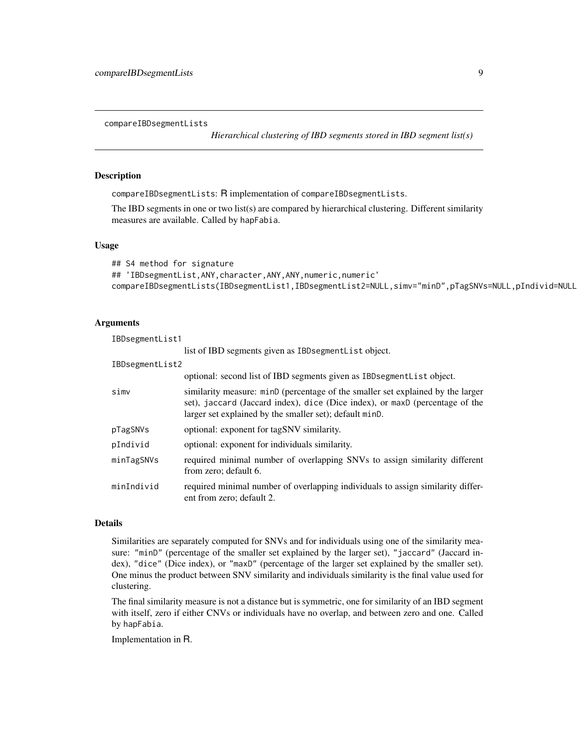<span id="page-8-1"></span><span id="page-8-0"></span>compareIBDsegmentLists

*Hierarchical clustering of IBD segments stored in IBD segment list(s)*

# Description

compareIBDsegmentLists: R implementation of compareIBDsegmentLists.

The IBD segments in one or two list(s) are compared by hierarchical clustering. Different similarity measures are available. Called by hapFabia.

#### Usage

```
## S4 method for signature
## 'IBDsegmentList, ANY, character, ANY, ANY, numeric, numeric'
compareIBDsegmentLists(IBDsegmentList1,IBDsegmentList2=NULL,simv="minD",pTagSNVs=NULL,pIndivid=NULL
```
# **Arguments**

| IBDsegmentList1 |                                                                                                                                                                                                                            |  |
|-----------------|----------------------------------------------------------------------------------------------------------------------------------------------------------------------------------------------------------------------------|--|
|                 | list of IBD segments given as IBD segment List object.                                                                                                                                                                     |  |
| IBDsegmentList2 |                                                                                                                                                                                                                            |  |
|                 | optional: second list of IBD segments given as IBD segment List object.                                                                                                                                                    |  |
| simv            | similarity measure: minD (percentage of the smaller set explained by the larger<br>set), jaccard (Jaccard index), dice (Dice index), or maxD (percentage of the<br>larger set explained by the smaller set); default minD. |  |
| pTagSNVs        | optional: exponent for tagSNV similarity.                                                                                                                                                                                  |  |
| pIndivid        | optional: exponent for individuals similarity.                                                                                                                                                                             |  |
| minTagSNVs      | required minimal number of overlapping SNVs to assign similarity different<br>from zero; default 6.                                                                                                                        |  |
| minIndivid      | required minimal number of overlapping individuals to assign similarity differ-<br>ent from zero; default 2.                                                                                                               |  |

#### Details

Similarities are separately computed for SNVs and for individuals using one of the similarity measure: "minD" (percentage of the smaller set explained by the larger set), "jaccard" (Jaccard index), "dice" (Dice index), or "maxD" (percentage of the larger set explained by the smaller set). One minus the product between SNV similarity and individuals similarity is the final value used for clustering.

The final similarity measure is not a distance but is symmetric, one for similarity of an IBD segment with itself, zero if either CNVs or individuals have no overlap, and between zero and one. Called by hapFabia.

Implementation in R.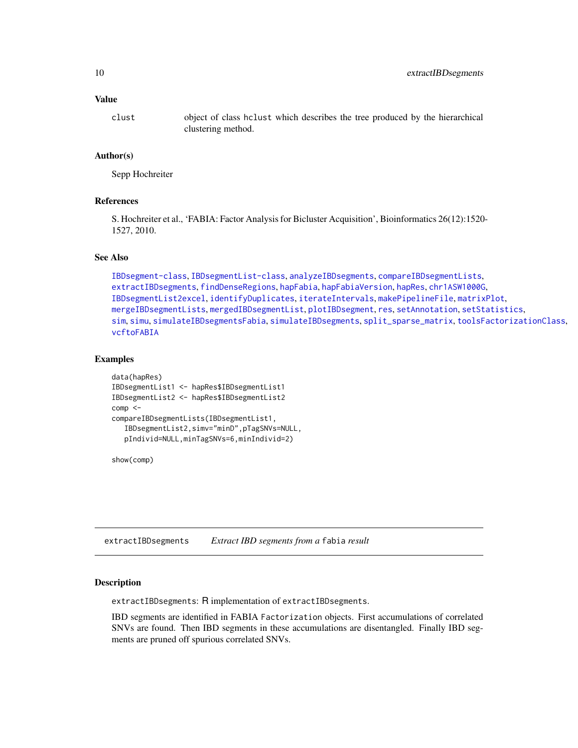# <span id="page-9-0"></span>Value

clust object of class hclust which describes the tree produced by the hierarchical clustering method.

# Author(s)

Sepp Hochreiter

## References

S. Hochreiter et al., 'FABIA: Factor Analysis for Bicluster Acquisition', Bioinformatics 26(12):1520- 1527, 2010.

# See Also

```
IBDsegment-class, IBDsegmentList-class, analyzeIBDsegments, compareIBDsegmentLists,
extractIBDsegments, findDenseRegions, hapFabia, hapFabiaVersion, hapRes, chr1ASW1000G,
IBDsegmentList2excel, identifyDuplicates, iterateIntervals, makePipelineFile, matrixPlot,
mergeIBDsegmentLists, mergedIBDsegmentList, plotIBDsegment, res, setAnnotation, setStatistics,
sim, simu, simulateIBDsegmentsFabia, simulateIBDsegments, split_sparse_matrix, toolsFactorizationClass,
vcftoFABIA
```
# Examples

```
data(hapRes)
IBDsegmentList1 <- hapRes$IBDsegmentList1
IBDsegmentList2 <- hapRes$IBDsegmentList2
comp < -compareIBDsegmentLists(IBDsegmentList1,
   IBDsegmentList2,simv="minD",pTagSNVs=NULL,
  pIndivid=NULL,minTagSNVs=6,minIndivid=2)
```
show(comp)

<span id="page-9-1"></span>extractIBDsegments *Extract IBD segments from a* fabia *result*

# **Description**

extractIBDsegments: R implementation of extractIBDsegments.

IBD segments are identified in FABIA Factorization objects. First accumulations of correlated SNVs are found. Then IBD segments in these accumulations are disentangled. Finally IBD segments are pruned off spurious correlated SNVs.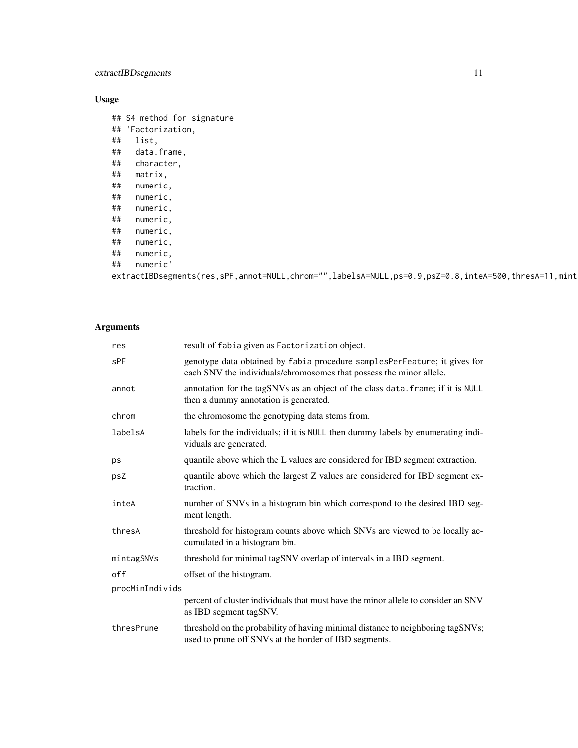# extractIBDsegments 11

# Usage

## S4 method for signature ## 'Factorization, ## list, ## data.frame, ## character, ## matrix, ## numeric, ## numeric, numeric, ## numeric, numeric, ## numeric, ## numeric,

## numeric'

```
extractIBDsegments(res,sPF,annot=NULL,chrom="",labelsA=NULL,ps=0.9,psZ=0.8,inteA=500,thresA=11,mint
```
# Arguments

| res             | result of fabia given as Factorization object.                                                                                                   |  |
|-----------------|--------------------------------------------------------------------------------------------------------------------------------------------------|--|
| <b>SPF</b>      | genotype data obtained by fabia procedure samplesPerFeature; it gives for<br>each SNV the individuals/chromosomes that possess the minor allele. |  |
| annot           | annotation for the tagSNVs as an object of the class data. frame; if it is NULL<br>then a dummy annotation is generated.                         |  |
| chrom           | the chromosome the genotyping data stems from.                                                                                                   |  |
| labelsA         | labels for the individuals; if it is NULL then dummy labels by enumerating indi-<br>viduals are generated.                                       |  |
| ps              | quantile above which the L values are considered for IBD segment extraction.                                                                     |  |
| psZ             | quantile above which the largest Z values are considered for IBD segment ex-<br>traction.                                                        |  |
| inteA           | number of SNVs in a histogram bin which correspond to the desired IBD seg-<br>ment length.                                                       |  |
| thresA          | threshold for histogram counts above which SNVs are viewed to be locally ac-<br>cumulated in a histogram bin.                                    |  |
| mintagSNVs      | threshold for minimal tagSNV overlap of intervals in a IBD segment.                                                                              |  |
| off             | offset of the histogram.                                                                                                                         |  |
| procMinIndivids |                                                                                                                                                  |  |
|                 | percent of cluster individuals that must have the minor allele to consider an SNV<br>as IBD segment tagSNV.                                      |  |
| thresPrune      | threshold on the probability of having minimal distance to neighboring tagSNVs;<br>used to prune off SNVs at the border of IBD segments.         |  |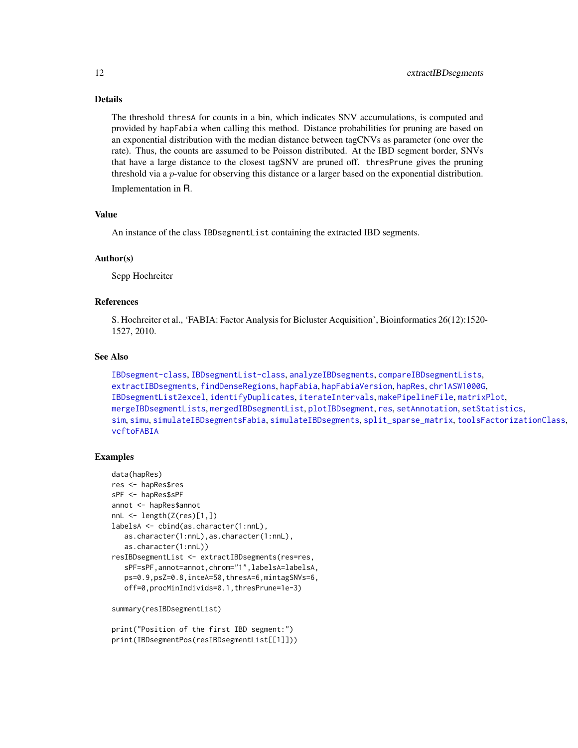# Details

The threshold thresA for counts in a bin, which indicates SNV accumulations, is computed and provided by hapFabia when calling this method. Distance probabilities for pruning are based on an exponential distribution with the median distance between tagCNVs as parameter (one over the rate). Thus, the counts are assumed to be Poisson distributed. At the IBD segment border, SNVs that have a large distance to the closest tagSNV are pruned off. thresPrune gives the pruning threshold via a p-value for observing this distance or a larger based on the exponential distribution.

Implementation in R.

#### Value

An instance of the class IBDsegmentList containing the extracted IBD segments.

#### Author(s)

Sepp Hochreiter

# References

S. Hochreiter et al., 'FABIA: Factor Analysis for Bicluster Acquisition', Bioinformatics 26(12):1520- 1527, 2010.

# See Also

```
IBDsegment-class, IBDsegmentList-class, analyzeIBDsegments, compareIBDsegmentLists,
extractIBDsegments, findDenseRegions, hapFabia, hapFabiaVersion, hapRes, chr1ASW1000G,
IBDsegmentList2excel, identifyDuplicates, iterateIntervals, makePipelineFile, matrixPlot,
mergeIBDsegmentLists, mergedIBDsegmentList, plotIBDsegment, res, setAnnotation, setStatistics,
sim, simu, simulateIBDsegmentsFabia, simulateIBDsegments, split_sparse_matrix, toolsFactorizationClass,
vcftoFABIA
```
# Examples

```
data(hapRes)
res <- hapRes$res
sPF <- hapRes$sPF
annot <- hapRes$annot
nnL \leftarrow length(Z(res)[1,])labelsA <- cbind(as.character(1:nnL),
  as.character(1:nnL),as.character(1:nnL),
  as.character(1:nnL))
resIBDsegmentList <- extractIBDsegments(res=res,
   sPF=sPF,annot=annot,chrom="1",labelsA=labelsA,
  ps=0.9,psZ=0.8,inteA=50,thresA=6,mintagSNVs=6,
   off=0,procMinIndivids=0.1,thresPrune=1e-3)
summary(resIBDsegmentList)
```

```
print("Position of the first IBD segment:")
print(IBDsegmentPos(resIBDsegmentList[[1]]))
```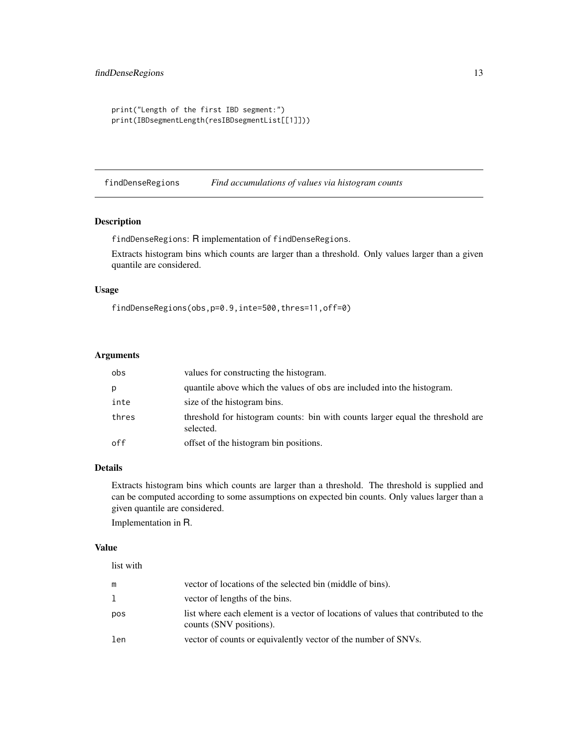```
print("Length of the first IBD segment:")
print(IBDsegmentLength(resIBDsegmentList[[1]]))
```
<span id="page-12-1"></span>findDenseRegions *Find accumulations of values via histogram counts*

# Description

findDenseRegions: R implementation of findDenseRegions.

Extracts histogram bins which counts are larger than a threshold. Only values larger than a given quantile are considered.

# Usage

```
findDenseRegions(obs,p=0.9,inte=500,thres=11,off=0)
```
# Arguments

| obs   | values for constructing the histogram.                                                      |
|-------|---------------------------------------------------------------------------------------------|
| p     | quantile above which the values of obs are included into the histogram.                     |
| inte  | size of the histogram bins.                                                                 |
| thres | threshold for histogram counts: bin with counts larger equal the threshold are<br>selected. |
| off   | offset of the histogram bin positions.                                                      |

# Details

Extracts histogram bins which counts are larger than a threshold. The threshold is supplied and can be computed according to some assumptions on expected bin counts. Only values larger than a given quantile are considered.

Implementation in R.

#### Value

| list with |                                                                                                               |
|-----------|---------------------------------------------------------------------------------------------------------------|
| m         | vector of locations of the selected bin (middle of bins).                                                     |
| 1         | vector of lengths of the bins.                                                                                |
| pos       | list where each element is a vector of locations of values that contributed to the<br>counts (SNV positions). |
| len       | vector of counts or equivalently vector of the number of SNVs.                                                |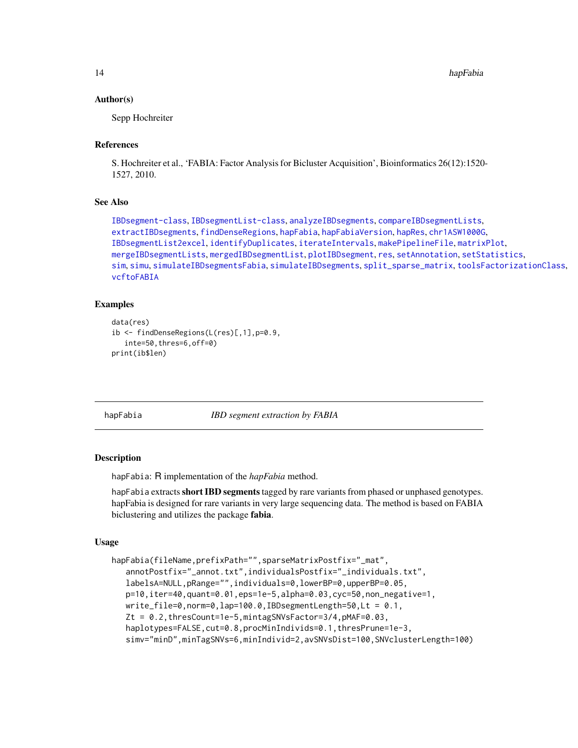14 hapFabia

#### Author(s)

Sepp Hochreiter

# References

S. Hochreiter et al., 'FABIA: Factor Analysis for Bicluster Acquisition', Bioinformatics 26(12):1520- 1527, 2010.

# See Also

```
IBDsegment-class, IBDsegmentList-class, analyzeIBDsegments, compareIBDsegmentLists,
extractIBDsegments, findDenseRegions, hapFabia, hapFabiaVersion, hapRes, chr1ASW1000G,
IBDsegmentList2excel, identifyDuplicates, iterateIntervals, makePipelineFile, matrixPlot,
mergeIBDsegmentLists, mergedIBDsegmentList, plotIBDsegment, res, setAnnotation, setStatistics,
sim, simu, simulateIBDsegmentsFabia, simulateIBDsegments, split_sparse_matrix, toolsFactorizationClass,
vcftoFABIA
```
# Examples

```
data(res)
ib <- findDenseRegions(L(res)[,1],p=0.9,
   inte=50,thres=6,off=0)
print(ib$len)
```
<span id="page-13-1"></span>hapFabia *IBD segment extraction by FABIA*

## Description

hapFabia: R implementation of the *hapFabia* method.

hapFabia extracts short IBD segments tagged by rare variants from phased or unphased genotypes. hapFabia is designed for rare variants in very large sequencing data. The method is based on FABIA biclustering and utilizes the package fabia.

# Usage

```
hapFabia(fileName,prefixPath="",sparseMatrixPostfix="_mat",
   annotPostfix="_annot.txt",individualsPostfix="_individuals.txt",
   labelsA=NULL,pRange="",individuals=0,lowerBP=0,upperBP=0.05,
   p=10,iter=40,quant=0.01,eps=1e-5,alpha=0.03,cyc=50,non_negative=1,
   write_file=0,norm=0,lap=100.0,IBDsegmentLength=50,Lt = 0.1,
   Zt = 0.2,thresCount=1e-5,mintagSNVsFactor=3/4,pMAF=0.03,
   haplotypes=FALSE, cut=0.8, procMinIndivids=0.1, thresPrune=1e-3,
   simv="minD",minTagSNVs=6,minIndivid=2,avSNVsDist=100,SNVclusterLength=100)
```
<span id="page-13-0"></span>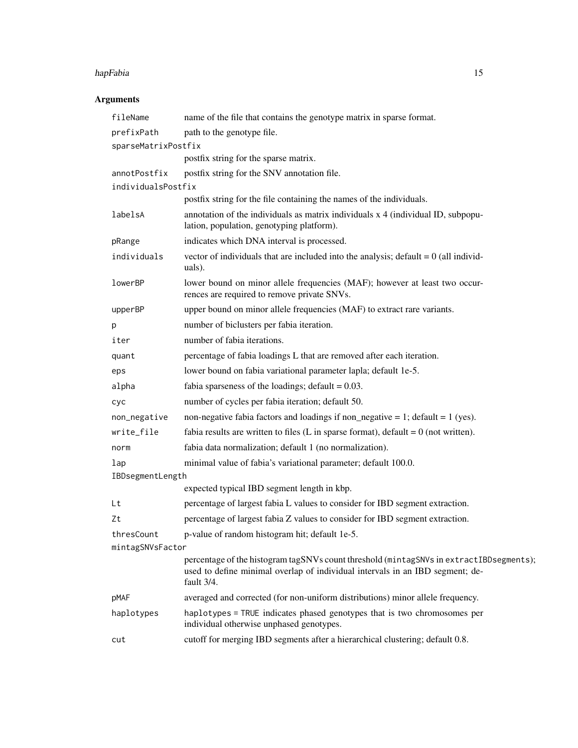#### hapFabia 15

# Arguments

| fileName            | name of the file that contains the genotype matrix in sparse format.                                                                                                                   |
|---------------------|----------------------------------------------------------------------------------------------------------------------------------------------------------------------------------------|
| prefixPath          | path to the genotype file.                                                                                                                                                             |
| sparseMatrixPostfix |                                                                                                                                                                                        |
|                     | postfix string for the sparse matrix.                                                                                                                                                  |
| annotPostfix        | postfix string for the SNV annotation file.                                                                                                                                            |
| individualsPostfix  |                                                                                                                                                                                        |
|                     | postfix string for the file containing the names of the individuals.                                                                                                                   |
| labelsA             | annotation of the individuals as matrix individuals x 4 (individual ID, subpopu-<br>lation, population, genotyping platform).                                                          |
| pRange              | indicates which DNA interval is processed.                                                                                                                                             |
| individuals         | vector of individuals that are included into the analysis; default $= 0$ (all individ-<br>uals).                                                                                       |
| lowerBP             | lower bound on minor allele frequencies (MAF); however at least two occur-<br>rences are required to remove private SNVs.                                                              |
| upperBP             | upper bound on minor allele frequencies (MAF) to extract rare variants.                                                                                                                |
| p                   | number of biclusters per fabia iteration.                                                                                                                                              |
| iter                | number of fabia iterations.                                                                                                                                                            |
| quant               | percentage of fabia loadings L that are removed after each iteration.                                                                                                                  |
| eps                 | lower bound on fabia variational parameter lapla; default 1e-5.                                                                                                                        |
| alpha               | fabia sparseness of the loadings; $\text{default} = 0.03$ .                                                                                                                            |
| cyc                 | number of cycles per fabia iteration; default 50.                                                                                                                                      |
| non_negative        | non-negative fabia factors and loadings if non_negative = 1; default = $1$ (yes).                                                                                                      |
| write_file          | fabia results are written to files (L in sparse format), default = $0$ (not written).                                                                                                  |
| norm                | fabia data normalization; default 1 (no normalization).                                                                                                                                |
| lap                 | minimal value of fabia's variational parameter; default 100.0.                                                                                                                         |
| IBDsegmentLength    |                                                                                                                                                                                        |
|                     | expected typical IBD segment length in kbp.                                                                                                                                            |
| Lt                  | percentage of largest fabia L values to consider for IBD segment extraction.                                                                                                           |
| Zt                  | percentage of largest fabia Z values to consider for IBD segment extraction.                                                                                                           |
| thresCount          | p-value of random histogram hit; default 1e-5.                                                                                                                                         |
| mintagSNVsFactor    |                                                                                                                                                                                        |
|                     | percentage of the histogram tagSNVs count threshold (mintagSNVs in extractIBDsegments);<br>used to define minimal overlap of individual intervals in an IBD segment; de-<br>fault 3/4. |
| pMAF                | averaged and corrected (for non-uniform distributions) minor allele frequency.                                                                                                         |
| haplotypes          | haplotypes = TRUE indicates phased genotypes that is two chromosomes per<br>individual otherwise unphased genotypes.                                                                   |
| cut                 | cutoff for merging IBD segments after a hierarchical clustering; default 0.8.                                                                                                          |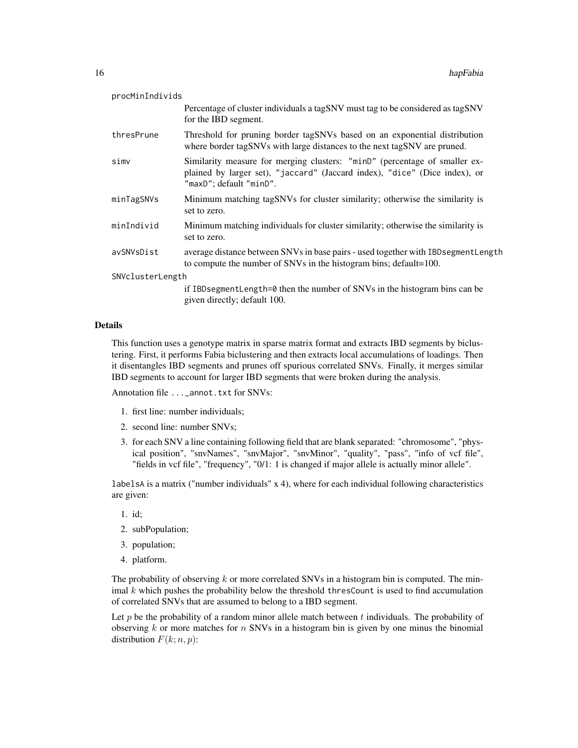| procMinIndivids  |                                                                                                                                                                                     |  |
|------------------|-------------------------------------------------------------------------------------------------------------------------------------------------------------------------------------|--|
|                  | Percentage of cluster individuals a tagSNV must tag to be considered as tagSNV<br>for the IBD segment.                                                                              |  |
| thresPrune       | Threshold for pruning border tagSNVs based on an exponential distribution<br>where border tagSNVs with large distances to the next tagSNV are pruned.                               |  |
| simv             | Similarity measure for merging clusters: "minD" (percentage of smaller ex-<br>plained by larger set), "jaccard" (Jaccard index), "dice" (Dice index), or<br>"maxD"; default "minD". |  |
| minTagSNVs       | Minimum matching tagSNVs for cluster similarity; otherwise the similarity is<br>set to zero.                                                                                        |  |
| minIndivid       | Minimum matching individuals for cluster similarity; otherwise the similarity is<br>set to zero.                                                                                    |  |
| avSNVsDist       | average distance between SNVs in base pairs - used together with IBDsegmentLength<br>to compute the number of SNVs in the histogram bins; default=100.                              |  |
| SNVclusterLength |                                                                                                                                                                                     |  |
|                  | if IBD segment Length=0 then the number of SNVs in the histogram bins can be<br>given directly; default 100.                                                                        |  |

# Details

This function uses a genotype matrix in sparse matrix format and extracts IBD segments by biclustering. First, it performs Fabia biclustering and then extracts local accumulations of loadings. Then it disentangles IBD segments and prunes off spurious correlated SNVs. Finally, it merges similar IBD segments to account for larger IBD segments that were broken during the analysis.

Annotation file ...\_annot.txt for SNVs:

- 1. first line: number individuals;
- 2. second line: number SNVs;
- 3. for each SNV a line containing following field that are blank separated: "chromosome", "physical position", "snvNames", "snvMajor", "snvMinor", "quality", "pass", "info of vcf file", "fields in vcf file", "frequency", "0/1: 1 is changed if major allele is actually minor allele".

labelsA is a matrix ("number individuals" x 4), where for each individual following characteristics are given:

- 1. id;
- 2. subPopulation;
- 3. population;
- 4. platform.

The probability of observing  $k$  or more correlated SNVs in a histogram bin is computed. The minimal  $k$  which pushes the probability below the threshold thresCount is used to find accumulation of correlated SNVs that are assumed to belong to a IBD segment.

Let  $p$  be the probability of a random minor allele match between  $t$  individuals. The probability of observing  $k$  or more matches for  $n$  SNVs in a histogram bin is given by one minus the binomial distribution  $F(k; n, p)$ :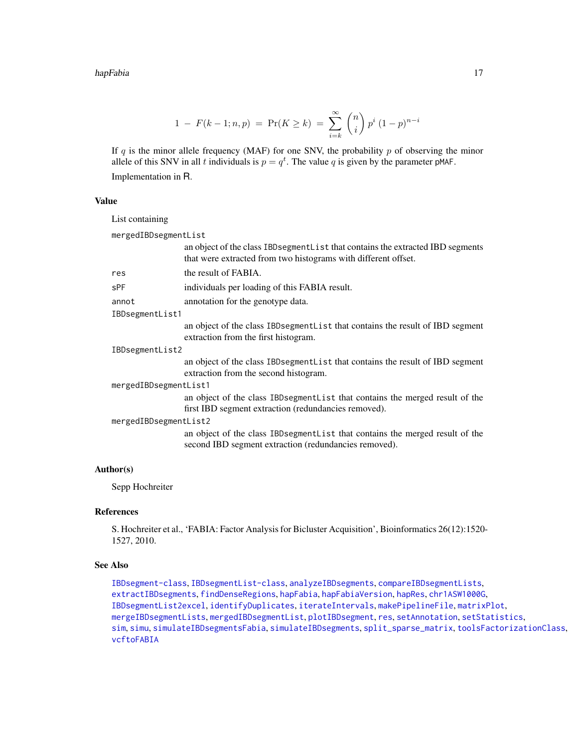#### hapFabia 17

$$
1 - F(k - 1; n, p) = Pr(K \ge k) = \sum_{i=k}^{\infty} {n \choose i} p^i (1-p)^{n-i}
$$

If  $q$  is the minor allele frequency (MAF) for one SNV, the probability  $p$  of observing the minor allele of this SNV in all t individuals is  $p = q<sup>t</sup>$ . The value q is given by the parameter pMAF. Implementation in R.

# Value

|                       | List containing      |                                                                                                                                                      |
|-----------------------|----------------------|------------------------------------------------------------------------------------------------------------------------------------------------------|
|                       | mergedIBDsegmentList |                                                                                                                                                      |
|                       |                      | an object of the class IBD segment L is t that contains the extracted IBD segments<br>that were extracted from two histograms with different offset. |
|                       | res                  | the result of FABIA.                                                                                                                                 |
|                       | sPF                  | individuals per loading of this FABIA result.                                                                                                        |
|                       | annot                | annotation for the genotype data.                                                                                                                    |
|                       | IBDsegmentList1      |                                                                                                                                                      |
|                       |                      | an object of the class IBD segment List that contains the result of IBD segment<br>extraction from the first histogram.                              |
|                       | IBDsegmentList2      |                                                                                                                                                      |
|                       |                      | an object of the class IBD segment List that contains the result of IBD segment<br>extraction from the second histogram.                             |
| mergedIBDsegmentList1 |                      |                                                                                                                                                      |
|                       |                      | an object of the class IBD segment List that contains the merged result of the<br>first IBD segment extraction (redundancies removed).               |
| mergedIBDsegmentList2 |                      |                                                                                                                                                      |
|                       |                      | an object of the class IBD segment L is t hat contains the merged result of the<br>second IBD segment extraction (redundancies removed).             |

# Author(s)

Sepp Hochreiter

# References

S. Hochreiter et al., 'FABIA: Factor Analysis for Bicluster Acquisition', Bioinformatics 26(12):1520- 1527, 2010.

# See Also

[IBDsegment-class](#page-21-1), [IBDsegmentList-class](#page-26-1), [analyzeIBDsegments](#page-2-1), [compareIBDsegmentLists](#page-8-1), [extractIBDsegments](#page-9-1), [findDenseRegions](#page-12-1), [hapFabia](#page-13-1), [hapFabiaVersion](#page-19-1), [hapRes](#page-19-2), [chr1ASW1000G](#page-7-1), [IBDsegmentList2excel](#page-30-1), [identifyDuplicates](#page-32-1), [iterateIntervals](#page-36-1), [makePipelineFile](#page-42-1), [matrixPlot](#page-43-1), [mergeIBDsegmentLists](#page-46-1), [mergedIBDsegmentList](#page-45-1), [plotIBDsegment](#page-47-1), [res](#page-50-1), [setAnnotation](#page-51-1), [setStatistics](#page-53-1), [sim](#page-55-1), [simu](#page-56-1), [simulateIBDsegmentsFabia](#page-59-1), [simulateIBDsegments](#page-57-1), [split\\_sparse\\_matrix](#page-61-1), [toolsFactorizationClass](#page-65-1), [vcftoFABIA](#page-67-1)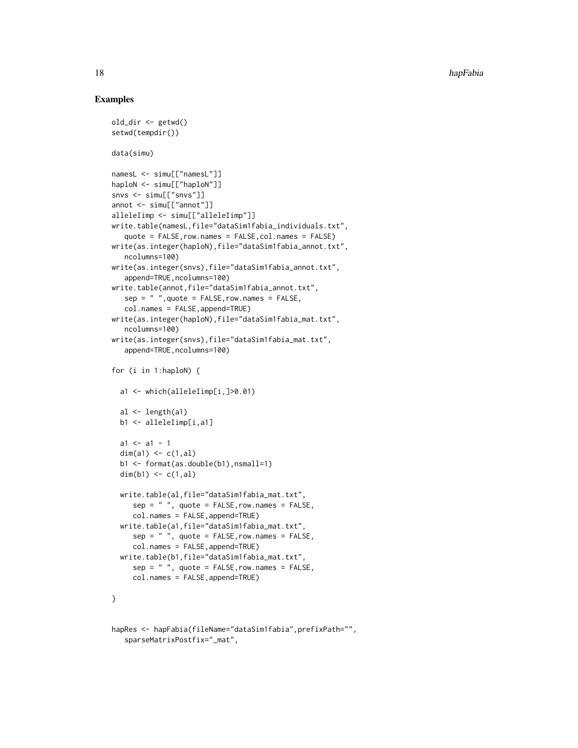# Examples

```
old_dir <- getwd()
setwd(tempdir())
data(simu)
namesL <- simu[["namesL"]]
haploN <- simu[["haploN"]]
snvs <- simu[["snvs"]]
annot <- simu[["annot"]]
alleleIimp <- simu[["alleleIimp"]]
write.table(namesL,file="dataSim1fabia_individuals.txt",
   quote = FALSE,row.names = FALSE,col.names = FALSE)
write(as.integer(haploN),file="dataSim1fabia_annot.txt",
   ncolumns=100)
write(as.integer(snvs),file="dataSim1fabia_annot.txt",
   append=TRUE, ncolumns=100)
write.table(annot,file="dataSim1fabia_annot.txt",
   sep = " " , quote = FALSE, row.name = FALSE,col.names = FALSE,append=TRUE)
write(as.integer(haploN),file="dataSim1fabia_mat.txt",
   ncolumns=100)
write(as.integer(snvs),file="dataSim1fabia_mat.txt",
   append=TRUE,ncolumns=100)
for (i in 1:haploN) {
  a1 <- which(alleleIimp[i,]>0.01)
  al \leftarrow length(a1)
  b1 <- alleleIimp[i,a1]
  a1 \leftarrow a1 - 1dim(a1) \leq -c(1, a1)b1 <- format(as.double(b1),nsmall=1)
  dim(b1) \leq -c(1, a1)write.table(al,file="dataSim1fabia_mat.txt",
     sep = " ", quote = FALSE, row.name = FALSE,col.names = FALSE,append=TRUE)
  write.table(a1,file="dataSim1fabia_mat.txt",
     sep = " ", quote = FALSE, row. names = FALSE,col.names = FALSE,append=TRUE)
  write.table(b1,file="dataSim1fabia_mat.txt",
     sep = " ", quote = FALSE, row. names = FALSE,col.names = FALSE,append=TRUE)
}
hapRes <- hapFabia(fileName="dataSim1fabia",prefixPath="",
```
sparseMatrixPostfix="\_mat",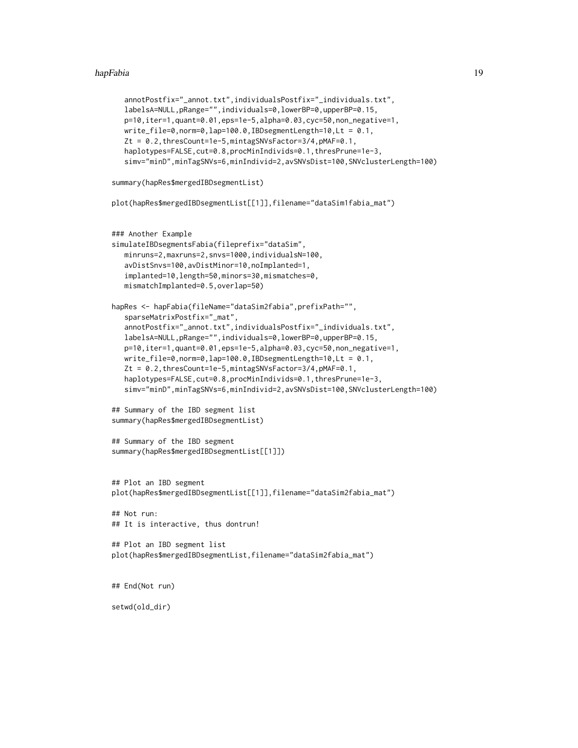#### hapFabia 19

```
annotPostfix="_annot.txt",individualsPostfix="_individuals.txt",
  labelsA=NULL,pRange="",individuals=0,lowerBP=0,upperBP=0.15,
  p=10,iter=1,quant=0.01,eps=1e-5,alpha=0.03,cyc=50,non_negative=1,
  write_file=0,norm=0,lap=100.0,IBDsegmentLength=10,Lt = 0.1,
  Zt = 0.2,thresCount=1e-5,mintagSNVsFactor=3/4,pMAF=0.1,
  haplotypes=FALSE, cut=0.8, procMinIndivids=0.1, thresPrune=1e-3,
  simv="minD",minTagSNVs=6,minIndivid=2,avSNVsDist=100,SNVclusterLength=100)
summary(hapRes$mergedIBDsegmentList)
plot(hapRes$mergedIBDsegmentList[[1]],filename="dataSim1fabia_mat")
### Another Example
simulateIBDsegmentsFabia(fileprefix="dataSim",
  minruns=2,maxruns=2,snvs=1000,individualsN=100,
  avDistSnvs=100,avDistMinor=10,noImplanted=1,
  implanted=10,length=50,minors=30,mismatches=0,
  mismatchImplanted=0.5,overlap=50)
hapRes <- hapFabia(fileName="dataSim2fabia",prefixPath="",
  sparseMatrixPostfix="_mat",
  annotPostfix="_annot.txt",individualsPostfix="_individuals.txt",
  labelsA=NULL,pRange="",individuals=0,lowerBP=0,upperBP=0.15,
  p=10,iter=1,quant=0.01,eps=1e-5,alpha=0.03,cyc=50,non_negative=1,
  write_file=0,norm=0,lap=100.0,IBDsegmentLength=10,Lt = 0.1,
  Zt = 0.2,thresCount=1e-5,mintagSNVsFactor=3/4,pMAF=0.1,
  haplotypes=FALSE, cut=0.8, procMinIndivids=0.1, thresPrune=1e-3,
  simv="minD",minTagSNVs=6,minIndivid=2,avSNVsDist=100,SNVclusterLength=100)
## Summary of the IBD segment list
summary(hapRes$mergedIBDsegmentList)
## Summary of the IBD segment
summary(hapRes$mergedIBDsegmentList[[1]])
## Plot an IBD segment
plot(hapRes$mergedIBDsegmentList[[1]],filename="dataSim2fabia_mat")
## Not run:
## It is interactive, thus dontrun!
## Plot an IBD segment list
plot(hapRes$mergedIBDsegmentList,filename="dataSim2fabia_mat")
## End(Not run)
setwd(old_dir)
```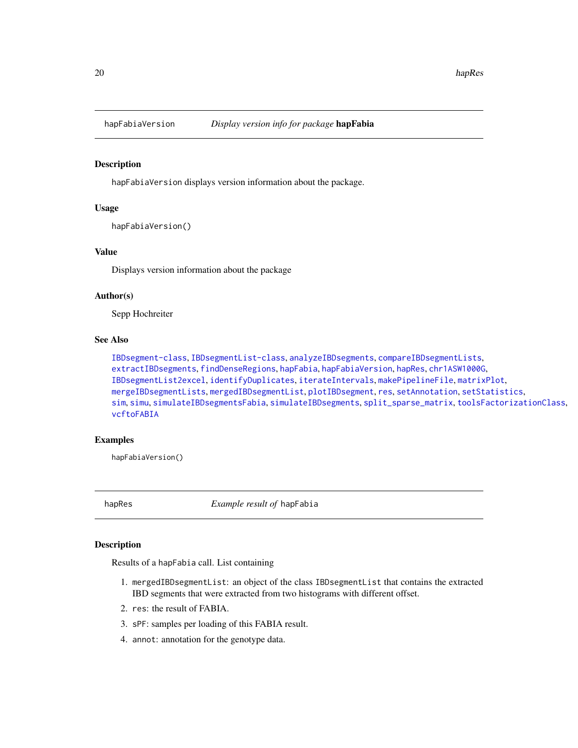<span id="page-19-1"></span><span id="page-19-0"></span>

# Description

hapFabiaVersion displays version information about the package.

# Usage

hapFabiaVersion()

# Value

Displays version information about the package

# Author(s)

Sepp Hochreiter

# See Also

```
IBDsegment-class, IBDsegmentList-class, analyzeIBDsegments, compareIBDsegmentLists,
extractIBDsegments, findDenseRegions, hapFabia, hapFabiaVersion, hapRes, chr1ASW1000G,
IBDsegmentList2excel, identifyDuplicates, iterateIntervals, makePipelineFile, matrixPlot,
mergeIBDsegmentLists, mergedIBDsegmentList, plotIBDsegment, res, setAnnotation, setStatistics,
sim, simu, simulateIBDsegmentsFabia, simulateIBDsegments, split_sparse_matrix, toolsFactorizationClass,
vcftoFABIA
```
# Examples

hapFabiaVersion()

<span id="page-19-2"></span>hapRes *Example result of* hapFabia

# Description

Results of a hapFabia call. List containing

- 1. mergedIBDsegmentList: an object of the class IBDsegmentList that contains the extracted IBD segments that were extracted from two histograms with different offset.
- 2. res: the result of FABIA.
- 3. sPF: samples per loading of this FABIA result.
- 4. annot: annotation for the genotype data.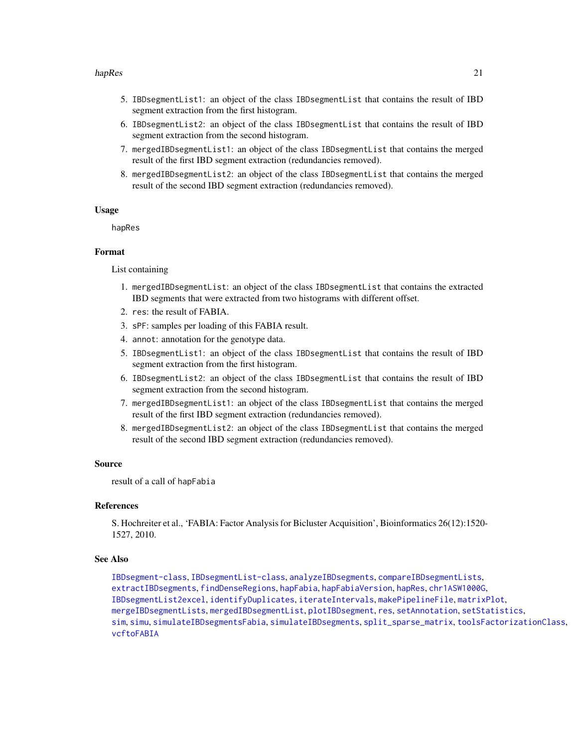#### hapRes 21

- 5. IBDsegmentList1: an object of the class IBDsegmentList that contains the result of IBD segment extraction from the first histogram.
- 6. IBDsegmentList2: an object of the class IBDsegmentList that contains the result of IBD segment extraction from the second histogram.
- 7. mergedIBDsegmentList1: an object of the class IBDsegmentList that contains the merged result of the first IBD segment extraction (redundancies removed).
- 8. mergedIBDsegmentList2: an object of the class IBDsegmentList that contains the merged result of the second IBD segment extraction (redundancies removed).

#### Usage

hapRes

# Format

List containing

- 1. mergedIBDsegmentList: an object of the class IBDsegmentList that contains the extracted IBD segments that were extracted from two histograms with different offset.
- 2. res: the result of FABIA.
- 3. sPF: samples per loading of this FABIA result.
- 4. annot: annotation for the genotype data.
- 5. IBDsegmentList1: an object of the class IBDsegmentList that contains the result of IBD segment extraction from the first histogram.
- 6. IBDsegmentList2: an object of the class IBDsegmentList that contains the result of IBD segment extraction from the second histogram.
- 7. mergedIBDsegmentList1: an object of the class IBDsegmentList that contains the merged result of the first IBD segment extraction (redundancies removed).
- 8. mergedIBDsegmentList2: an object of the class IBDsegmentList that contains the merged result of the second IBD segment extraction (redundancies removed).

#### Source

result of a call of hapFabia

# References

S. Hochreiter et al., 'FABIA: Factor Analysis for Bicluster Acquisition', Bioinformatics 26(12):1520- 1527, 2010.

# See Also

[IBDsegment-class](#page-21-1), [IBDsegmentList-class](#page-26-1), [analyzeIBDsegments](#page-2-1), [compareIBDsegmentLists](#page-8-1), [extractIBDsegments](#page-9-1), [findDenseRegions](#page-12-1), [hapFabia](#page-13-1), [hapFabiaVersion](#page-19-1), [hapRes](#page-19-2), [chr1ASW1000G](#page-7-1), [IBDsegmentList2excel](#page-30-1), [identifyDuplicates](#page-32-1), [iterateIntervals](#page-36-1), [makePipelineFile](#page-42-1), [matrixPlot](#page-43-1), [mergeIBDsegmentLists](#page-46-1), [mergedIBDsegmentList](#page-45-1), [plotIBDsegment](#page-47-1), [res](#page-50-1), [setAnnotation](#page-51-1), [setStatistics](#page-53-1), [sim](#page-55-1), [simu](#page-56-1), [simulateIBDsegmentsFabia](#page-59-1), [simulateIBDsegments](#page-57-1), [split\\_sparse\\_matrix](#page-61-1), [toolsFactorizationClass](#page-65-1), [vcftoFABIA](#page-67-1)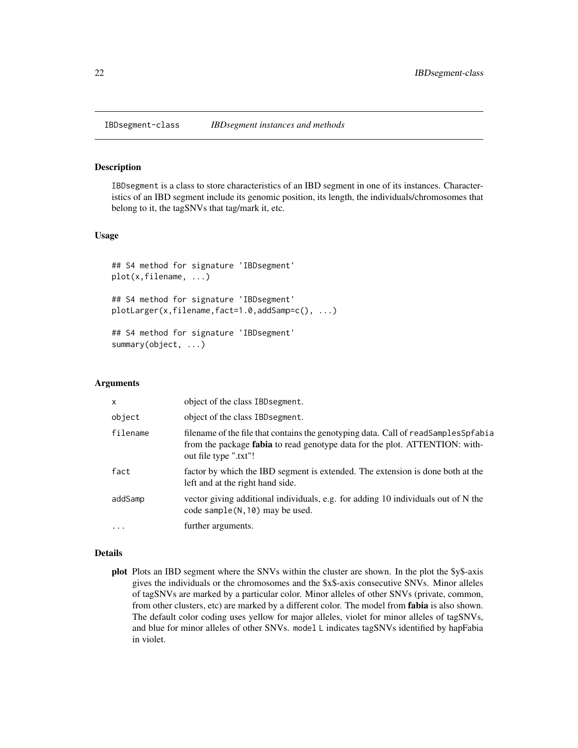<span id="page-21-1"></span><span id="page-21-0"></span>

# **Description**

IBDsegment is a class to store characteristics of an IBD segment in one of its instances. Characteristics of an IBD segment include its genomic position, its length, the individuals/chromosomes that belong to it, the tagSNVs that tag/mark it, etc.

## Usage

```
## S4 method for signature 'IBDsegment'
plot(x,filename, ...)
## S4 method for signature 'IBDsegment'
plotLarger(x,filename,fact=1.0,addSamp=c(), ...)
## S4 method for signature 'IBDsegment'
summary(object, ...)
```
# Arguments

| $\mathsf{x}$ | object of the class IBD segment.                                                                                                                                                                  |
|--------------|---------------------------------------------------------------------------------------------------------------------------------------------------------------------------------------------------|
| object       | object of the class IBD segment.                                                                                                                                                                  |
| filename     | filename of the file that contains the genotyping data. Call of readSamplesSpfabia<br>from the package <b>fabia</b> to read genotype data for the plot. ATTENTION: with-<br>out file type ".txt"! |
| fact         | factor by which the IBD segment is extended. The extension is done both at the<br>left and at the right hand side.                                                                                |
| addSamp      | vector giving additional individuals, e.g. for adding 10 individuals out of N the<br>code sample $(N, 10)$ may be used.                                                                           |
| $\ddotsc$    | further arguments.                                                                                                                                                                                |

# Details

plot Plots an IBD segment where the SNVs within the cluster are shown. In the plot the \$y\$-axis gives the individuals or the chromosomes and the \$x\$-axis consecutive SNVs. Minor alleles of tagSNVs are marked by a particular color. Minor alleles of other SNVs (private, common, from other clusters, etc) are marked by a different color. The model from fabia is also shown. The default color coding uses yellow for major alleles, violet for minor alleles of tagSNVs, and blue for minor alleles of other SNVs. model L indicates tagSNVs identified by hapFabia in violet.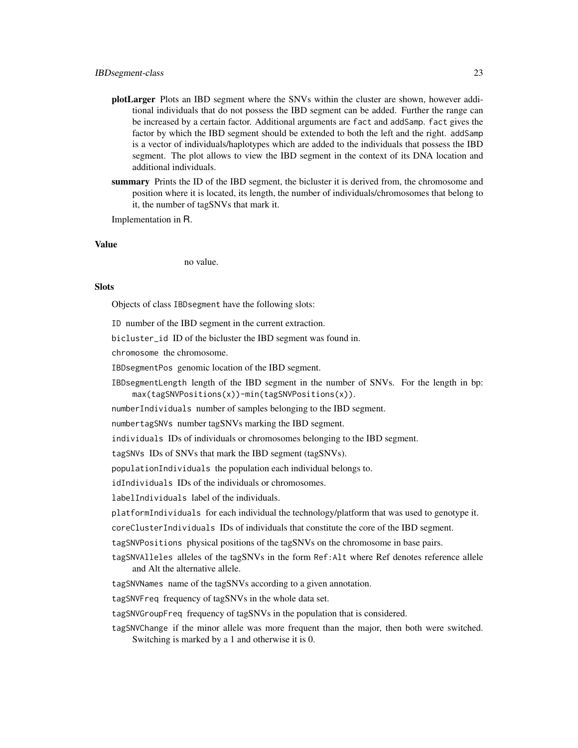- plotLarger Plots an IBD segment where the SNVs within the cluster are shown, however additional individuals that do not possess the IBD segment can be added. Further the range can be increased by a certain factor. Additional arguments are fact and addSamp. fact gives the factor by which the IBD segment should be extended to both the left and the right. addSamp is a vector of individuals/haplotypes which are added to the individuals that possess the IBD segment. The plot allows to view the IBD segment in the context of its DNA location and additional individuals.
- summary Prints the ID of the IBD segment, the bicluster it is derived from, the chromosome and position where it is located, its length, the number of individuals/chromosomes that belong to it, the number of tagSNVs that mark it.

Implementation in R.

#### Value

no value.

# **Slots**

Objects of class IBDsegment have the following slots:

ID number of the IBD segment in the current extraction.

bicluster\_id ID of the bicluster the IBD segment was found in.

chromosome the chromosome.

IBDsegmentPos genomic location of the IBD segment.

IBDsegmentLength length of the IBD segment in the number of SNVs. For the length in bp: max(tagSNVPositions(x))-min(tagSNVPositions(x)).

numberIndividuals number of samples belonging to the IBD segment.

numbertagSNVs number tagSNVs marking the IBD segment.

individuals IDs of individuals or chromosomes belonging to the IBD segment.

tagSNVs IDs of SNVs that mark the IBD segment (tagSNVs).

populationIndividuals the population each individual belongs to.

idIndividuals IDs of the individuals or chromosomes.

labelIndividuals label of the individuals.

platformIndividuals for each individual the technology/platform that was used to genotype it.

coreClusterIndividuals IDs of individuals that constitute the core of the IBD segment.

tagSNVPositions physical positions of the tagSNVs on the chromosome in base pairs.

tagSNVAlleles alleles of the tagSNVs in the form Ref:Alt where Ref denotes reference allele and Alt the alternative allele.

tagSNVNames name of the tagSNVs according to a given annotation.

tagSNVFreq frequency of tagSNVs in the whole data set.

tagSNVGroupFreq frequency of tagSNVs in the population that is considered.

tagSNVChange if the minor allele was more frequent than the major, then both were switched. Switching is marked by a 1 and otherwise it is 0.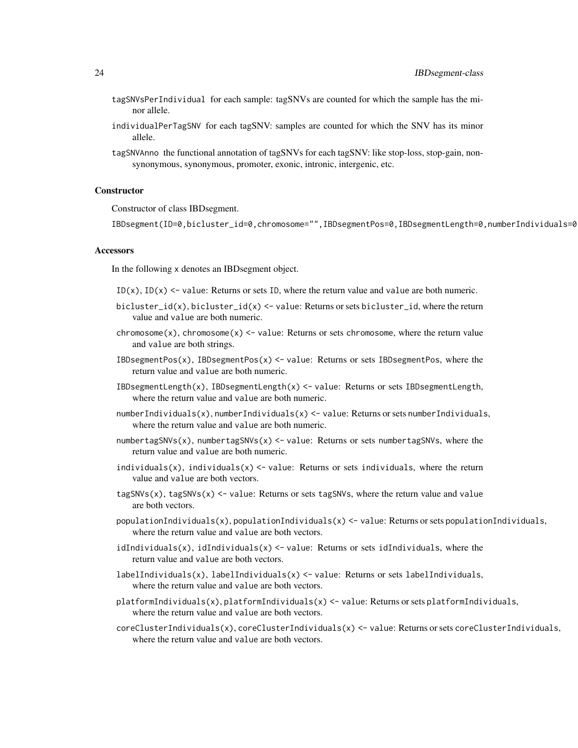- tagSNVsPerIndividual for each sample: tagSNVs are counted for which the sample has the minor allele.
- individualPerTagSNV for each tagSNV: samples are counted for which the SNV has its minor allele.
- tagSNVAnno the functional annotation of tagSNVs for each tagSNV: like stop-loss, stop-gain, nonsynonymous, synonymous, promoter, exonic, intronic, intergenic, etc.

# **Constructor**

Constructor of class IBDsegment.

IBDsegment(ID=0,bicluster\_id=0,chromosome="",IBDsegmentPos=0,IBDsegmentLength=0,numberIndividuals=0

#### **Accessors**

In the following x denotes an IBDsegment object.

- $ID(x)$ ,  $ID(x) \leq value$ : Returns or sets ID, where the return value and value are both numeric.
- bicluster\_id(x), bicluster\_id(x) <- value: Returns or sets bicluster\_id, where the return value and value are both numeric.
- chromosome(x), chromosome(x)  $\le$  value: Returns or sets chromosome, where the return value and value are both strings.
- IBDsegmentPos(x), IBDsegmentPos(x)  $\le$  value: Returns or sets IBDsegmentPos, where the return value and value are both numeric.
- IBDsegmentLength(x), IBDsegmentLength(x) <- value: Returns or sets IBDsegmentLength, where the return value and value are both numeric.
- numberIndividuals(x), numberIndividuals(x)  $\leq$  value: Returns or sets numberIndividuals, where the return value and value are both numeric.
- numbertagSNVs(x), numbertagSNVs(x)  $\le$  value: Returns or sets numbertagSNVs, where the return value and value are both numeric.
- individuals(x), individuals(x)  $\le$  value: Returns or sets individuals, where the return value and value are both vectors.
- $tagSNVs(x)$ , tagSNVs(x) <- value: Returns or sets tagSNVs, where the return value and value are both vectors.
- populationIndividuals(x), populationIndividuals(x) <- value: Returns or sets populationIndividuals, where the return value and value are both vectors.
- idIndividuals(x), idIndividuals(x)  $\leq$  value: Returns or sets idIndividuals, where the return value and value are both vectors.
- labelIndividuals(x), labelIndividuals(x) <- value: Returns or sets labelIndividuals, where the return value and value are both vectors.
- $platformIndividuals(x), platformIndividuals(x) < -$  value: Returns or sets platformIndividuals, where the return value and value are both vectors.
- coreClusterIndividuals(x), coreClusterIndividuals(x) <- value: Returns or sets coreClusterIndividuals, where the return value and value are both vectors.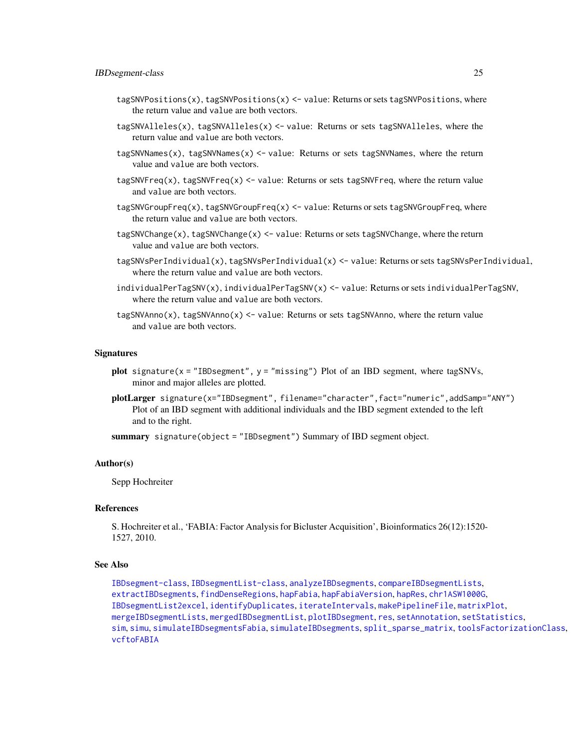- tagSNVPositions(x), tagSNVPositions(x) <- value: Returns or sets tagSNVPositions, where the return value and value are both vectors.
- tagSNVAlleles(x), tagSNVAlleles(x)  $\leq$  value: Returns or sets tagSNVAlleles, where the return value and value are both vectors.
- tagSNVNames(x), tagSNVNames(x) <- value: Returns or sets tagSNVNames, where the return value and value are both vectors.
- $tagSNVFreq(x)$ ,  $tagSNVFreq(x) < -$  value: Returns or sets tagSNVFreq, where the return value and value are both vectors.
- tagSNVGroupFreq(x), tagSNVGroupFreq(x) <- value: Returns or sets tagSNVGroupFreq, where the return value and value are both vectors.
- tagSNVChange(x), tagSNVChange(x) <- value: Returns or sets tagSNVChange, where the return value and value are both vectors.
- tagSNVsPerIndividual(x), tagSNVsPerIndividual(x) <- value: Returns or sets tagSNVsPerIndividual, where the return value and value are both vectors.
- individualPerTagSNV(x), individualPerTagSNV(x) <- value: Returns or sets individualPerTagSNV, where the return value and value are both vectors.
- $tagSNVAnno(x)$ ,  $tagSNVAnno(x) < -$  value: Returns or sets  $tagSNVAnno$ , where the return value and value are both vectors.

#### **Signatures**

- plot signature(x = "IBDsegment", y = "missing") Plot of an IBD segment, where tagSNVs, minor and major alleles are plotted.
- plotLarger signature(x="IBDsegment", filename="character",fact="numeric",addSamp="ANY") Plot of an IBD segment with additional individuals and the IBD segment extended to the left and to the right.

summary signature(object = "IBDsegment") Summary of IBD segment object.

#### Author(s)

Sepp Hochreiter

#### References

S. Hochreiter et al., 'FABIA: Factor Analysis for Bicluster Acquisition', Bioinformatics 26(12):1520- 1527, 2010.

#### See Also

[IBDsegment-class](#page-21-1), [IBDsegmentList-class](#page-26-1), [analyzeIBDsegments](#page-2-1), [compareIBDsegmentLists](#page-8-1), [extractIBDsegments](#page-9-1), [findDenseRegions](#page-12-1), [hapFabia](#page-13-1), [hapFabiaVersion](#page-19-1), [hapRes](#page-19-2), [chr1ASW1000G](#page-7-1), [IBDsegmentList2excel](#page-30-1), [identifyDuplicates](#page-32-1), [iterateIntervals](#page-36-1), [makePipelineFile](#page-42-1), [matrixPlot](#page-43-1), [mergeIBDsegmentLists](#page-46-1), [mergedIBDsegmentList](#page-45-1), [plotIBDsegment](#page-47-1), [res](#page-50-1), [setAnnotation](#page-51-1), [setStatistics](#page-53-1), [sim](#page-55-1), [simu](#page-56-1), [simulateIBDsegmentsFabia](#page-59-1), [simulateIBDsegments](#page-57-1), [split\\_sparse\\_matrix](#page-61-1), [toolsFactorizationClass](#page-65-1), [vcftoFABIA](#page-67-1)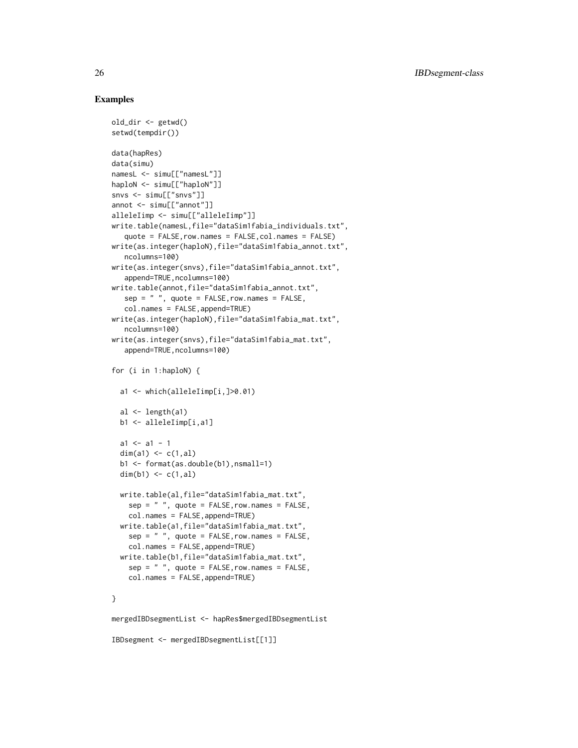# Examples

```
old_dir <- getwd()
setwd(tempdir())
data(hapRes)
data(simu)
namesL <- simu[["namesL"]]
haploN <- simu[["haploN"]]
snvs <- simu[["snvs"]]
annot <- simu[["annot"]]
alleleIimp <- simu[["alleleIimp"]]
write.table(namesL,file="dataSim1fabia_individuals.txt",
   quote = FALSE,row.names = FALSE,col.names = FALSE)
write(as.integer(haploN),file="dataSim1fabia_annot.txt",
   ncolumns=100)
write(as.integer(snvs),file="dataSim1fabia_annot.txt",
   append=TRUE, ncolumns=100)
write.table(annot,file="dataSim1fabia_annot.txt",
   sep = " ", quote = FALSE, row.name = FALSE,col.names = FALSE,append=TRUE)
write(as.integer(haploN),file="dataSim1fabia_mat.txt",
   ncolumns=100)
write(as.integer(snvs),file="dataSim1fabia_mat.txt",
   append=TRUE,ncolumns=100)
for (i in 1:haploN) {
  a1 <- which(alleleIimp[i,]>0.01)
  al \leftarrow length(a1)
  b1 <- alleleIimp[i,a1]
  a1 \leftarrow a1 - 1dim(a1) \leq -c(1, a1)b1 <- format(as.double(b1),nsmall=1)
  dim(b1) \leq -c(1, a1)write.table(al,file="dataSim1fabia_mat.txt",
    sep = " ", quote = FALSE, row.name = FALSE,col.names = FALSE,append=TRUE)
  write.table(a1,file="dataSim1fabia_mat.txt",
    sep = " ", quote = FALSE, row. names = FALSE,col.names = FALSE,append=TRUE)
  write.table(b1,file="dataSim1fabia_mat.txt",
    sep = " ", quote = FALSE, row. names = FALSE,col.names = FALSE,append=TRUE)
}
mergedIBDsegmentList <- hapRes$mergedIBDsegmentList
IBDsegment <- mergedIBDsegmentList[[1]]
```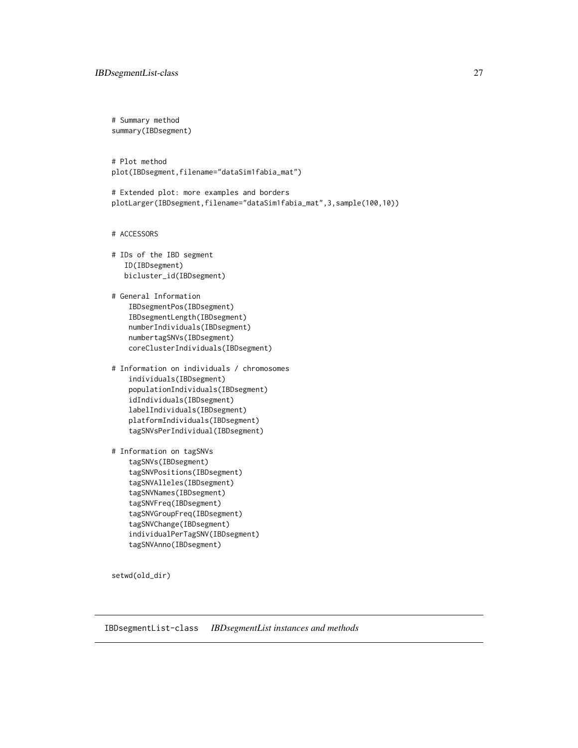<span id="page-26-0"></span># Summary method summary(IBDsegment)

# Plot method plot(IBDsegment,filename="dataSim1fabia\_mat")

# Extended plot: more examples and borders plotLarger(IBDsegment,filename="dataSim1fabia\_mat",3,sample(100,10))

# ACCESSORS

```
# IDs of the IBD segment
  ID(IBDsegment)
  bicluster_id(IBDsegment)
```
# General Information IBDsegmentPos(IBDsegment) IBDsegmentLength(IBDsegment) numberIndividuals(IBDsegment) numbertagSNVs(IBDsegment) coreClusterIndividuals(IBDsegment)

```
# Information on individuals / chromosomes
   individuals(IBDsegment)
   populationIndividuals(IBDsegment)
   idIndividuals(IBDsegment)
   labelIndividuals(IBDsegment)
   platformIndividuals(IBDsegment)
   tagSNVsPerIndividual(IBDsegment)
```

```
# Information on tagSNVs
   tagSNVs(IBDsegment)
   tagSNVPositions(IBDsegment)
   tagSNVAlleles(IBDsegment)
   tagSNVNames(IBDsegment)
   tagSNVFreq(IBDsegment)
   tagSNVGroupFreq(IBDsegment)
   tagSNVChange(IBDsegment)
   individualPerTagSNV(IBDsegment)
   tagSNVAnno(IBDsegment)
```
setwd(old\_dir)

<span id="page-26-1"></span>IBDsegmentList-class *IBDsegmentList instances and methods*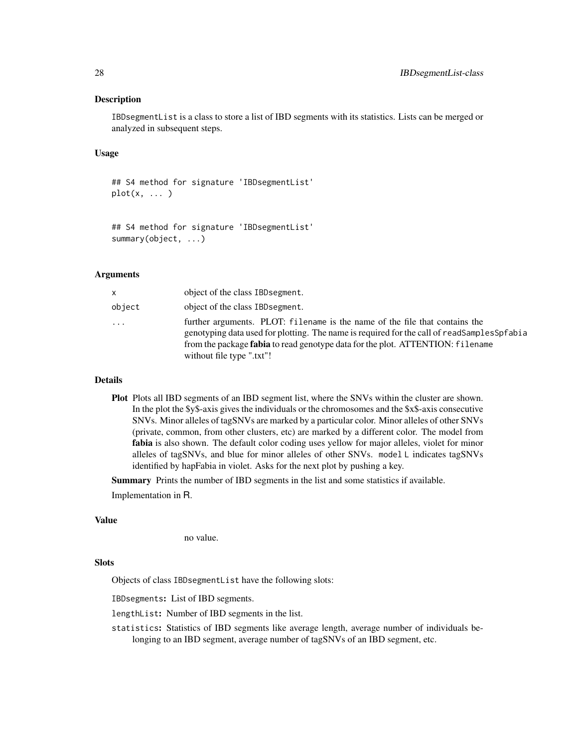# **Description**

IBDsegmentList is a class to store a list of IBD segments with its statistics. Lists can be merged or analyzed in subsequent steps.

# Usage

```
## S4 method for signature 'IBDsegmentList'
plot(x, \ldots)
```

```
## S4 method for signature 'IBDsegmentList'
summary(object, ...)
```
# Arguments

| x.     | object of the class IBD segment.                                                                                                                                                                                                                                                                |
|--------|-------------------------------------------------------------------------------------------------------------------------------------------------------------------------------------------------------------------------------------------------------------------------------------------------|
| object | object of the class IBD segment.                                                                                                                                                                                                                                                                |
| .      | further arguments. PLOT: filename is the name of the file that contains the<br>genotyping data used for plotting. The name is required for the call of readSamplesSpfabia<br>from the package <b>fabia</b> to read genotype data for the plot. ATTENTION: filename<br>without file type ".txt"! |

# Details

Plot Plots all IBD segments of an IBD segment list, where the SNVs within the cluster are shown. In the plot the \$y\$-axis gives the individuals or the chromosomes and the \$x\$-axis consecutive SNVs. Minor alleles of tagSNVs are marked by a particular color. Minor alleles of other SNVs (private, common, from other clusters, etc) are marked by a different color. The model from fabia is also shown. The default color coding uses yellow for major alleles, violet for minor alleles of tagSNVs, and blue for minor alleles of other SNVs. model L indicates tagSNVs identified by hapFabia in violet. Asks for the next plot by pushing a key.

Summary Prints the number of IBD segments in the list and some statistics if available.

Implementation in R.

# Value

no value.

#### **Slots**

Objects of class IBDsegmentList have the following slots:

IBDsegments: List of IBD segments.

lengthList: Number of IBD segments in the list.

statistics: Statistics of IBD segments like average length, average number of individuals belonging to an IBD segment, average number of tagSNVs of an IBD segment, etc.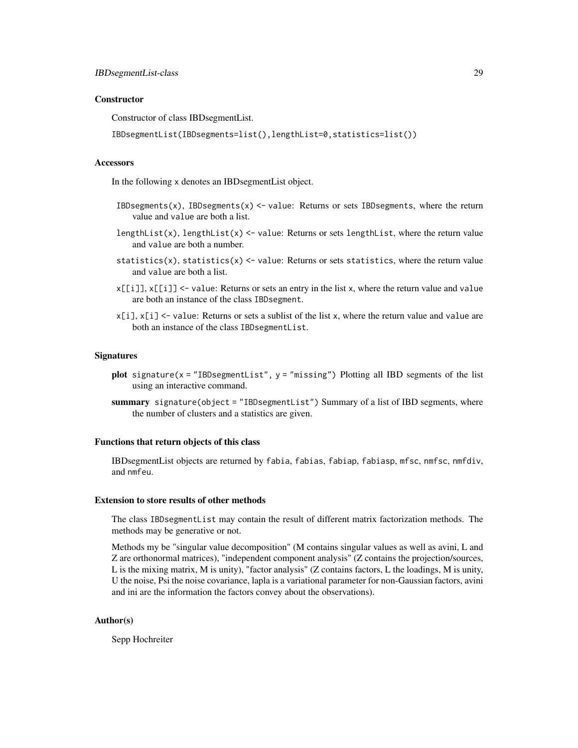#### **Constructor**

Constructor of class IBDsegmentList.

IBDsegmentList(IBDsegments=list(),lengthList=0,statistics=list())

#### **Accessors**

In the following x denotes an IBDsegmentList object.

- IBDsegments(x), IBDsegments(x)  $\le$  value: Returns or sets IBDsegments, where the return value and value are both a list.
- lengthList(x), lengthList(x) <- value: Returns or sets lengthList, where the return value and value are both a number.
- statistics(x), statistics(x)  $\le$  value: Returns or sets statistics, where the return value and value are both a list.
- $x[[i]], x[[i]] \leq$  value: Returns or sets an entry in the list x, where the return value and value are both an instance of the class IBDsegment.
- $x[i], x[i]$  <- value: Returns or sets a sublist of the list x, where the return value and value are both an instance of the class IBDsegmentList.

#### **Signatures**

- plot signature( $x =$  "IBDsegmentList",  $y =$  "missing") Plotting all IBD segments of the list using an interactive command.
- summary signature(object = "IBDsegmentList") Summary of a list of IBD segments, where the number of clusters and a statistics are given.

#### Functions that return objects of this class

IBDsegmentList objects are returned by fabia, fabias, fabiap, fabiasp, mfsc, nmfsc, nmfdiv, and nmfeu.

#### Extension to store results of other methods

The class IBDsegmentList may contain the result of different matrix factorization methods. The methods may be generative or not.

Methods my be "singular value decomposition" (M contains singular values as well as avini, L and Z are orthonormal matrices), "independent component analysis" (Z contains the projection/sources, L is the mixing matrix, M is unity), "factor analysis" (Z contains factors, L the loadings, M is unity, U the noise, Psi the noise covariance, lapla is a variational parameter for non-Gaussian factors, avini and ini are the information the factors convey about the observations).

## Author(s)

Sepp Hochreiter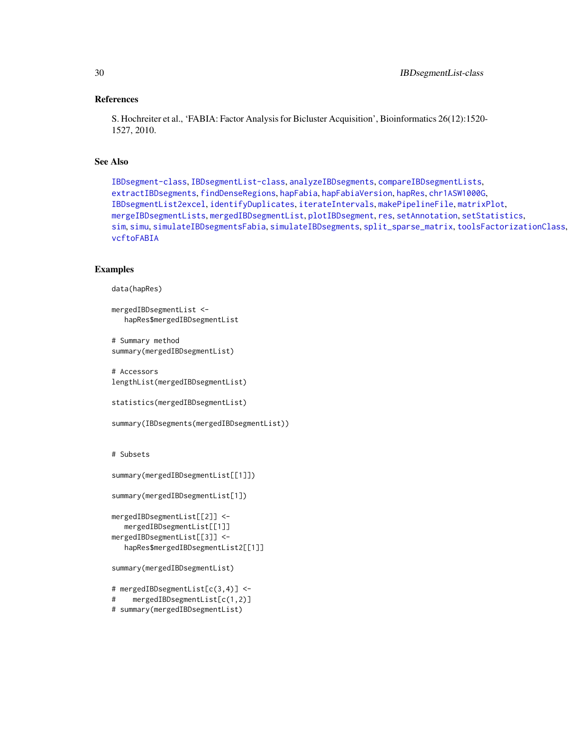# References

S. Hochreiter et al., 'FABIA: Factor Analysis for Bicluster Acquisition', Bioinformatics 26(12):1520- 1527, 2010.

# See Also

[IBDsegment-class](#page-21-1), [IBDsegmentList-class](#page-26-1), [analyzeIBDsegments](#page-2-1), [compareIBDsegmentLists](#page-8-1), [extractIBDsegments](#page-9-1), [findDenseRegions](#page-12-1), [hapFabia](#page-13-1), [hapFabiaVersion](#page-19-1), [hapRes](#page-19-2), [chr1ASW1000G](#page-7-1), [IBDsegmentList2excel](#page-30-1), [identifyDuplicates](#page-32-1), [iterateIntervals](#page-36-1), [makePipelineFile](#page-42-1), [matrixPlot](#page-43-1), [mergeIBDsegmentLists](#page-46-1), [mergedIBDsegmentList](#page-45-1), [plotIBDsegment](#page-47-1), [res](#page-50-1), [setAnnotation](#page-51-1), [setStatistics](#page-53-1), [sim](#page-55-1), [simu](#page-56-1), [simulateIBDsegmentsFabia](#page-59-1), [simulateIBDsegments](#page-57-1), [split\\_sparse\\_matrix](#page-61-1), [toolsFactorizationClass](#page-65-1), [vcftoFABIA](#page-67-1)

# Examples

```
data(hapRes)
```

```
mergedIBDsegmentList <-
  hapRes$mergedIBDsegmentList
```
# Summary method summary(mergedIBDsegmentList)

```
# Accessors
lengthList(mergedIBDsegmentList)
```

```
statistics(mergedIBDsegmentList)
```

```
summary(IBDsegments(mergedIBDsegmentList))
```

```
# Subsets
```

```
summary(mergedIBDsegmentList[[1]])
```

```
summary(mergedIBDsegmentList[1])
```

```
mergedIBDsegmentList[[2]] <-
  mergedIBDsegmentList[[1]]
mergedIBDsegmentList[[3]] <-
  hapRes$mergedIBDsegmentList2[[1]]
```

```
summary(mergedIBDsegmentList)
```

```
# mergedIBDsegmentList[c(3,4)] <-
```

```
# mergedIBDsegmentList[c(1,2)]
```

```
# summary(mergedIBDsegmentList)
```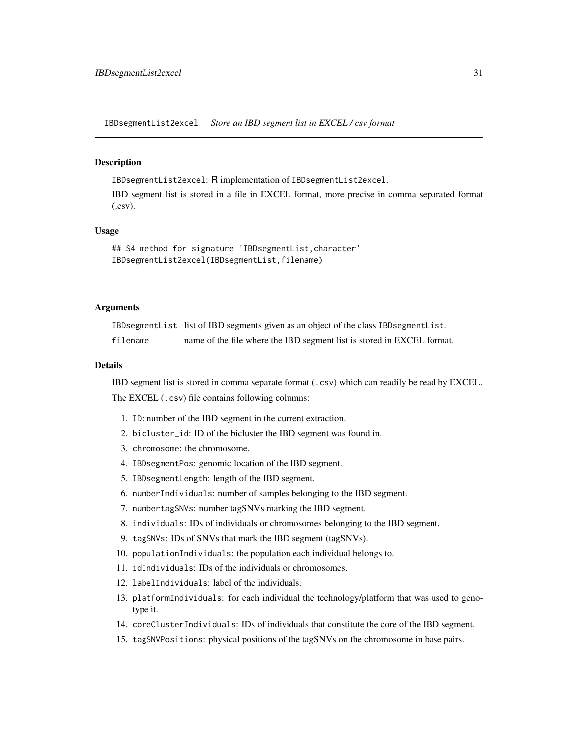<span id="page-30-1"></span><span id="page-30-0"></span>IBDsegmentList2excel *Store an IBD segment list in EXCEL / csv format*

# **Description**

IBDsegmentList2excel: R implementation of IBDsegmentList2excel.

IBD segment list is stored in a file in EXCEL format, more precise in comma separated format (.csv).

#### Usage

```
## S4 method for signature 'IBDsegmentList,character'
IBDsegmentList2excel(IBDsegmentList,filename)
```
# Arguments

IBDsegmentList list of IBD segments given as an object of the class IBDsegmentList.

filename name of the file where the IBD segment list is stored in EXCEL format.

# Details

IBD segment list is stored in comma separate format (.csv) which can readily be read by EXCEL. The EXCEL (.csv) file contains following columns:

- 1. ID: number of the IBD segment in the current extraction.
- 2. bicluster\_id: ID of the bicluster the IBD segment was found in.
- 3. chromosome: the chromosome.
- 4. IBDsegmentPos: genomic location of the IBD segment.
- 5. IBDsegmentLength: length of the IBD segment.
- 6. numberIndividuals: number of samples belonging to the IBD segment.
- 7. numbertagSNVs: number tagSNVs marking the IBD segment.
- 8. individuals: IDs of individuals or chromosomes belonging to the IBD segment.
- 9. tagSNVs: IDs of SNVs that mark the IBD segment (tagSNVs).
- 10. populationIndividuals: the population each individual belongs to.
- 11. idIndividuals: IDs of the individuals or chromosomes.
- 12. labelIndividuals: label of the individuals.
- 13. platformIndividuals: for each individual the technology/platform that was used to genotype it.
- 14. coreClusterIndividuals: IDs of individuals that constitute the core of the IBD segment.
- 15. tagSNVPositions: physical positions of the tagSNVs on the chromosome in base pairs.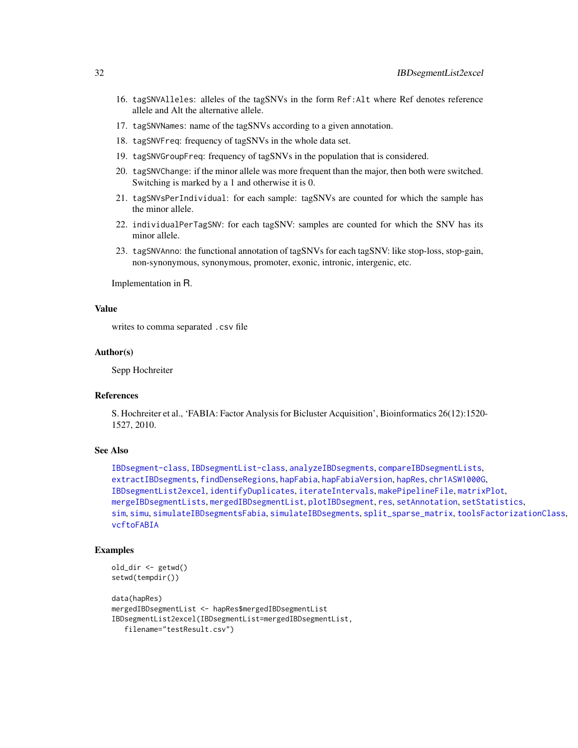- 16. tagSNVAlleles: alleles of the tagSNVs in the form Ref:Alt where Ref denotes reference allele and Alt the alternative allele.
- 17. tagSNVNames: name of the tagSNVs according to a given annotation.
- 18. tagSNVFreq: frequency of tagSNVs in the whole data set.
- 19. tagSNVGroupFreq: frequency of tagSNVs in the population that is considered.
- 20. tagSNVChange: if the minor allele was more frequent than the major, then both were switched. Switching is marked by a 1 and otherwise it is 0.
- 21. tagSNVsPerIndividual: for each sample: tagSNVs are counted for which the sample has the minor allele.
- 22. individualPerTagSNV: for each tagSNV: samples are counted for which the SNV has its minor allele.
- 23. tagSNVAnno: the functional annotation of tagSNVs for each tagSNV: like stop-loss, stop-gain, non-synonymous, synonymous, promoter, exonic, intronic, intergenic, etc.

Implementation in R.

#### Value

writes to comma separated .csv file

# Author(s)

Sepp Hochreiter

# References

S. Hochreiter et al., 'FABIA: Factor Analysis for Bicluster Acquisition', Bioinformatics 26(12):1520- 1527, 2010.

# See Also

```
IBDsegment-class, IBDsegmentList-class, analyzeIBDsegments, compareIBDsegmentLists,
extractIBDsegments, findDenseRegions, hapFabia, hapFabiaVersion, hapRes, chr1ASW1000G,
IBDsegmentList2excel, identifyDuplicates, iterateIntervals, makePipelineFile, matrixPlot,
mergeIBDsegmentLists, mergedIBDsegmentList, plotIBDsegment, res, setAnnotation, setStatistics,
sim, simu, simulateIBDsegmentsFabia, simulateIBDsegments, split_sparse_matrix, toolsFactorizationClass,
vcftoFABIA
```
# Examples

```
old_dir <- getwd()
setwd(tempdir())
```

```
data(hapRes)
mergedIBDsegmentList <- hapRes$mergedIBDsegmentList
IBDsegmentList2excel(IBDsegmentList=mergedIBDsegmentList,
   filename="testResult.csv")
```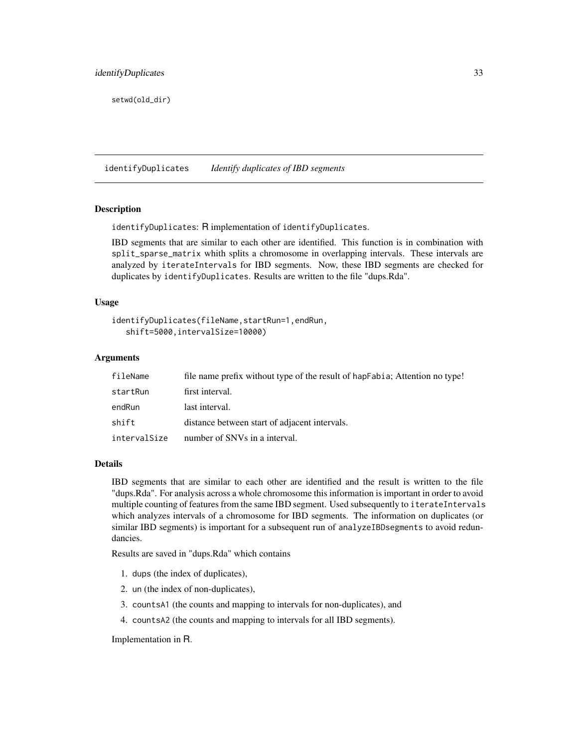<span id="page-32-0"></span>setwd(old\_dir)

<span id="page-32-1"></span>identifyDuplicates *Identify duplicates of IBD segments*

#### **Description**

identifyDuplicates: R implementation of identifyDuplicates.

IBD segments that are similar to each other are identified. This function is in combination with split\_sparse\_matrix whith splits a chromosome in overlapping intervals. These intervals are analyzed by iterateIntervals for IBD segments. Now, these IBD segments are checked for duplicates by identifyDuplicates. Results are written to the file "dups.Rda".

#### Usage

```
identifyDuplicates(fileName,startRun=1,endRun,
  shift=5000,intervalSize=10000)
```
# Arguments

| fileName     | file name prefix without type of the result of hapfabia; Attention no type! |
|--------------|-----------------------------------------------------------------------------|
| startRun     | first interval.                                                             |
| endRun       | last interval.                                                              |
| shift        | distance between start of adjacent intervals.                               |
| intervalSize | number of SNVs in a interval.                                               |

#### Details

IBD segments that are similar to each other are identified and the result is written to the file "dups.Rda". For analysis across a whole chromosome this information is important in order to avoid multiple counting of features from the same IBD segment. Used subsequently to iterateIntervals which analyzes intervals of a chromosome for IBD segments. The information on duplicates (or similar IBD segments) is important for a subsequent run of analyzeIBD segments to avoid redundancies.

Results are saved in "dups.Rda" which contains

- 1. dups (the index of duplicates),
- 2. un (the index of non-duplicates),
- 3. countsA1 (the counts and mapping to intervals for non-duplicates), and
- 4. countsA2 (the counts and mapping to intervals for all IBD segments).

Implementation in R.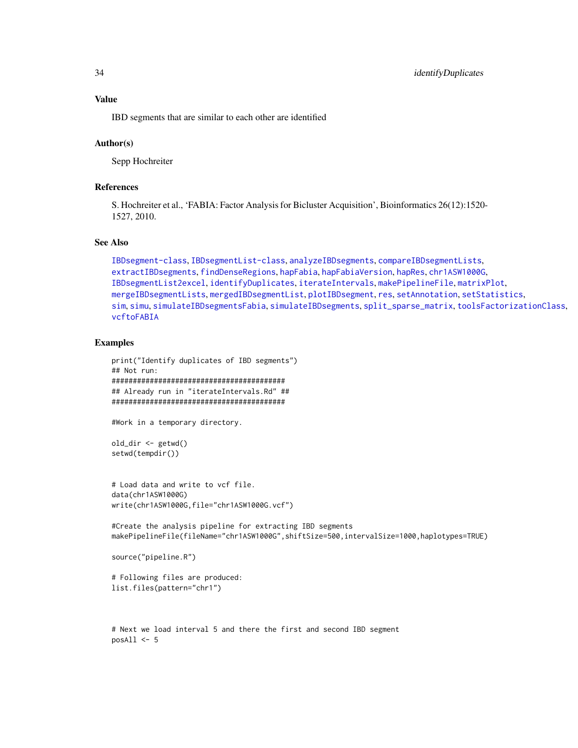IBD segments that are similar to each other are identified

#### Author(s)

Sepp Hochreiter

# References

S. Hochreiter et al., 'FABIA: Factor Analysis for Bicluster Acquisition', Bioinformatics 26(12):1520- 1527, 2010.

#### See Also

```
IBDsegment-class, IBDsegmentList-class, analyzeIBDsegments, compareIBDsegmentLists,
extractIBDsegments, findDenseRegions, hapFabia, hapFabiaVersion, hapRes, chr1ASW1000G,
IBDsegmentList2excel, identifyDuplicates, iterateIntervals, makePipelineFile, matrixPlot,
mergeIBDsegmentLists, mergedIBDsegmentList, plotIBDsegment, res, setAnnotation, setStatistics,
sim, simu, simulateIBDsegmentsFabia, simulateIBDsegments, split_sparse_matrix, toolsFactorizationClass,
vcftoFABIA
```
#### Examples

```
print("Identify duplicates of IBD segments")
## Not run:
#########################################
## Already run in "iterateIntervals.Rd" ##
#########################################
```
#Work in a temporary directory.

```
old_dir <- getwd()
setwd(tempdir())
```

```
# Load data and write to vcf file.
data(chr1ASW1000G)
write(chr1ASW1000G,file="chr1ASW1000G.vcf")
```
#Create the analysis pipeline for extracting IBD segments makePipelineFile(fileName="chr1ASW1000G",shiftSize=500,intervalSize=1000,haplotypes=TRUE)

```
source("pipeline.R")
```

```
# Following files are produced:
list.files(pattern="chr1")
```
# Next we load interval 5 and there the first and second IBD segment  $posAll < -5$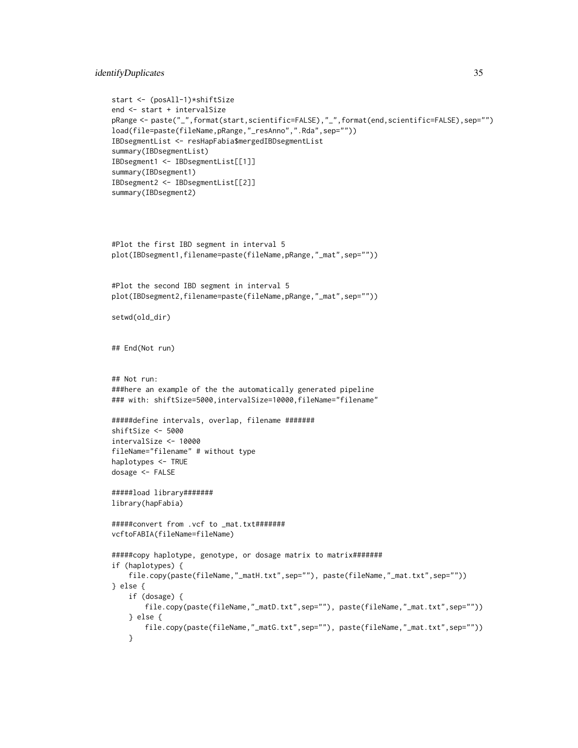# identifyDuplicates 35

```
start <- (posAll-1)*shiftSize
end <- start + intervalSize
pRange <- paste("_",format(start,scientific=FALSE),"_",format(end,scientific=FALSE),sep="")
load(file=paste(fileName,pRange,"_resAnno",".Rda",sep=""))
IBDsegmentList <- resHapFabia$mergedIBDsegmentList
summary(IBDsegmentList)
IBDsegment1 <- IBDsegmentList[[1]]
summary(IBDsegment1)
IBDsegment2 <- IBDsegmentList[[2]]
summary(IBDsegment2)
#Plot the first IBD segment in interval 5
plot(IBDsegment1,filename=paste(fileName,pRange,"_mat",sep=""))
```

```
#Plot the second IBD segment in interval 5
plot(IBDsegment2,filename=paste(fileName,pRange,"_mat",sep=""))
```

```
setwd(old_dir)
```
## End(Not run)

```
## Not run:
###here an example of the the automatically generated pipeline
### with: shiftSize=5000,intervalSize=10000,fileName="filename"
```

```
#####define intervals, overlap, filename #######
shiftSize <- 5000
intervalSize <- 10000
fileName="filename" # without type
haplotypes <- TRUE
dosage <- FALSE
```

```
#####load library#######
library(hapFabia)
```

```
#####convert from .vcf to _mat.txt#######
vcftoFABIA(fileName=fileName)
```

```
#####copy haplotype, genotype, or dosage matrix to matrix#######
if (haplotypes) {
    file.copy(paste(fileName,"_matH.txt",sep=""), paste(fileName,"_mat.txt",sep=""))
} else {
    if (dosage) {
       file.copy(paste(fileName,"_matD.txt",sep=""), paste(fileName,"_mat.txt",sep=""))
    } else {
       file.copy(paste(fileName,"_matG.txt",sep=""), paste(fileName,"_mat.txt",sep=""))
    }
```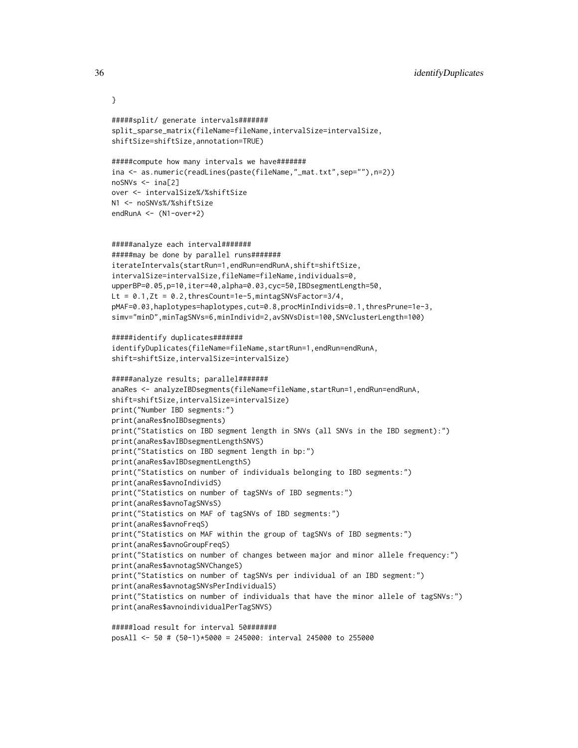```
#####split/ generate intervals#######
split_sparse_matrix(fileName=fileName,intervalSize=intervalSize,
shiftSize=shiftSize,annotation=TRUE)
#####compute how many intervals we have#######
ina <- as.numeric(readLines(paste(fileName,"_mat.txt",sep=""),n=2))
noSNVs <- ina[2]
over <- intervalSize%/%shiftSize
N1 <- noSNVs%/%shiftSize
endRunA <- (N1-over+2)
#####analyze each interval#######
#####may be done by parallel runs#######
iterateIntervals(startRun=1,endRun=endRunA,shift=shiftSize,
intervalSize=intervalSize,fileName=fileName,individuals=0,
upperBP=0.05,p=10,iter=40,alpha=0.03,cyc=50,IBDsegmentLength=50,
Lt = 0.1, Zt = 0.2, thresCount=1e-5, mintagSNVsFactor=3/4,
pMAF=0.03,haplotypes=haplotypes,cut=0.8,procMinIndivids=0.1,thresPrune=1e-3,
simv="minD",minTagSNVs=6,minIndivid=2,avSNVsDist=100,SNVclusterLength=100)
#####identify duplicates#######
identifyDuplicates(fileName=fileName,startRun=1,endRun=endRunA,
shift=shiftSize,intervalSize=intervalSize)
#####analyze results; parallel#######
anaRes <- analyzeIBDsegments(fileName=fileName,startRun=1,endRun=endRunA,
shift=shiftSize,intervalSize=intervalSize)
print("Number IBD segments:")
print(anaRes$noIBDsegments)
print("Statistics on IBD segment length in SNVs (all SNVs in the IBD segment):")
print(anaRes$avIBDsegmentLengthSNVS)
print("Statistics on IBD segment length in bp:")
print(anaRes$avIBDsegmentLengthS)
print("Statistics on number of individuals belonging to IBD segments:")
print(anaRes$avnoIndividS)
print("Statistics on number of tagSNVs of IBD segments:")
print(anaRes$avnoTagSNVsS)
print("Statistics on MAF of tagSNVs of IBD segments:")
print(anaRes$avnoFreqS)
print("Statistics on MAF within the group of tagSNVs of IBD segments:")
print(anaRes$avnoGroupFreqS)
print("Statistics on number of changes between major and minor allele frequency:")
print(anaRes$avnotagSNVChangeS)
print("Statistics on number of tagSNVs per individual of an IBD segment:")
print(anaRes$avnotagSNVsPerIndividualS)
print("Statistics on number of individuals that have the minor allele of tagSNVs:")
print(anaRes$avnoindividualPerTagSNVS)
```

```
#####load result for interval 50#######
posAll <- 50 # (50-1)*5000 = 245000: interval 245000 to 255000
```
}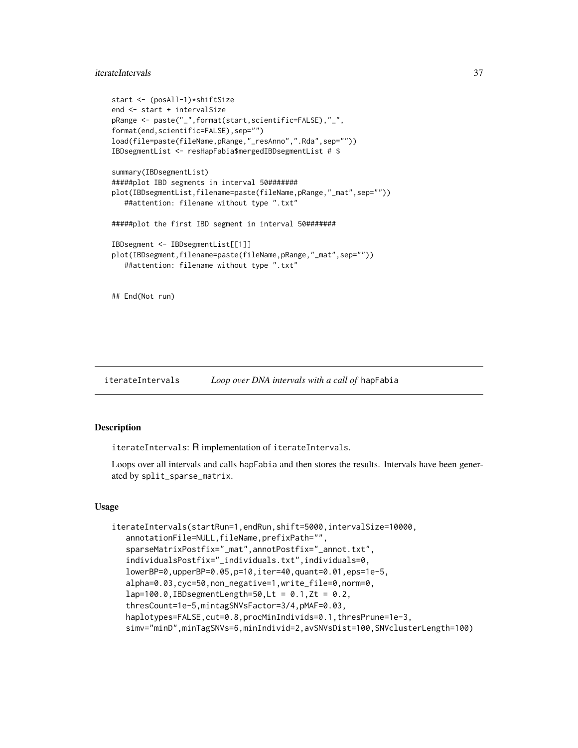# iterateIntervals 37

```
start <- (posAll-1)*shiftSize
end <- start + intervalSize
pRange <- paste("_",format(start,scientific=FALSE),"_",
format(end,scientific=FALSE),sep="")
load(file=paste(fileName,pRange,"_resAnno",".Rda",sep=""))
IBDsegmentList <- resHapFabia$mergedIBDsegmentList # $
summary(IBDsegmentList)
#####plot IBD segments in interval 50#######
plot(IBDsegmentList,filename=paste(fileName,pRange,"_mat",sep=""))
  ##attention: filename without type ".txt"
#####plot the first IBD segment in interval 50#######
IBDsegment <- IBDsegmentList[[1]]
plot(IBDsegment,filename=paste(fileName,pRange,"_mat",sep=""))
  ##attention: filename without type ".txt"
## End(Not run)
```
<span id="page-36-0"></span>iterateIntervals *Loop over DNA intervals with a call of* hapFabia

## **Description**

iterateIntervals: R implementation of iterateIntervals.

Loops over all intervals and calls hapFabia and then stores the results. Intervals have been generated by split\_sparse\_matrix.

#### Usage

```
iterateIntervals(startRun=1,endRun,shift=5000,intervalSize=10000,
  annotationFile=NULL,fileName,prefixPath="",
  sparseMatrixPostfix="_mat",annotPostfix="_annot.txt",
  individualsPostfix="_individuals.txt",individuals=0,
  lowerBP=0,upperBP=0.05,p=10,iter=40,quant=0.01,eps=1e-5,
  alpha=0.03,cyc=50,non_negative=1,write_file=0,norm=0,
  lap=100.0, IBD segmentLength=50, Lt = 0.1, Zt = 0.2,thresCount=1e-5,mintagSNVsFactor=3/4,pMAF=0.03,
  haplotypes=FALSE, cut=0.8, procMinIndivids=0.1, thresPrune=1e-3,
  simv="minD",minTagSNVs=6,minIndivid=2,avSNVsDist=100,SNVclusterLength=100)
```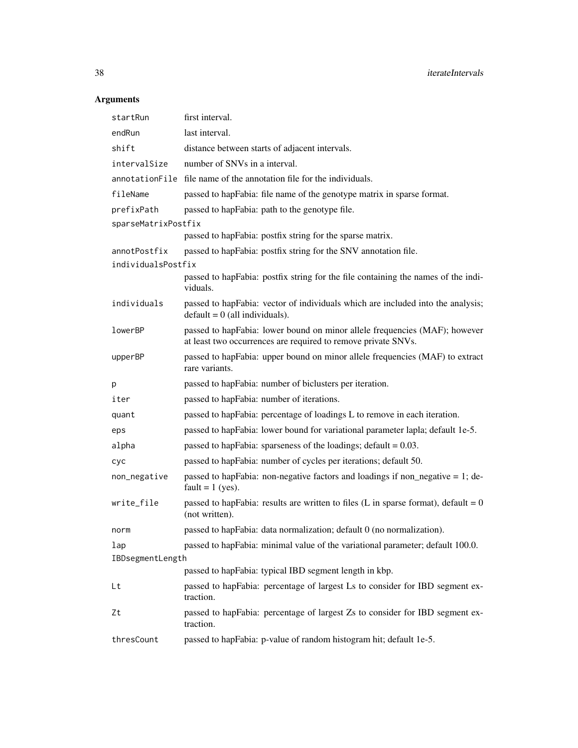# Arguments

| startRun            | first interval.                                                                                                                             |  |
|---------------------|---------------------------------------------------------------------------------------------------------------------------------------------|--|
| endRun              | last interval.                                                                                                                              |  |
| shift               | distance between starts of adjacent intervals.                                                                                              |  |
| intervalSize        | number of SNVs in a interval.                                                                                                               |  |
|                     | annotationFile file name of the annotation file for the individuals.                                                                        |  |
| fileName            | passed to hapFabia: file name of the genotype matrix in sparse format.                                                                      |  |
| prefixPath          | passed to hapFabia: path to the genotype file.                                                                                              |  |
| sparseMatrixPostfix |                                                                                                                                             |  |
|                     | passed to hapFabia: postfix string for the sparse matrix.                                                                                   |  |
| annotPostfix        | passed to hapFabia: postfix string for the SNV annotation file.                                                                             |  |
| individualsPostfix  |                                                                                                                                             |  |
|                     | passed to hapFabia: postfix string for the file containing the names of the indi-<br>viduals.                                               |  |
| individuals         | passed to hapFabia: vector of individuals which are included into the analysis;<br>$default = 0$ (all individuals).                         |  |
| lowerBP             | passed to hapFabia: lower bound on minor allele frequencies (MAF); however<br>at least two occurrences are required to remove private SNVs. |  |
| upperBP             | passed to hapFabia: upper bound on minor allele frequencies (MAF) to extract<br>rare variants.                                              |  |
| р                   | passed to hapFabia: number of biclusters per iteration.                                                                                     |  |
| iter                | passed to hapFabia: number of iterations.                                                                                                   |  |
| quant               | passed to hapFabia: percentage of loadings L to remove in each iteration.                                                                   |  |
| eps                 | passed to hapFabia: lower bound for variational parameter lapla; default 1e-5.                                                              |  |
| alpha               | passed to hapPabia: sparseness of the loadings; $\delta$ default = 0.03.                                                                    |  |
| cyc                 | passed to hapFabia: number of cycles per iterations; default 50.                                                                            |  |
| non_negative        | passed to hap Fabia: non-negative factors and loadings if non_negative $= 1$ ; de-<br>fault = $1$ (yes).                                    |  |
| write_file          | passed to hap Fabia: results are written to files (L in sparse format), default = $0$<br>(not written).                                     |  |
| norm                | passed to hapFabia: data normalization; default 0 (no normalization).                                                                       |  |
| lap                 | passed to hapFabia: minimal value of the variational parameter; default 100.0.                                                              |  |
| IBDsegmentLength    |                                                                                                                                             |  |
|                     | passed to hapFabia: typical IBD segment length in kbp.                                                                                      |  |
| Lt                  | passed to hapFabia: percentage of largest Ls to consider for IBD segment ex-<br>traction.                                                   |  |
| Zt                  | passed to hapFabia: percentage of largest Zs to consider for IBD segment ex-<br>traction.                                                   |  |
| thresCount          | passed to hapFabia: p-value of random histogram hit; default 1e-5.                                                                          |  |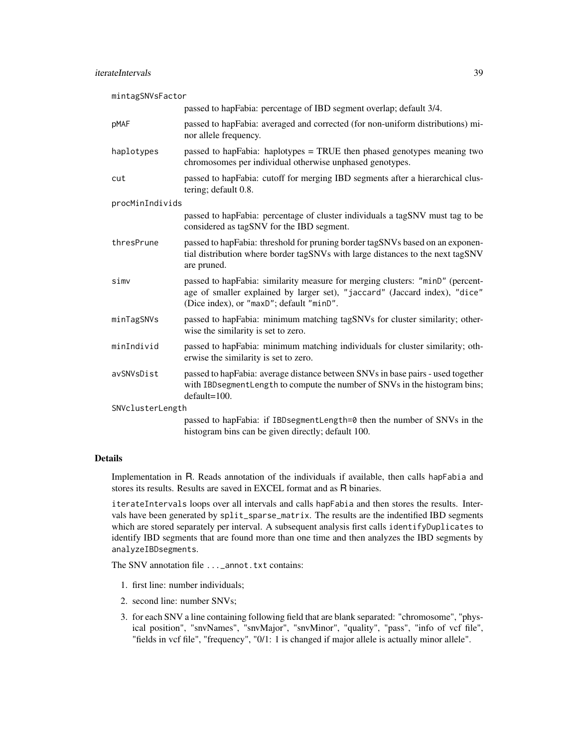mintagSNVsFactor

|                  | passed to hapFabia: percentage of IBD segment overlap; default 3/4.                                                                                                                                     |
|------------------|---------------------------------------------------------------------------------------------------------------------------------------------------------------------------------------------------------|
| pMAF             | passed to hapFabia: averaged and corrected (for non-uniform distributions) mi-<br>nor allele frequency.                                                                                                 |
| haplotypes       | passed to hapFabia: haplotypes = TRUE then phased genotypes meaning two<br>chromosomes per individual otherwise unphased genotypes.                                                                     |
| cut              | passed to hapFabia: cutoff for merging IBD segments after a hierarchical clus-<br>tering; default 0.8.                                                                                                  |
| procMinIndivids  |                                                                                                                                                                                                         |
|                  | passed to hapFabia: percentage of cluster individuals a tagSNV must tag to be<br>considered as tagSNV for the IBD segment.                                                                              |
| thresPrune       | passed to hapFabia: threshold for pruning border tagSNVs based on an exponen-<br>tial distribution where border tagSNVs with large distances to the next tagSNV<br>are pruned.                          |
| simv             | passed to hapFabia: similarity measure for merging clusters: "minD" (percent-<br>age of smaller explained by larger set), "jaccard" (Jaccard index), "dice"<br>(Dice index), or "maxD"; default "minD". |
| minTagSNVs       | passed to hapFabia: minimum matching tagSNVs for cluster similarity; other-<br>wise the similarity is set to zero.                                                                                      |
| minIndivid       | passed to hap Fabia: minimum matching individuals for cluster similarity; oth-<br>erwise the similarity is set to zero.                                                                                 |
| avSNVsDist       | passed to hapFabia: average distance between SNVs in base pairs - used together<br>with IBDsegmentLength to compute the number of SNVs in the histogram bins;<br>$default=100.$                         |
| SNVclusterLength |                                                                                                                                                                                                         |
|                  | passed to hapFabia: if IBDsegmentLength=0 then the number of SNVs in the<br>histogram bins can be given directly; default 100.                                                                          |

#### Details

Implementation in R. Reads annotation of the individuals if available, then calls hapFabia and stores its results. Results are saved in EXCEL format and as R binaries.

iterateIntervals loops over all intervals and calls hapFabia and then stores the results. Intervals have been generated by split\_sparse\_matrix. The results are the indentified IBD segments which are stored separately per interval. A subsequent analysis first calls identifyDuplicates to identify IBD segments that are found more than one time and then analyzes the IBD segments by analyzeIBDsegments.

The SNV annotation file ...\_annot.txt contains:

- 1. first line: number individuals;
- 2. second line: number SNVs;
- 3. for each SNV a line containing following field that are blank separated: "chromosome", "physical position", "snvNames", "snvMajor", "snvMinor", "quality", "pass", "info of vcf file", "fields in vcf file", "frequency", "0/1: 1 is changed if major allele is actually minor allele".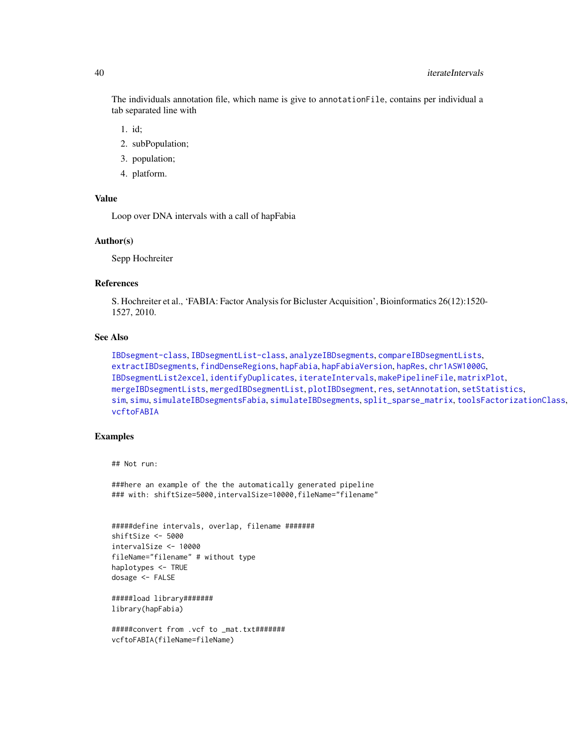The individuals annotation file, which name is give to annotationFile, contains per individual a tab separated line with

- 1. id;
- 2. subPopulation;
- 3. population;
- 4. platform.

## Value

Loop over DNA intervals with a call of hapFabia

#### Author(s)

Sepp Hochreiter

#### References

S. Hochreiter et al., 'FABIA: Factor Analysis for Bicluster Acquisition', Bioinformatics 26(12):1520- 1527, 2010.

# See Also

```
IBDsegment-class, IBDsegmentList-class, analyzeIBDsegments, compareIBDsegmentLists,
extractIBDsegments, findDenseRegions, hapFabia, hapFabiaVersion, hapRes, chr1ASW1000G,
IBDsegmentList2excel, identifyDuplicates, iterateIntervals, makePipelineFile, matrixPlot,
mergeIBDsegmentLists, mergedIBDsegmentList, plotIBDsegment, res, setAnnotation, setStatistics,
sim, simu, simulateIBDsegmentsFabia, simulateIBDsegments, split_sparse_matrix, toolsFactorizationClass,
vcftoFABIA
```
# Examples

## Not run:

###here an example of the the automatically generated pipeline ### with: shiftSize=5000,intervalSize=10000,fileName="filename"

```
#####define intervals, overlap, filename #######
shiftSize <- 5000
intervalSize <- 10000
fileName="filename" # without type
haplotypes <- TRUE
dosage <- FALSE
```

```
#####load library#######
library(hapFabia)
```

```
#####convert from .vcf to _mat.txt#######
vcftoFABIA(fileName=fileName)
```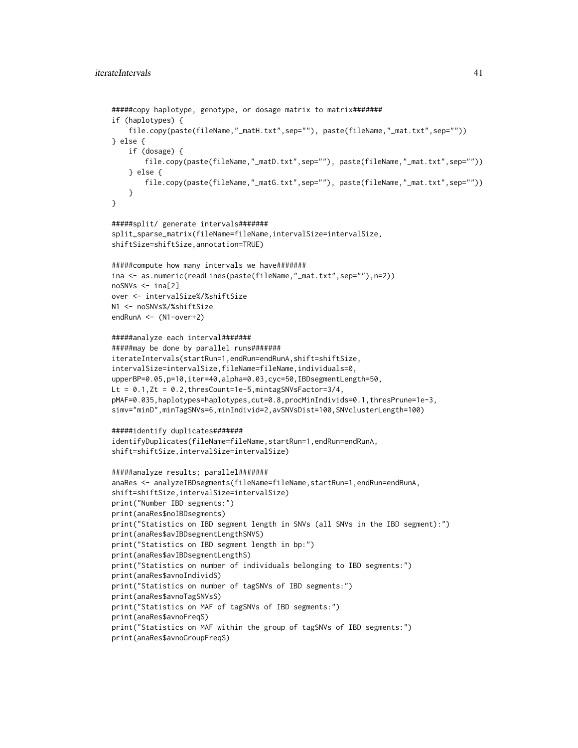```
#####copy haplotype, genotype, or dosage matrix to matrix#######
if (haplotypes) {
    file.copy(paste(fileName,"_matH.txt",sep=""), paste(fileName,"_mat.txt",sep=""))
} else {
   if (dosage) {
       file.copy(paste(fileName,"_matD.txt",sep=""), paste(fileName,"_mat.txt",sep=""))
    } else {
       file.copy(paste(fileName,"_matG.txt",sep=""), paste(fileName,"_mat.txt",sep=""))
    }
}
#####split/ generate intervals#######
split_sparse_matrix(fileName=fileName,intervalSize=intervalSize,
shiftSize=shiftSize,annotation=TRUE)
#####compute how many intervals we have#######
ina <- as.numeric(readLines(paste(fileName,"_mat.txt",sep=""),n=2))
noSNVs <- ina[2]
over <- intervalSize%/%shiftSize
N1 <- noSNVs%/%shiftSize
endRunA <- (N1-over+2)
#####analyze each interval#######
#####may be done by parallel runs#######
iterateIntervals(startRun=1,endRun=endRunA,shift=shiftSize,
intervalSize=intervalSize,fileName=fileName,individuals=0,
upperBP=0.05,p=10,iter=40,alpha=0.03,cyc=50,IBDsegmentLength=50,
Lt = 0.1, Zt = 0.2, thresCount=1e-5, mintagSNVsFactor=3/4,
pMAF=0.035,haplotypes=haplotypes,cut=0.8,procMinIndivids=0.1,thresPrune=1e-3,
simv="minD",minTagSNVs=6,minIndivid=2,avSNVsDist=100,SNVclusterLength=100)
#####identify duplicates#######
identifyDuplicates(fileName=fileName,startRun=1,endRun=endRunA,
shift=shiftSize,intervalSize=intervalSize)
#####analyze results; parallel#######
anaRes <- analyzeIBDsegments(fileName=fileName,startRun=1,endRun=endRunA,
shift=shiftSize,intervalSize=intervalSize)
print("Number IBD segments:")
print(anaRes$noIBDsegments)
print("Statistics on IBD segment length in SNVs (all SNVs in the IBD segment):")
print(anaRes$avIBDsegmentLengthSNVS)
print("Statistics on IBD segment length in bp:")
print(anaRes$avIBDsegmentLengthS)
print("Statistics on number of individuals belonging to IBD segments:")
print(anaRes$avnoIndividS)
print("Statistics on number of tagSNVs of IBD segments:")
print(anaRes$avnoTagSNVsS)
print("Statistics on MAF of tagSNVs of IBD segments:")
print(anaRes$avnoFreqS)
print("Statistics on MAF within the group of tagSNVs of IBD segments:")
print(anaRes$avnoGroupFreqS)
```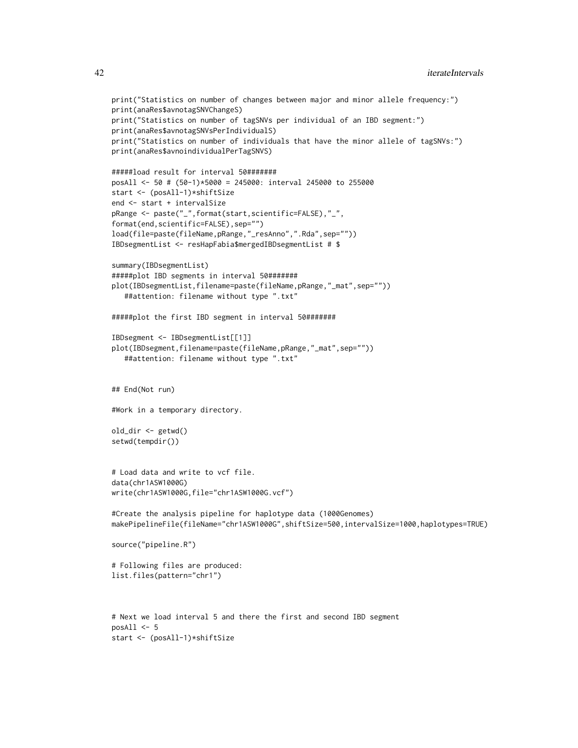```
print("Statistics on number of changes between major and minor allele frequency:")
print(anaRes$avnotagSNVChangeS)
print("Statistics on number of tagSNVs per individual of an IBD segment:")
print(anaRes$avnotagSNVsPerIndividualS)
print("Statistics on number of individuals that have the minor allele of tagSNVs:")
print(anaRes$avnoindividualPerTagSNVS)
#####load result for interval 50#######
posAll <- 50 # (50-1)*5000 = 245000: interval 245000 to 255000
start <- (posAll-1)*shiftSize
end <- start + intervalSize
pRange <- paste("_",format(start,scientific=FALSE),"_",
format(end,scientific=FALSE),sep="")
load(file=paste(fileName,pRange,"_resAnno",".Rda",sep=""))
IBDsegmentList <- resHapFabia$mergedIBDsegmentList # $
summary(IBDsegmentList)
#####plot IBD segments in interval 50#######
plot(IBDsegmentList,filename=paste(fileName,pRange,"_mat",sep=""))
   ##attention: filename without type ".txt"
#####plot the first IBD segment in interval 50#######
IBDsegment <- IBDsegmentList[[1]]
plot(IBDsegment,filename=paste(fileName,pRange,"_mat",sep=""))
   ##attention: filename without type ".txt"
## End(Not run)
#Work in a temporary directory.
old_dir <- getwd()
setwd(tempdir())
# Load data and write to vcf file.
data(chr1ASW1000G)
write(chr1ASW1000G,file="chr1ASW1000G.vcf")
#Create the analysis pipeline for haplotype data (1000Genomes)
makePipelineFile(fileName="chr1ASW1000G",shiftSize=500,intervalSize=1000,haplotypes=TRUE)
source("pipeline.R")
# Following files are produced:
list.files(pattern="chr1")
# Next we load interval 5 and there the first and second IBD segment
posAll < -5
```

```
start <- (posAll-1)*shiftSize
```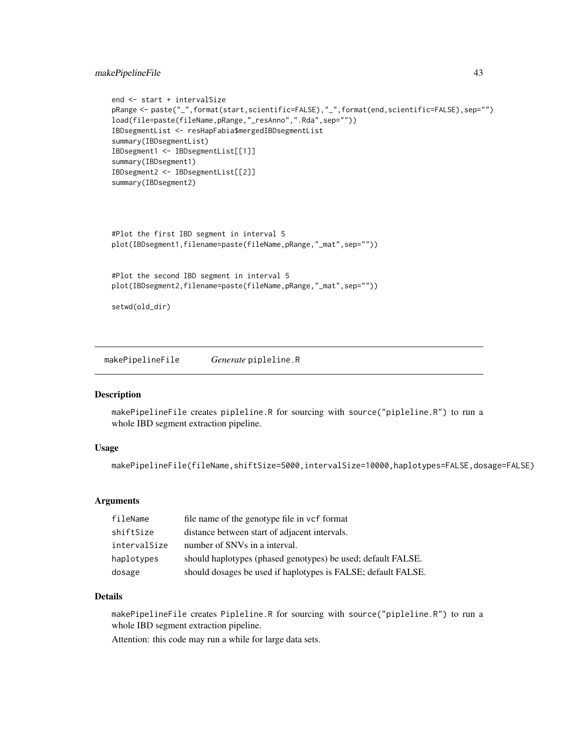# makePipelineFile 43

```
end <- start + intervalSize
pRange <- paste("_",format(start,scientific=FALSE),"_",format(end,scientific=FALSE),sep="")
load(file=paste(fileName,pRange,"_resAnno",".Rda",sep=""))
IBDsegmentList <- resHapFabia$mergedIBDsegmentList
summary(IBDsegmentList)
IBDsegment1 <- IBDsegmentList[[1]]
summary(IBDsegment1)
IBDsegment2 <- IBDsegmentList[[2]]
summary(IBDsegment2)
```

```
#Plot the first IBD segment in interval 5
plot(IBDsegment1,filename=paste(fileName,pRange,"_mat",sep=""))
```

```
#Plot the second IBD segment in interval 5
plot(IBDsegment2,filename=paste(fileName,pRange,"_mat",sep=""))
```
setwd(old\_dir)

<span id="page-42-0"></span>makePipelineFile *Generate* pipleline.R

## Description

makePipelineFile creates pipleline.R for sourcing with source("pipleline.R") to run a whole IBD segment extraction pipeline.

#### Usage

makePipelineFile(fileName,shiftSize=5000,intervalSize=10000,haplotypes=FALSE,dosage=FALSE)

#### Arguments

| fileName     | file name of the genotype file in vcf format                  |
|--------------|---------------------------------------------------------------|
| shiftSize    | distance between start of adjacent intervals.                 |
| intervalSize | number of SNVs in a interval.                                 |
| haplotypes   | should haplotypes (phased genotypes) be used; default FALSE.  |
| dosage       | should dosages be used if haplotypes is FALSE; default FALSE. |

#### Details

makePipelineFile creates Pipleline.R for sourcing with source("pipleline.R") to run a whole IBD segment extraction pipeline.

Attention: this code may run a while for large data sets.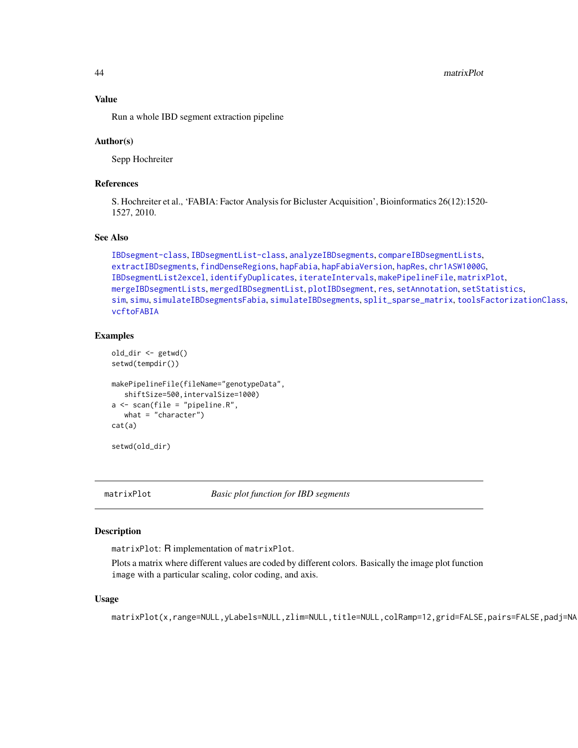44 matrixPlot

#### Value

Run a whole IBD segment extraction pipeline

#### Author(s)

Sepp Hochreiter

## References

S. Hochreiter et al., 'FABIA: Factor Analysis for Bicluster Acquisition', Bioinformatics 26(12):1520- 1527, 2010.

## See Also

```
IBDsegment-class, IBDsegmentList-class, analyzeIBDsegments, compareIBDsegmentLists,
extractIBDsegments, findDenseRegions, hapFabia, hapFabiaVersion, hapRes, chr1ASW1000G,
IBDsegmentList2excel, identifyDuplicates, iterateIntervals, makePipelineFile, matrixPlot,
mergeIBDsegmentLists, mergedIBDsegmentList, plotIBDsegment, res, setAnnotation, setStatistics,
sim, simu, simulateIBDsegmentsFabia, simulateIBDsegments, split_sparse_matrix, toolsFactorizationClass,
vcftoFABIA
```
#### Examples

```
old_dir <- getwd()
setwd(tempdir())
makePipelineFile(fileName="genotypeData",
   shiftSize=500,intervalSize=1000)
a <- scan(file = "pipeline.R",
   what = "character")
cat(a)
```
setwd(old\_dir)

<span id="page-43-0"></span>

matrixPlot *Basic plot function for IBD segments*

#### **Description**

matrixPlot: R implementation of matrixPlot.

Plots a matrix where different values are coded by different colors. Basically the image plot function image with a particular scaling, color coding, and axis.

#### Usage

matrixPlot(x,range=NULL,yLabels=NULL,zlim=NULL,title=NULL,colRamp=12,grid=FALSE,pairs=FALSE,padj=NA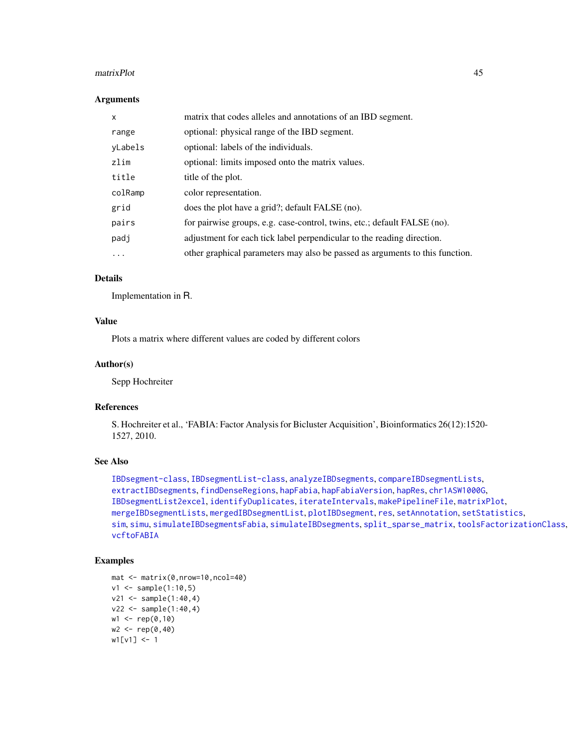#### matrixPlot 45

#### Arguments

| $\mathsf{x}$ | matrix that codes alleles and annotations of an IBD segment.                 |
|--------------|------------------------------------------------------------------------------|
| range        | optional: physical range of the IBD segment.                                 |
| yLabels      | optional: labels of the individuals.                                         |
| zlim         | optional: limits imposed onto the matrix values.                             |
| title        | title of the plot.                                                           |
| colRamp      | color representation.                                                        |
| grid         | does the plot have a grid?; default FALSE (no).                              |
| pairs        | for pairwise groups, e.g. case-control, twins, etc.; default FALSE (no).     |
| padj         | adjustment for each tick label perpendicular to the reading direction.       |
| $\cdots$     | other graphical parameters may also be passed as arguments to this function. |

## Details

Implementation in R.

## Value

Plots a matrix where different values are coded by different colors

#### Author(s)

Sepp Hochreiter

# References

S. Hochreiter et al., 'FABIA: Factor Analysis for Bicluster Acquisition', Bioinformatics 26(12):1520- 1527, 2010.

#### See Also

```
IBDsegment-class, IBDsegmentList-class, analyzeIBDsegments, compareIBDsegmentLists,
extractIBDsegments, findDenseRegions, hapFabia, hapFabiaVersion, hapRes, chr1ASW1000G,
IBDsegmentList2excel, identifyDuplicates, iterateIntervals, makePipelineFile, matrixPlot,
mergeIBDsegmentLists, mergedIBDsegmentList, plotIBDsegment, res, setAnnotation, setStatistics,
sim, simu, simulateIBDsegmentsFabia, simulateIBDsegments, split_sparse_matrix, toolsFactorizationClass,
vcftoFABIA
```
# Examples

```
mat <- matrix(0,nrow=10,ncol=40)
v1 \leq - sample(1:10,5)
v21 < - sample(1:40, 4)v22 < - sample(1:40, 4)w1 \leq -rep(0,10)w2 < -\text{rep}(0, 40)w1[v1] <- 1
```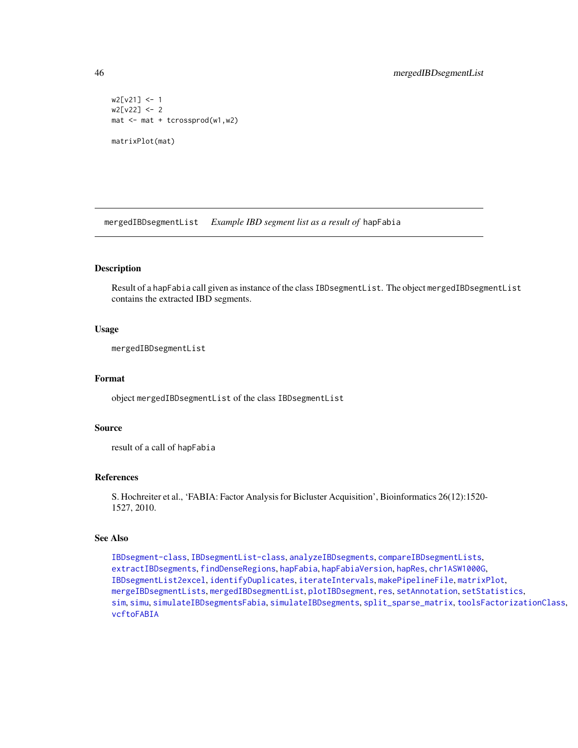```
w2[v21] <- 1
w2[v22] <- 2
mat <- mat + tcrossprod(w1,w2)
matrixPlot(mat)
```
<span id="page-45-0"></span>mergedIBDsegmentList *Example IBD segment list as a result of* hapFabia

# Description

Result of a hapFabia call given as instance of the class IBDsegmentList. The object mergedIBDsegmentList contains the extracted IBD segments.

#### Usage

mergedIBDsegmentList

## Format

object mergedIBDsegmentList of the class IBDsegmentList

## Source

result of a call of hapFabia

# References

S. Hochreiter et al., 'FABIA: Factor Analysis for Bicluster Acquisition', Bioinformatics 26(12):1520- 1527, 2010.

#### See Also

[IBDsegment-class](#page-21-0), [IBDsegmentList-class](#page-26-0), [analyzeIBDsegments](#page-2-0), [compareIBDsegmentLists](#page-8-0), [extractIBDsegments](#page-9-0), [findDenseRegions](#page-12-0), [hapFabia](#page-13-0), [hapFabiaVersion](#page-19-0), [hapRes](#page-19-1), [chr1ASW1000G](#page-7-0), [IBDsegmentList2excel](#page-30-0), [identifyDuplicates](#page-32-0), [iterateIntervals](#page-36-0), [makePipelineFile](#page-42-0), [matrixPlot](#page-43-0), [mergeIBDsegmentLists](#page-46-0), [mergedIBDsegmentList](#page-45-0), [plotIBDsegment](#page-47-0), [res](#page-50-0), [setAnnotation](#page-51-0), [setStatistics](#page-53-0), [sim](#page-55-0), [simu](#page-56-0), [simulateIBDsegmentsFabia](#page-59-0), [simulateIBDsegments](#page-57-0), [split\\_sparse\\_matrix](#page-61-0), [toolsFactorizationClass](#page-65-0), [vcftoFABIA](#page-67-0)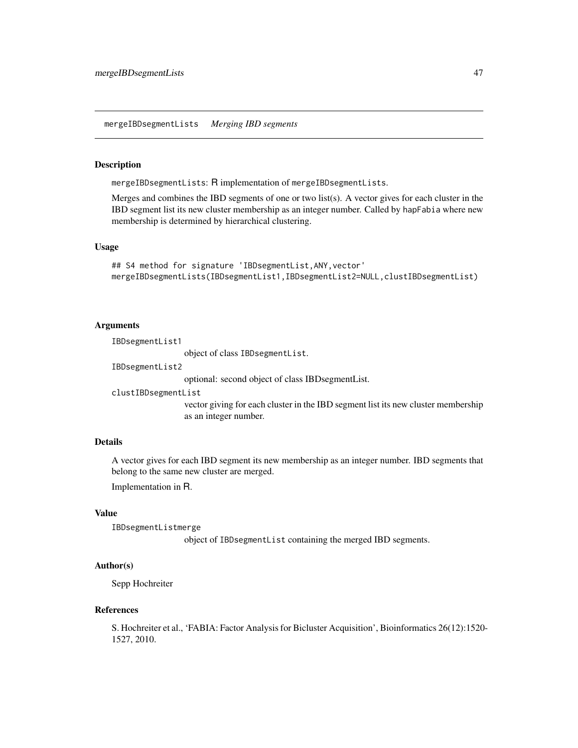#### <span id="page-46-0"></span>Description

mergeIBDsegmentLists: R implementation of mergeIBDsegmentLists.

Merges and combines the IBD segments of one or two list(s). A vector gives for each cluster in the IBD segment list its new cluster membership as an integer number. Called by hapFabia where new membership is determined by hierarchical clustering.

#### Usage

```
## S4 method for signature 'IBDsegmentList, ANY, vector'
mergeIBDsegmentLists(IBDsegmentList1,IBDsegmentList2=NULL,clustIBDsegmentList)
```
#### Arguments

IBDsegmentList1

object of class IBDsegmentList.

IBDsegmentList2

optional: second object of class IBDsegmentList.

clustIBDsegmentList

vector giving for each cluster in the IBD segment list its new cluster membership as an integer number.

# Details

A vector gives for each IBD segment its new membership as an integer number. IBD segments that belong to the same new cluster are merged.

Implementation in R.

#### Value

IBDsegmentListmerge object of IBDsegmentList containing the merged IBD segments.

#### Author(s)

Sepp Hochreiter

#### References

S. Hochreiter et al., 'FABIA: Factor Analysis for Bicluster Acquisition', Bioinformatics 26(12):1520- 1527, 2010.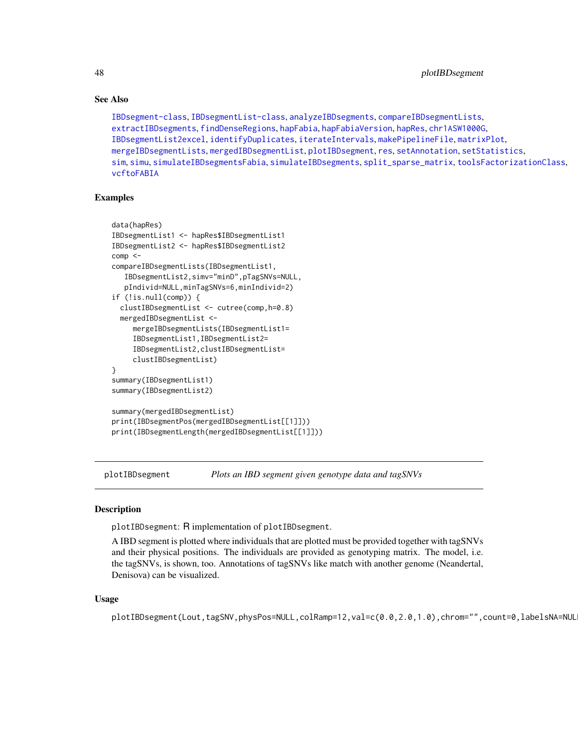48 plotIBDsegment

## See Also

```
IBDsegment-class, IBDsegmentList-class, analyzeIBDsegments, compareIBDsegmentLists,
extractIBDsegments, findDenseRegions, hapFabia, hapFabiaVersion, hapRes, chr1ASW1000G,
IBDsegmentList2excel, identifyDuplicates, iterateIntervals, makePipelineFile, matrixPlot,
mergeIBDsegmentLists, mergedIBDsegmentList, plotIBDsegment, res, setAnnotation, setStatistics,
sim, simu, simulateIBDsegmentsFabia, simulateIBDsegments, split_sparse_matrix, toolsFactorizationClass,
vcftoFABIA
```
# Examples

```
data(hapRes)
IBDsegmentList1 <- hapRes$IBDsegmentList1
IBDsegmentList2 <- hapRes$IBDsegmentList2
comp < -compareIBDsegmentLists(IBDsegmentList1,
  IBDsegmentList2,simv="minD",pTagSNVs=NULL,
  pIndivid=NULL,minTagSNVs=6,minIndivid=2)
if (!is.null(comp)) {
 clustIBDsegmentList <- cutree(comp,h=0.8)
 mergedIBDsegmentList <-
     mergeIBDsegmentLists(IBDsegmentList1=
     IBDsegmentList1,IBDsegmentList2=
     IBDsegmentList2,clustIBDsegmentList=
     clustIBDsegmentList)
}
summary(IBDsegmentList1)
summary(IBDsegmentList2)
summary(mergedIBDsegmentList)
print(IBDsegmentPos(mergedIBDsegmentList[[1]]))
print(IBDsegmentLength(mergedIBDsegmentList[[1]]))
```
<span id="page-47-0"></span>plotIBDsegment *Plots an IBD segment given genotype data and tagSNVs*

## Description

plotIBDsegment: R implementation of plotIBDsegment.

A IBD segment is plotted where individuals that are plotted must be provided together with tagSNVs and their physical positions. The individuals are provided as genotyping matrix. The model, i.e. the tagSNVs, is shown, too. Annotations of tagSNVs like match with another genome (Neandertal, Denisova) can be visualized.

#### Usage

plotIBDsegment(Lout,tagSNV,physPos=NULL,colRamp=12,val=c(0.0,2.0,1.0),chrom="",count=0,labelsNA=NUL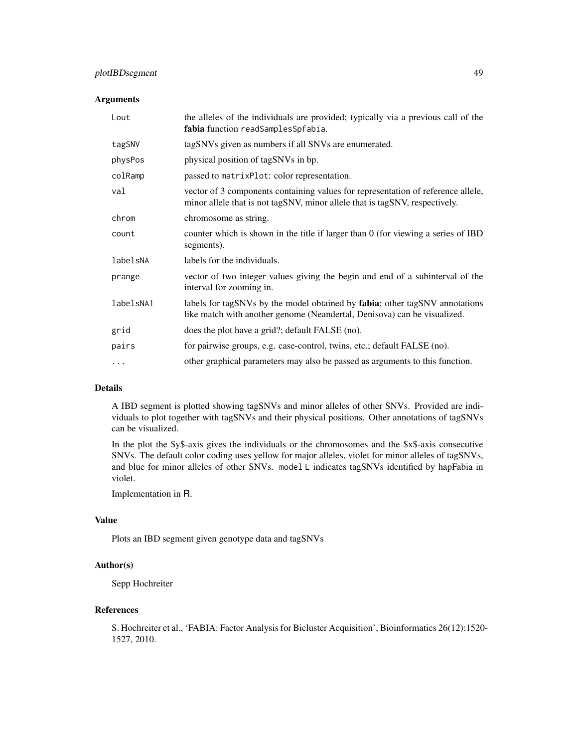# plotIBDsegment 49

#### Arguments

| Lout      | the alleles of the individuals are provided; typically via a previous call of the<br>fabia function readSamplesSpfabia.                                         |
|-----------|-----------------------------------------------------------------------------------------------------------------------------------------------------------------|
| tagSNV    | tagSNVs given as numbers if all SNVs are enumerated.                                                                                                            |
| physPos   | physical position of tagSNVs in bp.                                                                                                                             |
| colRamp   | passed to matrixPlot: color representation.                                                                                                                     |
| val       | vector of 3 components containing values for representation of reference allele,<br>minor allele that is not tagSNV, minor allele that is tagSNV, respectively. |
| chrom     | chromosome as string.                                                                                                                                           |
| count     | counter which is shown in the title if larger than 0 (for viewing a series of IBD<br>segments).                                                                 |
| labelsNA  | labels for the individuals.                                                                                                                                     |
| prange    | vector of two integer values giving the begin and end of a subinterval of the<br>interval for zooming in.                                                       |
| labelsNA1 | labels for tagSNVs by the model obtained by fabia; other tagSNV annotations<br>like match with another genome (Neandertal, Denisova) can be visualized.         |
| grid      | does the plot have a grid?; default FALSE (no).                                                                                                                 |
| pairs     | for pairwise groups, e.g. case-control, twins, etc.; default FALSE (no).                                                                                        |
| .         | other graphical parameters may also be passed as arguments to this function.                                                                                    |

## Details

A IBD segment is plotted showing tagSNVs and minor alleles of other SNVs. Provided are individuals to plot together with tagSNVs and their physical positions. Other annotations of tagSNVs can be visualized.

In the plot the \$y\$-axis gives the individuals or the chromosomes and the \$x\$-axis consecutive SNVs. The default color coding uses yellow for major alleles, violet for minor alleles of tagSNVs, and blue for minor alleles of other SNVs. model L indicates tagSNVs identified by hapFabia in violet.

Implementation in R.

## Value

Plots an IBD segment given genotype data and tagSNVs

## Author(s)

Sepp Hochreiter

#### References

S. Hochreiter et al., 'FABIA: Factor Analysis for Bicluster Acquisition', Bioinformatics 26(12):1520- 1527, 2010.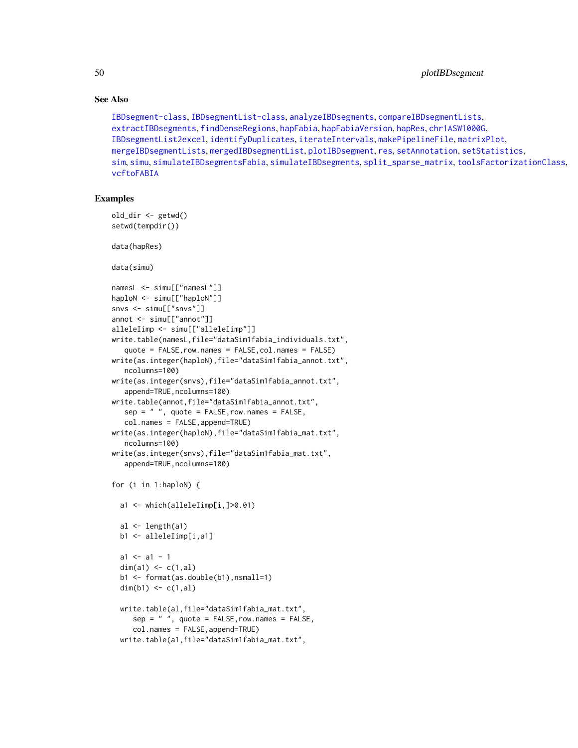50 plotIBDsegment

## See Also

```
IBDsegment-class, IBDsegmentList-class, analyzeIBDsegments, compareIBDsegmentLists,
extractIBDsegments, findDenseRegions, hapFabia, hapFabiaVersion, hapRes, chr1ASW1000G,
IBDsegmentList2excel, identifyDuplicates, iterateIntervals, makePipelineFile, matrixPlot,
mergeIBDsegmentLists, mergedIBDsegmentList, plotIBDsegment, res, setAnnotation, setStatistics,
sim, simu, simulateIBDsegmentsFabia, simulateIBDsegments, split_sparse_matrix, toolsFactorizationClass,
vcftoFABIA
```
# Examples

```
old_dir <- getwd()
setwd(tempdir())
data(hapRes)
data(simu)
namesL <- simu[["namesL"]]
haploN <- simu[["haploN"]]
snvs <- simu[["snvs"]]
annot <- simu[["annot"]]
alleleIimp <- simu[["alleleIimp"]]
write.table(namesL,file="dataSim1fabia_individuals.txt",
   quote = FALSE,row.names = FALSE,col.names = FALSE)
write(as.integer(haploN),file="dataSim1fabia_annot.txt",
   ncolumns=100)
write(as.integer(snvs),file="dataSim1fabia_annot.txt",
   append=TRUE,ncolumns=100)
write.table(annot,file="dataSim1fabia_annot.txt",
   sep = " ", quote = FALSE, row.names = FALSE,
   col.names = FALSE,append=TRUE)
write(as.integer(haploN),file="dataSim1fabia_mat.txt",
   ncolumns=100)
write(as.integer(snvs),file="dataSim1fabia_mat.txt",
   append=TRUE, ncolumns=100)
for (i in 1:haploN) {
  a1 <- which(alleleIimp[i,]>0.01)
  al \leftarrow length(a1)
  b1 <- alleleIimp[i,a1]
  a1 \leftarrow a1 - 1dim(a1) \leq -c(1, a1)b1 <- format(as.double(b1),nsmall=1)
  dim(b1) \leq c(1,al)
  write.table(al,file="dataSim1fabia_mat.txt",
     sep = " ", quote = FALSE, row. names = FALSE,col.names = FALSE,append=TRUE)
  write.table(a1,file="dataSim1fabia_mat.txt",
```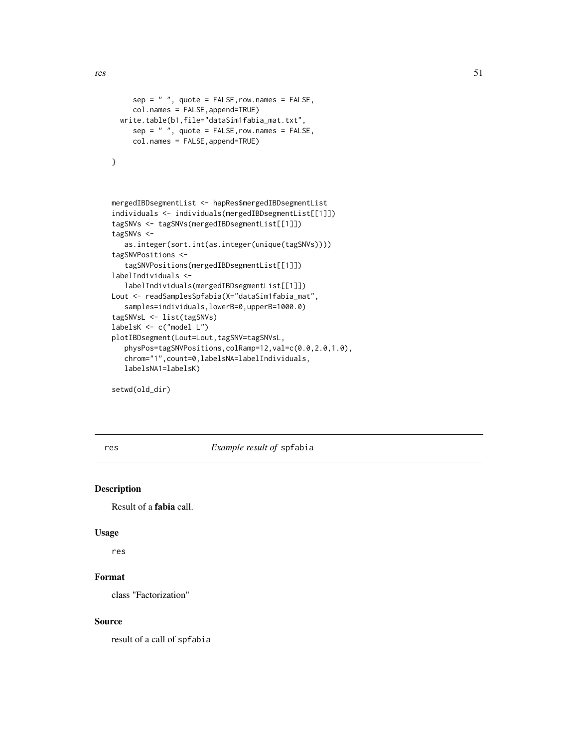```
sep = " ", quote = FALSE, row. names = FALSE,col.names = FALSE,append=TRUE)
 write.table(b1,file="dataSim1fabia_mat.txt",
     sep = " ", quote = FALSE, row.name = FALSE,col.names = FALSE,append=TRUE)
}
mergedIBDsegmentList <- hapRes$mergedIBDsegmentList
individuals <- individuals(mergedIBDsegmentList[[1]])
tagSNVs <- tagSNVs(mergedIBDsegmentList[[1]])
tagSNVs <-
   as.integer(sort.int(as.integer(unique(tagSNVs))))
tagSNVPositions <-
   tagSNVPositions(mergedIBDsegmentList[[1]])
labelIndividuals <-
  labelIndividuals(mergedIBDsegmentList[[1]])
Lout <- readSamplesSpfabia(X="dataSim1fabia_mat",
   samples=individuals,lowerB=0,upperB=1000.0)
tagSNVsL <- list(tagSNVs)
labelsK <- c("model L")
plotIBDsegment(Lout=Lout,tagSNV=tagSNVsL,
  physPos=tagSNVPositions,colRamp=12,val=c(0.0,2.0,1.0),
   chrom="1",count=0,labelsNA=labelIndividuals,
  labelsNA1=labelsK)
```
setwd(old\_dir)

<span id="page-50-0"></span>res *Example result of* spfabia

## Description

Result of a fabia call.

#### Usage

res

# Format

class "Factorization"

## Source

result of a call of spfabia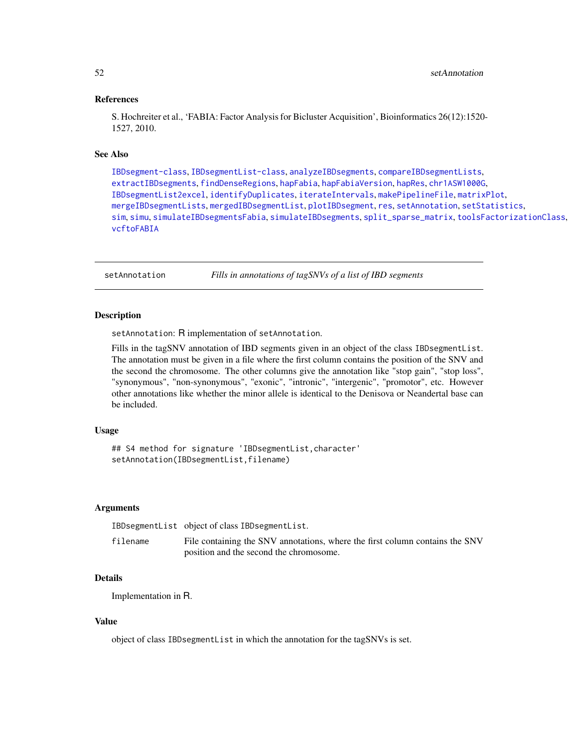## References

S. Hochreiter et al., 'FABIA: Factor Analysis for Bicluster Acquisition', Bioinformatics 26(12):1520- 1527, 2010.

## See Also

[IBDsegment-class](#page-21-0), [IBDsegmentList-class](#page-26-0), [analyzeIBDsegments](#page-2-0), [compareIBDsegmentLists](#page-8-0), [extractIBDsegments](#page-9-0), [findDenseRegions](#page-12-0), [hapFabia](#page-13-0), [hapFabiaVersion](#page-19-0), [hapRes](#page-19-1), [chr1ASW1000G](#page-7-0), [IBDsegmentList2excel](#page-30-0), [identifyDuplicates](#page-32-0), [iterateIntervals](#page-36-0), [makePipelineFile](#page-42-0), [matrixPlot](#page-43-0), [mergeIBDsegmentLists](#page-46-0), [mergedIBDsegmentList](#page-45-0), [plotIBDsegment](#page-47-0), [res](#page-50-0), [setAnnotation](#page-51-0), [setStatistics](#page-53-0), [sim](#page-55-0), [simu](#page-56-0), [simulateIBDsegmentsFabia](#page-59-0), [simulateIBDsegments](#page-57-0), [split\\_sparse\\_matrix](#page-61-0), [toolsFactorizationClass](#page-65-0), [vcftoFABIA](#page-67-0)

<span id="page-51-0"></span>setAnnotation *Fills in annotations of tagSNVs of a list of IBD segments*

## **Description**

setAnnotation: R implementation of setAnnotation.

Fills in the tagSNV annotation of IBD segments given in an object of the class IBDsegmentList. The annotation must be given in a file where the first column contains the position of the SNV and the second the chromosome. The other columns give the annotation like "stop gain", "stop loss", "synonymous", "non-synonymous", "exonic", "intronic", "intergenic", "promotor", etc. However other annotations like whether the minor allele is identical to the Denisova or Neandertal base can be included.

## Usage

```
## S4 method for signature 'IBDsegmentList,character'
setAnnotation(IBDsegmentList,filename)
```
#### Arguments

|          | IBDsegmentList object of class IBDsegmentList.                               |
|----------|------------------------------------------------------------------------------|
| filename | File containing the SNV annotations, where the first column contains the SNV |
|          | position and the second the chromosome.                                      |

# Details

Implementation in R.

#### Value

object of class IBDsegmentList in which the annotation for the tagSNVs is set.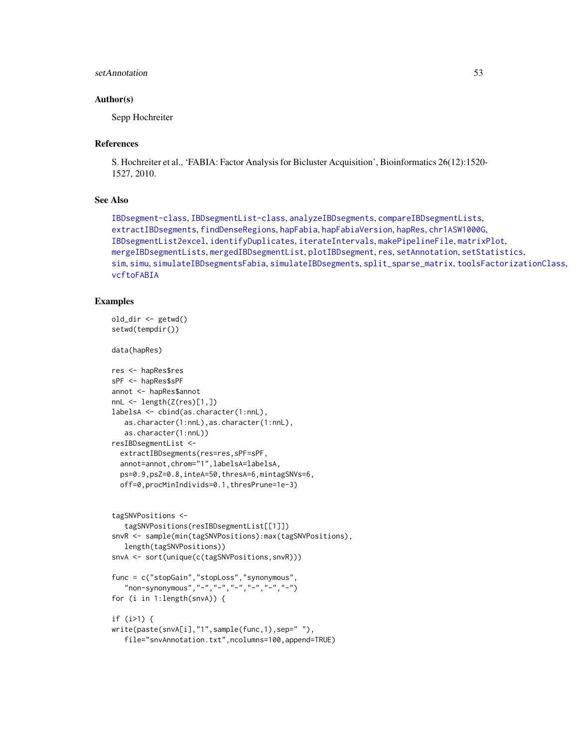# setAnnotation 53

#### Author(s)

Sepp Hochreiter

#### References

S. Hochreiter et al., 'FABIA: Factor Analysis for Bicluster Acquisition', Bioinformatics 26(12):1520- 1527, 2010.

#### See Also

```
IBDsegment-class, IBDsegmentList-class, analyzeIBDsegments, compareIBDsegmentLists,
extractIBDsegments, findDenseRegions, hapFabia, hapFabiaVersion, hapRes, chr1ASW1000G,
IBDsegmentList2excel, identifyDuplicates, iterateIntervals, makePipelineFile, matrixPlot,
mergeIBDsegmentLists, mergedIBDsegmentList, plotIBDsegment, res, setAnnotation, setStatistics,
sim, simu, simulateIBDsegmentsFabia, simulateIBDsegments, split_sparse_matrix, toolsFactorizationClass,
vcftoFABIA
```
## Examples

```
old_dir <- getwd()
setwd(tempdir())
data(hapRes)
res <- hapRes$res
sPF <- hapRes$sPF
annot <- hapRes$annot
nnL < - length(Z(res)[1,])
labelsA <- cbind(as.character(1:nnL),
  as.character(1:nnL),as.character(1:nnL),
   as.character(1:nnL))
resIBDsegmentList <-
 extractIBDsegments(res=res,sPF=sPF,
 annot=annot,chrom="1",labelsA=labelsA,
 ps=0.9,psZ=0.8,inteA=50,thresA=6,mintagSNVs=6,
 off=0,procMinIndivids=0.1,thresPrune=1e-3)
tagSNVPositions <-
  tagSNVPositions(resIBDsegmentList[[1]])
snvR <- sample(min(tagSNVPositions):max(tagSNVPositions),
  length(tagSNVPositions))
snvA <- sort(unique(c(tagSNVPositions,snvR)))
func = c("stopGain","stopLoss","synonymous",
   "non-synonymous","-","-","-","-","-","-")
for (i in 1:length(snvA)) {
if (i>1) {
write(paste(snvA[i],"1",sample(func,1),sep=" "),
```

```
file="snvAnnotation.txt",ncolumns=100,append=TRUE)
```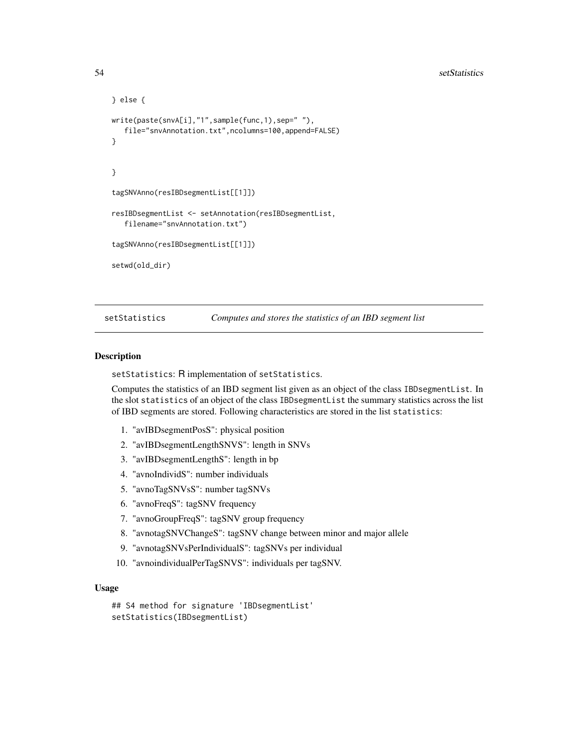```
} else {
write(paste(snvA[i],"1",sample(func,1),sep=" "),
   file="snvAnnotation.txt",ncolumns=100,append=FALSE)
}
}
tagSNVAnno(resIBDsegmentList[[1]])
resIBDsegmentList <- setAnnotation(resIBDsegmentList,
   filename="snvAnnotation.txt")
tagSNVAnno(resIBDsegmentList[[1]])
setwd(old_dir)
```
<span id="page-53-0"></span>setStatistics *Computes and stores the statistics of an IBD segment list*

#### Description

setStatistics: R implementation of setStatistics.

Computes the statistics of an IBD segment list given as an object of the class IBDsegmentList. In the slot statistics of an object of the class IBDsegmentList the summary statistics across the list of IBD segments are stored. Following characteristics are stored in the list statistics:

- 1. "avIBDsegmentPosS": physical position
- 2. "avIBDsegmentLengthSNVS": length in SNVs
- 3. "avIBDsegmentLengthS": length in bp
- 4. "avnoIndividS": number individuals
- 5. "avnoTagSNVsS": number tagSNVs
- 6. "avnoFreqS": tagSNV frequency
- 7. "avnoGroupFreqS": tagSNV group frequency
- 8. "avnotagSNVChangeS": tagSNV change between minor and major allele
- 9. "avnotagSNVsPerIndividualS": tagSNVs per individual
- 10. "avnoindividualPerTagSNVS": individuals per tagSNV.

#### Usage

```
## S4 method for signature 'IBDsegmentList'
setStatistics(IBDsegmentList)
```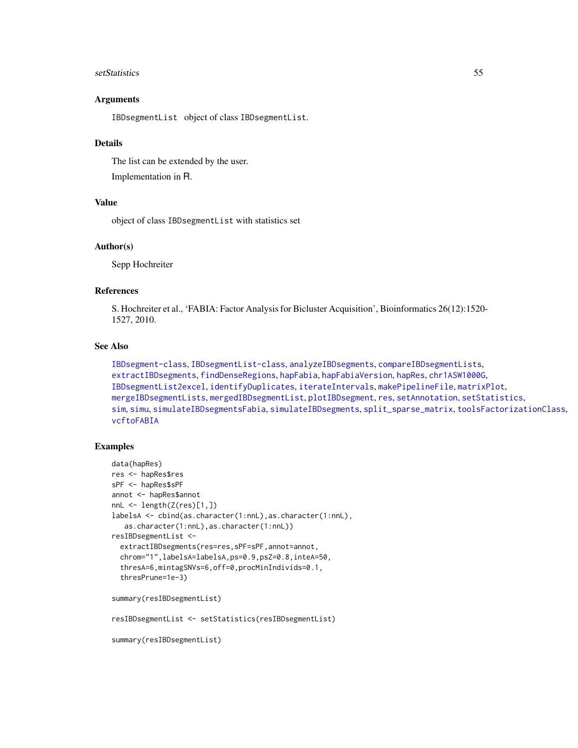#### setStatistics 55

## Arguments

IBDsegmentList object of class IBDsegmentList.

#### Details

The list can be extended by the user. Implementation in R.

## Value

object of class IBDsegmentList with statistics set

#### Author(s)

Sepp Hochreiter

# References

S. Hochreiter et al., 'FABIA: Factor Analysis for Bicluster Acquisition', Bioinformatics 26(12):1520- 1527, 2010.

## See Also

```
IBDsegment-class, IBDsegmentList-class, analyzeIBDsegments, compareIBDsegmentLists,
extractIBDsegments, findDenseRegions, hapFabia, hapFabiaVersion, hapRes, chr1ASW1000G,
IBDsegmentList2excel, identifyDuplicates, iterateIntervals, makePipelineFile, matrixPlot,
mergeIBDsegmentLists, mergedIBDsegmentList, plotIBDsegment, res, setAnnotation, setStatistics,
sim, simu, simulateIBDsegmentsFabia, simulateIBDsegments, split_sparse_matrix, toolsFactorizationClass,
vcftoFABIA
```
# Examples

```
data(hapRes)
res <- hapRes$res
sPF <- hapRes$sPF
annot <- hapRes$annot
nnL <- length(Z(res)[1,])
labelsA <- cbind(as.character(1:nnL),as.character(1:nnL),
   as.character(1:nnL),as.character(1:nnL))
resIBDsegmentList <-
  extractIBDsegments(res=res,sPF=sPF,annot=annot,
  chrom="1",labelsA=labelsA,ps=0.9,psZ=0.8,inteA=50,
  thresA=6,mintagSNVs=6,off=0,procMinIndivids=0.1,
  thresPrune=1e-3)
summary(resIBDsegmentList)
resIBDsegmentList <- setStatistics(resIBDsegmentList)
```
summary(resIBDsegmentList)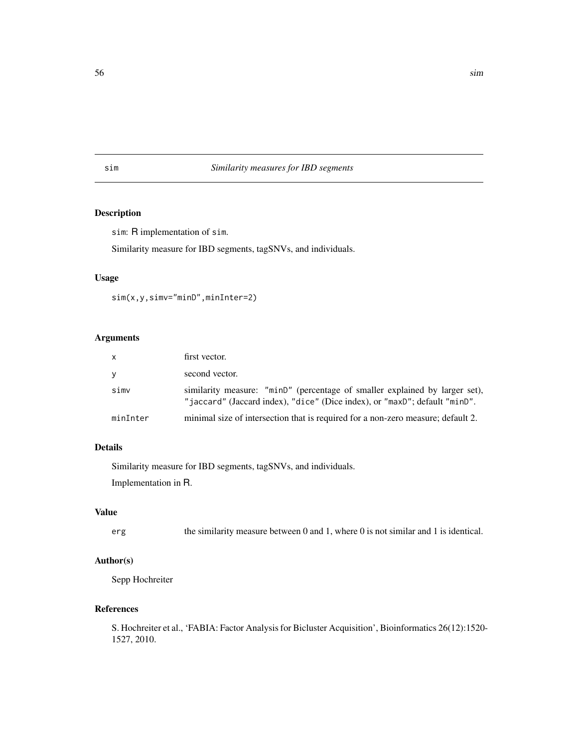# <span id="page-55-0"></span>sim *Similarity measures for IBD segments*

# Description

sim: R implementation of sim.

Similarity measure for IBD segments, tagSNVs, and individuals.

# Usage

sim(x,y,simv="minD",minInter=2)

# Arguments

| <b>X</b> | first vector.                                                                                                                                             |
|----------|-----------------------------------------------------------------------------------------------------------------------------------------------------------|
| V        | second vector.                                                                                                                                            |
| simv     | similarity measure: "minD" (percentage of smaller explained by larger set),<br>"jaccard" (Jaccard index), "dice" (Dice index), or "maxD"; default "minD". |
| minInter | minimal size of intersection that is required for a non-zero measure; default 2.                                                                          |

# Details

Similarity measure for IBD segments, tagSNVs, and individuals. Implementation in R.

#### Value

erg the similarity measure between 0 and 1, where 0 is not similar and 1 is identical.

## Author(s)

Sepp Hochreiter

#### References

S. Hochreiter et al., 'FABIA: Factor Analysis for Bicluster Acquisition', Bioinformatics 26(12):1520- 1527, 2010.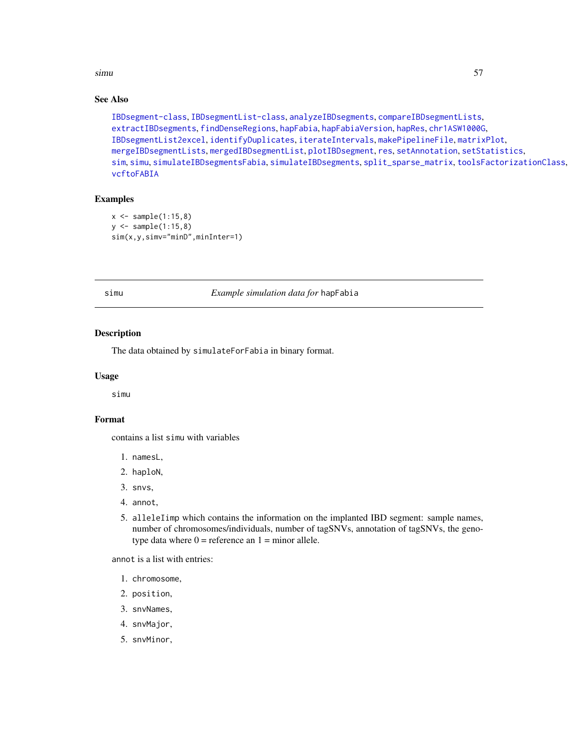#### simu 57 S

# See Also

```
IBDsegment-class, IBDsegmentList-class, analyzeIBDsegments, compareIBDsegmentLists,
extractIBDsegments, findDenseRegions, hapFabia, hapFabiaVersion, hapRes, chr1ASW1000G,
IBDsegmentList2excel, identifyDuplicates, iterateIntervals, makePipelineFile, matrixPlot,
mergeIBDsegmentLists, mergedIBDsegmentList, plotIBDsegment, res, setAnnotation, setStatistics,
sim, simu, simulateIBDsegmentsFabia, simulateIBDsegments, split_sparse_matrix, toolsFactorizationClass,
vcftoFABIA
```
#### Examples

```
x < - sample(1:15,8)
y \le - sample(1:15,8)
sim(x,y,simv="minD",minInter=1)
```
<span id="page-56-0"></span>

simu *Example simulation data for* hapFabia

#### Description

The data obtained by simulateForFabia in binary format.

#### Usage

simu

# Format

contains a list simu with variables

- 1. namesL,
- 2. haploN,
- 3. snvs,
- 4. annot,
- 5. alleleIimp which contains the information on the implanted IBD segment: sample names, number of chromosomes/individuals, number of tagSNVs, annotation of tagSNVs, the genotype data where  $0 =$  reference an  $1 =$  minor allele.

annot is a list with entries:

- 1. chromosome,
- 2. position,
- 3. snvNames,
- 4. snvMajor,
- 5. snvMinor,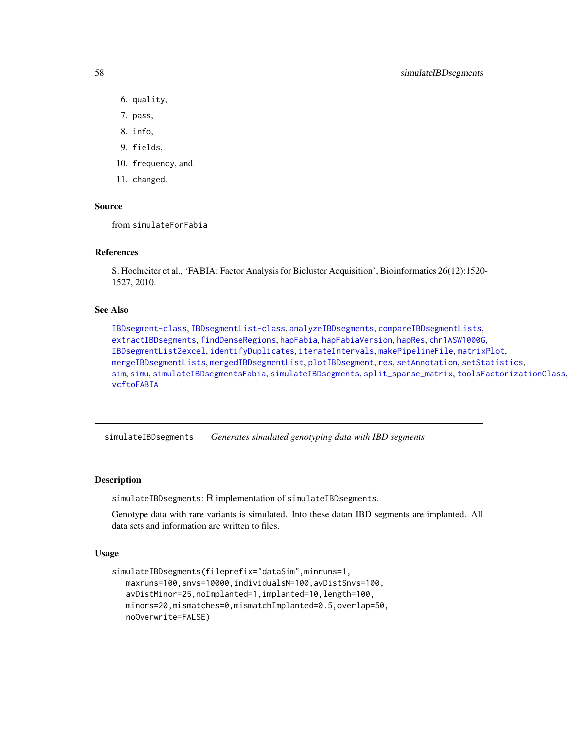- 6. quality,
- 7. pass,
- 8. info,
- 9. fields,
- 10. frequency, and
- 11. changed.

## Source

from simulateForFabia

#### References

S. Hochreiter et al., 'FABIA: Factor Analysis for Bicluster Acquisition', Bioinformatics 26(12):1520- 1527, 2010.

#### See Also

```
IBDsegment-class, IBDsegmentList-class, analyzeIBDsegments, compareIBDsegmentLists,
extractIBDsegments, findDenseRegions, hapFabia, hapFabiaVersion, hapRes, chr1ASW1000G,
IBDsegmentList2excel, identifyDuplicates, iterateIntervals, makePipelineFile, matrixPlot,
mergeIBDsegmentLists, mergedIBDsegmentList, plotIBDsegment, res, setAnnotation, setStatistics,
sim, simu, simulateIBDsegmentsFabia, simulateIBDsegments, split_sparse_matrix, toolsFactorizationClass,
vcftoFABIA
```
<span id="page-57-0"></span>simulateIBDsegments *Generates simulated genotyping data with IBD segments*

#### Description

simulateIBDsegments: R implementation of simulateIBDsegments.

Genotype data with rare variants is simulated. Into these datan IBD segments are implanted. All data sets and information are written to files.

#### Usage

```
simulateIBDsegments(fileprefix="dataSim",minruns=1,
   maxruns=100,snvs=10000,individualsN=100,avDistSnvs=100,
   avDistMinor=25,noImplanted=1,implanted=10,length=100,
   minors=20,mismatches=0,mismatchImplanted=0.5,overlap=50,
   noOverwrite=FALSE)
```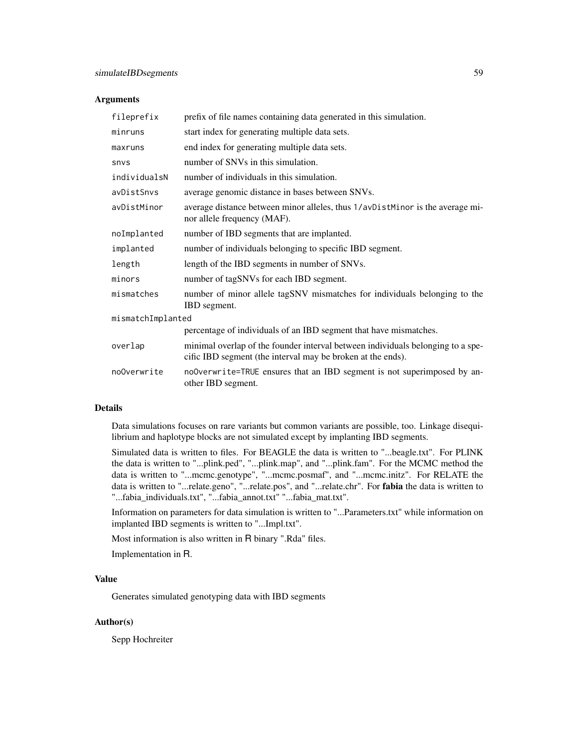#### Arguments

| fileprefix        | prefix of file names containing data generated in this simulation.                                                                             |  |
|-------------------|------------------------------------------------------------------------------------------------------------------------------------------------|--|
| minruns           | start index for generating multiple data sets.                                                                                                 |  |
| maxruns           | end index for generating multiple data sets.                                                                                                   |  |
| snys              | number of SNVs in this simulation.                                                                                                             |  |
| individualsN      | number of individuals in this simulation.                                                                                                      |  |
| avDistSnvs        | average genomic distance in bases between SNVs.                                                                                                |  |
| avDistMinor       | average distance between minor alleles, thus 1/avDistMinor is the average mi-<br>nor allele frequency (MAF).                                   |  |
| noImplanted       | number of IBD segments that are implanted.                                                                                                     |  |
| implanted         | number of individuals belonging to specific IBD segment.                                                                                       |  |
| length            | length of the IBD segments in number of SNVs.                                                                                                  |  |
| minors            | number of tagSNVs for each IBD segment.                                                                                                        |  |
| mismatches        | number of minor allele tagSNV mismatches for individuals belonging to the<br><b>IBD</b> segment.                                               |  |
| mismatchImplanted |                                                                                                                                                |  |
|                   | percentage of individuals of an IBD segment that have mismatches.                                                                              |  |
| overlap           | minimal overlap of the founder interval between individuals belonging to a spe-<br>cific IBD segment (the interval may be broken at the ends). |  |
| noOverwrite       | noOverwrite=TRUE ensures that an IBD segment is not superimposed by an-<br>other IBD segment.                                                  |  |

## Details

Data simulations focuses on rare variants but common variants are possible, too. Linkage disequilibrium and haplotype blocks are not simulated except by implanting IBD segments.

Simulated data is written to files. For BEAGLE the data is written to "...beagle.txt". For PLINK the data is written to "...plink.ped", "...plink.map", and "...plink.fam". For the MCMC method the data is written to "...mcmc.genotype", "...mcmc.posmaf", and "...mcmc.initz". For RELATE the data is written to "...relate.geno", "...relate.pos", and "...relate.chr". For fabia the data is written to "...fabia\_individuals.txt", "...fabia\_annot.txt" "...fabia\_mat.txt".

Information on parameters for data simulation is written to "...Parameters.txt" while information on implanted IBD segments is written to "...Impl.txt".

Most information is also written in R binary ".Rda" files.

Implementation in R.

# Value

Generates simulated genotyping data with IBD segments

#### Author(s)

Sepp Hochreiter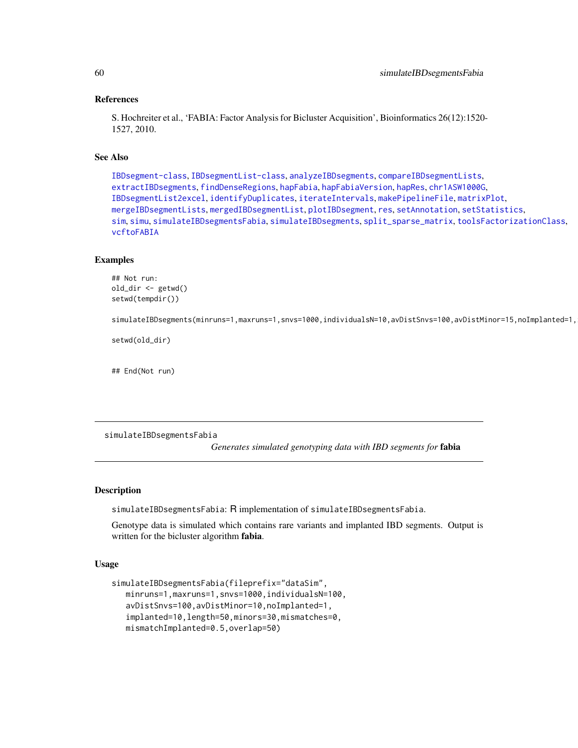#### References

S. Hochreiter et al., 'FABIA: Factor Analysis for Bicluster Acquisition', Bioinformatics 26(12):1520- 1527, 2010.

## See Also

[IBDsegment-class](#page-21-0), [IBDsegmentList-class](#page-26-0), [analyzeIBDsegments](#page-2-0), [compareIBDsegmentLists](#page-8-0), [extractIBDsegments](#page-9-0), [findDenseRegions](#page-12-0), [hapFabia](#page-13-0), [hapFabiaVersion](#page-19-0), [hapRes](#page-19-1), [chr1ASW1000G](#page-7-0), [IBDsegmentList2excel](#page-30-0), [identifyDuplicates](#page-32-0), [iterateIntervals](#page-36-0), [makePipelineFile](#page-42-0), [matrixPlot](#page-43-0), [mergeIBDsegmentLists](#page-46-0), [mergedIBDsegmentList](#page-45-0), [plotIBDsegment](#page-47-0), [res](#page-50-0), [setAnnotation](#page-51-0), [setStatistics](#page-53-0), [sim](#page-55-0), [simu](#page-56-0), [simulateIBDsegmentsFabia](#page-59-0), [simulateIBDsegments](#page-57-0), [split\\_sparse\\_matrix](#page-61-0), [toolsFactorizationClass](#page-65-0), [vcftoFABIA](#page-67-0)

## Examples

```
## Not run:
old_dir <- getwd()
setwd(tempdir())
```
simulateIBDsegments(minruns=1,maxruns=1,snvs=1000,individualsN=10,avDistSnvs=100,avDistMinor=15,noImplanted=1,

setwd(old\_dir)

## End(Not run)

<span id="page-59-0"></span>simulateIBDsegmentsFabia

*Generates simulated genotyping data with IBD segments for* fabia

#### Description

simulateIBDsegmentsFabia: R implementation of simulateIBDsegmentsFabia.

Genotype data is simulated which contains rare variants and implanted IBD segments. Output is written for the bicluster algorithm fabia.

## Usage

```
simulateIBDsegmentsFabia(fileprefix="dataSim",
  minruns=1,maxruns=1,snvs=1000,individualsN=100,
  avDistSnvs=100,avDistMinor=10,noImplanted=1,
  implanted=10,length=50,minors=30,mismatches=0,
  mismatchImplanted=0.5,overlap=50)
```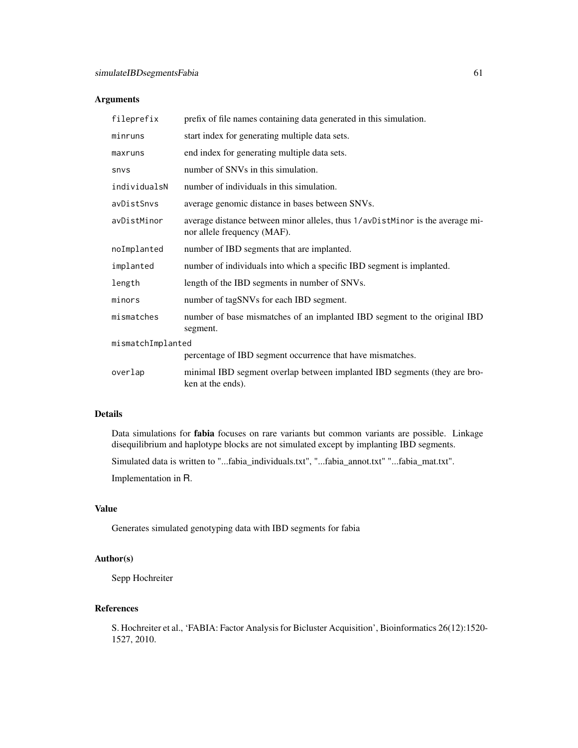## Arguments

| fileprefix        | prefix of file names containing data generated in this simulation.                                           |  |
|-------------------|--------------------------------------------------------------------------------------------------------------|--|
| minruns           | start index for generating multiple data sets.                                                               |  |
| maxruns           | end index for generating multiple data sets.                                                                 |  |
| <b>SNVS</b>       | number of SNVs in this simulation.                                                                           |  |
| individualsN      | number of individuals in this simulation.                                                                    |  |
| avDistSnvs        | average genomic distance in bases between SNVs.                                                              |  |
| avDistMinor       | average distance between minor alleles, thus 1/avDistMinor is the average mi-<br>nor allele frequency (MAF). |  |
| noImplanted       | number of IBD segments that are implanted.                                                                   |  |
| implanted         | number of individuals into which a specific IBD segment is implanted.                                        |  |
| length            | length of the IBD segments in number of SNVs.                                                                |  |
| minors            | number of tagSNVs for each IBD segment.                                                                      |  |
| mismatches        | number of base mismatches of an implanted IBD segment to the original IBD<br>segment.                        |  |
| mismatchImplanted |                                                                                                              |  |
|                   | percentage of IBD segment occurrence that have mismatches.                                                   |  |
| overlap           | minimal IBD segment overlap between implanted IBD segments (they are bro-<br>ken at the ends).               |  |

# Details

Data simulations for fabia focuses on rare variants but common variants are possible. Linkage disequilibrium and haplotype blocks are not simulated except by implanting IBD segments.

Simulated data is written to "...fabia\_individuals.txt", "...fabia\_annot.txt" "...fabia\_mat.txt".

Implementation in R.

## Value

Generates simulated genotyping data with IBD segments for fabia

# Author(s)

Sepp Hochreiter

# References

S. Hochreiter et al., 'FABIA: Factor Analysis for Bicluster Acquisition', Bioinformatics 26(12):1520- 1527, 2010.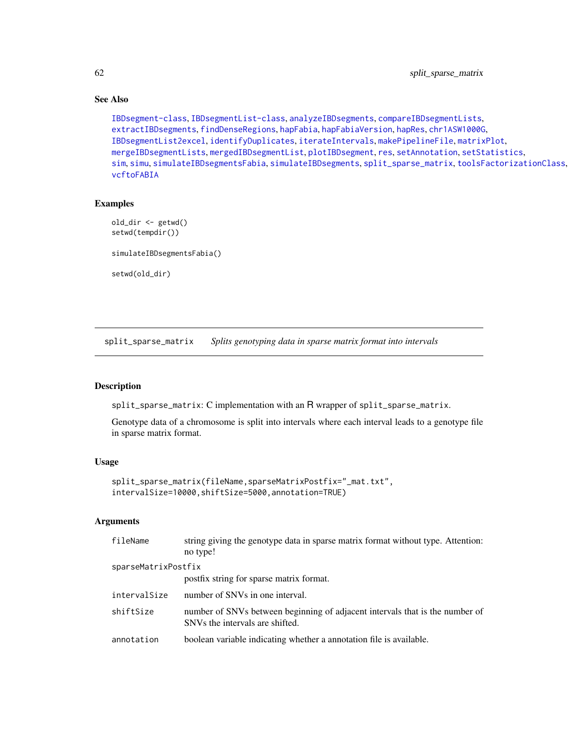# See Also

```
IBDsegment-class, IBDsegmentList-class, analyzeIBDsegments, compareIBDsegmentLists,
extractIBDsegments, findDenseRegions, hapFabia, hapFabiaVersion, hapRes, chr1ASW1000G,
IBDsegmentList2excel, identifyDuplicates, iterateIntervals, makePipelineFile, matrixPlot,
mergeIBDsegmentLists, mergedIBDsegmentList, plotIBDsegment, res, setAnnotation, setStatistics,
sim, simu, simulateIBDsegmentsFabia, simulateIBDsegments, split_sparse_matrix, toolsFactorizationClass,
vcftoFABIA
```
#### Examples

```
old_dir <- getwd()
setwd(tempdir())
simulateIBDsegmentsFabia()
setwd(old_dir)
```
<span id="page-61-0"></span>split\_sparse\_matrix *Splits genotyping data in sparse matrix format into intervals*

#### Description

split\_sparse\_matrix: C implementation with an R wrapper of split\_sparse\_matrix.

Genotype data of a chromosome is split into intervals where each interval leads to a genotype file in sparse matrix format.

# Usage

```
split_sparse_matrix(fileName,sparseMatrixPostfix="_mat.txt",
intervalSize=10000,shiftSize=5000,annotation=TRUE)
```
## Arguments

| fileName            | string giving the genotype data in sparse matrix format without type. Attention:<br>no type!                                |
|---------------------|-----------------------------------------------------------------------------------------------------------------------------|
| sparseMatrixPostfix |                                                                                                                             |
|                     | postfix string for sparse matrix format.                                                                                    |
| intervalSize        | number of SNVs in one interval.                                                                                             |
| shiftSize           | number of SNVs between beginning of adjacent intervals that is the number of<br>SNV <sub>s</sub> the intervals are shifted. |
| annotation          | boolean variable indicating whether a annotation file is available.                                                         |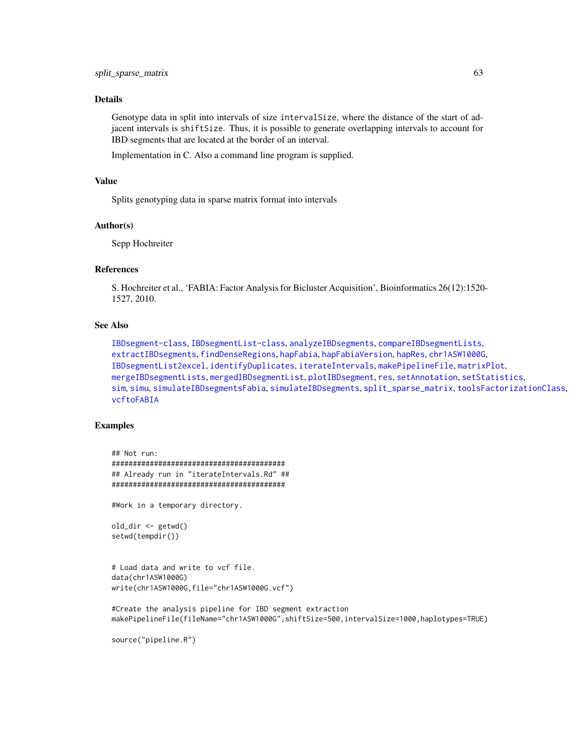# Details

Genotype data in split into intervals of size intervalSize, where the distance of the start of adjacent intervals is shiftSize. Thus, it is possible to generate overlapping intervals to account for IBD segments that are located at the border of an interval.

Implementation in C. Also a command line program is supplied.

# Value

Splits genotyping data in sparse matrix format into intervals

#### Author(s)

Sepp Hochreiter

# References

S. Hochreiter et al., 'FABIA: Factor Analysis for Bicluster Acquisition', Bioinformatics 26(12):1520- 1527, 2010.

# See Also

```
IBDsegment-class, IBDsegmentList-class, analyzeIBDsegments, compareIBDsegmentLists,
extractIBDsegments, findDenseRegions, hapFabia, hapFabiaVersion, hapRes, chr1ASW1000G,
IBDsegmentList2excel, identifyDuplicates, iterateIntervals, makePipelineFile, matrixPlot,
mergeIBDsegmentLists, mergedIBDsegmentList, plotIBDsegment, res, setAnnotation, setStatistics,
sim, simu, simulateIBDsegmentsFabia, simulateIBDsegments, split_sparse_matrix, toolsFactorizationClass,
vcftoFABIA
```
#### Examples

```
## Not run:
#########################################
## Already run in "iterateIntervals.Rd" ##
#########################################
```
#Work in a temporary directory.

```
old_dir <- getwd()
setwd(tempdir())
```

```
# Load data and write to vcf file.
data(chr1ASW1000G)
write(chr1ASW1000G,file="chr1ASW1000G.vcf")
```

```
#Create the analysis pipeline for IBD segment extraction
makePipelineFile(fileName="chr1ASW1000G",shiftSize=500,intervalSize=1000,haplotypes=TRUE)
```

```
source("pipeline.R")
```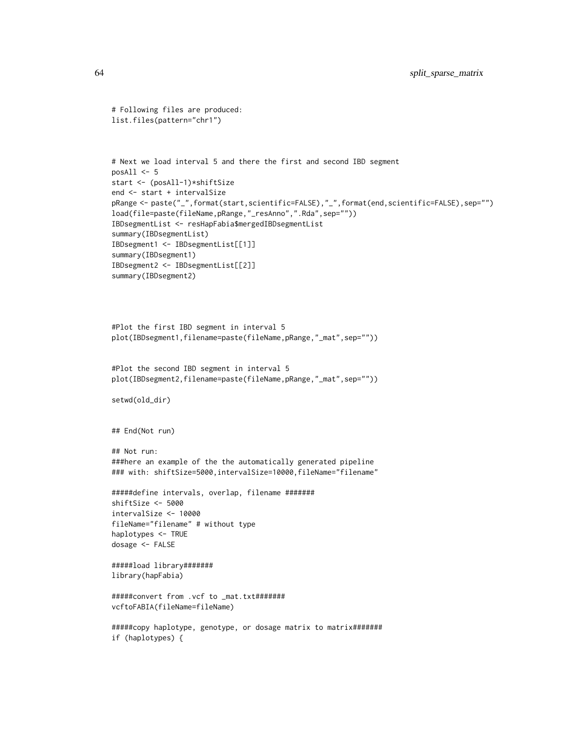```
# Following files are produced:
list.files(pattern="chr1")
```

```
# Next we load interval 5 and there the first and second IBD segment
posAll \leftarrow 5start <- (posAll-1)*shiftSize
end <- start + intervalSize
pRange <- paste("_",format(start,scientific=FALSE),"_",format(end,scientific=FALSE),sep="")
load(file=paste(fileName,pRange,"_resAnno",".Rda",sep=""))
IBDsegmentList <- resHapFabia$mergedIBDsegmentList
summary(IBDsegmentList)
IBDsegment1 <- IBDsegmentList[[1]]
summary(IBDsegment1)
IBDsegment2 <- IBDsegmentList[[2]]
summary(IBDsegment2)
```

```
#Plot the first IBD segment in interval 5
plot(IBDsegment1,filename=paste(fileName,pRange,"_mat",sep=""))
```

```
#Plot the second IBD segment in interval 5
plot(IBDsegment2,filename=paste(fileName,pRange,"_mat",sep=""))
```

```
setwd(old_dir)
```

```
## End(Not run)
```

```
## Not run:
###here an example of the the automatically generated pipeline
### with: shiftSize=5000, intervalSize=10000, fileName="filename"
```

```
#####define intervals, overlap, filename #######
shiftSize <- 5000
intervalSize <- 10000
fileName="filename" # without type
haplotypes <- TRUE
dosage <- FALSE
```

```
#####load library#######
library(hapFabia)
```

```
#####convert from .vcf to _mat.txt#######
vcftoFABIA(fileName=fileName)
```

```
#####copy haplotype, genotype, or dosage matrix to matrix#######
if (haplotypes) {
```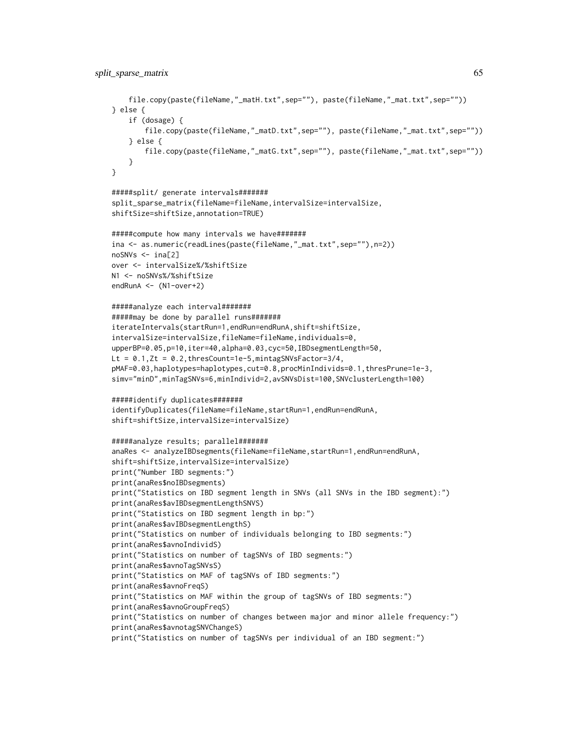```
file.copy(paste(fileName,"_matH.txt",sep=""), paste(fileName,"_mat.txt",sep=""))
} else {
    if (dosage) {
       file.copy(paste(fileName,"_matD.txt",sep=""), paste(fileName,"_mat.txt",sep=""))
    } else {
       file.copy(paste(fileName,"_matG.txt",sep=""), paste(fileName,"_mat.txt",sep=""))
    }
}
#####split/ generate intervals#######
split_sparse_matrix(fileName=fileName,intervalSize=intervalSize,
shiftSize=shiftSize,annotation=TRUE)
#####compute how many intervals we have#######
ina <- as.numeric(readLines(paste(fileName,"_mat.txt",sep=""),n=2))
noSNVs <- ina[2]
over <- intervalSize%/%shiftSize
N1 <- noSNVs%/%shiftSize
endRunA <- (N1-over+2)
#####analyze each interval#######
#####may be done by parallel runs#######
iterateIntervals(startRun=1,endRun=endRunA,shift=shiftSize,
intervalSize=intervalSize,fileName=fileName,individuals=0,
upperBP=0.05,p=10,iter=40,alpha=0.03,cyc=50,IBDsegmentLength=50,
Lt = 0.1, Zt = 0.2, thresCount=1e-5, mintagSNVsFactor=3/4,
pMAF=0.03,haplotypes=haplotypes,cut=0.8,procMinIndivids=0.1,thresPrune=1e-3,
simv="minD",minTagSNVs=6,minIndivid=2,avSNVsDist=100,SNVclusterLength=100)
#####identify duplicates#######
identifyDuplicates(fileName=fileName,startRun=1,endRun=endRunA,
shift=shiftSize,intervalSize=intervalSize)
#####analyze results; parallel#######
anaRes <- analyzeIBDsegments(fileName=fileName,startRun=1,endRun=endRunA,
shift=shiftSize,intervalSize=intervalSize)
print("Number IBD segments:")
print(anaRes$noIBDsegments)
print("Statistics on IBD segment length in SNVs (all SNVs in the IBD segment):")
print(anaRes$avIBDsegmentLengthSNVS)
print("Statistics on IBD segment length in bp:")
print(anaRes$avIBDsegmentLengthS)
print("Statistics on number of individuals belonging to IBD segments:")
print(anaRes$avnoIndividS)
print("Statistics on number of tagSNVs of IBD segments:")
print(anaRes$avnoTagSNVsS)
print("Statistics on MAF of tagSNVs of IBD segments:")
print(anaRes$avnoFreqS)
print("Statistics on MAF within the group of tagSNVs of IBD segments:")
print(anaRes$avnoGroupFreqS)
print("Statistics on number of changes between major and minor allele frequency:")
print(anaRes$avnotagSNVChangeS)
print("Statistics on number of tagSNVs per individual of an IBD segment:")
```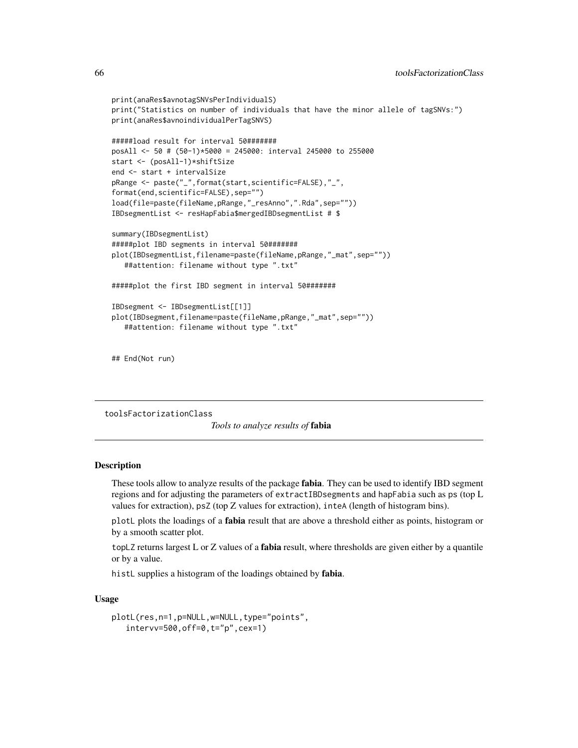```
print(anaRes$avnotagSNVsPerIndividualS)
print("Statistics on number of individuals that have the minor allele of tagSNVs:")
print(anaRes$avnoindividualPerTagSNVS)
#####load result for interval 50#######
posAll <- 50 # (50-1)*5000 = 245000: interval 245000 to 255000
start <- (posAll-1)*shiftSize
end <- start + intervalSize
pRange <- paste("_",format(start,scientific=FALSE),"_",
format(end,scientific=FALSE),sep="")
load(file=paste(fileName,pRange,"_resAnno",".Rda",sep=""))
IBDsegmentList <- resHapFabia$mergedIBDsegmentList # $
summary(IBDsegmentList)
#####plot IBD segments in interval 50#######
plot(IBDsegmentList,filename=paste(fileName,pRange,"_mat",sep=""))
   ##attention: filename without type ".txt"
#####plot the first IBD segment in interval 50#######
IBDsegment <- IBDsegmentList[[1]]
plot(IBDsegment,filename=paste(fileName,pRange,"_mat",sep=""))
   ##attention: filename without type ".txt"
```
## End(Not run)

<span id="page-65-0"></span>toolsFactorizationClass

*Tools to analyze results of* fabia

## Description

These tools allow to analyze results of the package fabia. They can be used to identify IBD segment regions and for adjusting the parameters of extractIBDsegments and hapFabia such as ps (top L values for extraction), psZ (top Z values for extraction), inteA (length of histogram bins).

plotL plots the loadings of a **fabia** result that are above a threshold either as points, histogram or by a smooth scatter plot.

topLZ returns largest L or Z values of a fabia result, where thresholds are given either by a quantile or by a value.

histL supplies a histogram of the loadings obtained by **fabia**.

## Usage

```
plotL(res,n=1,p=NULL,w=NULL,type="points",
   intervv=500,off=0,t="p",cex=1)
```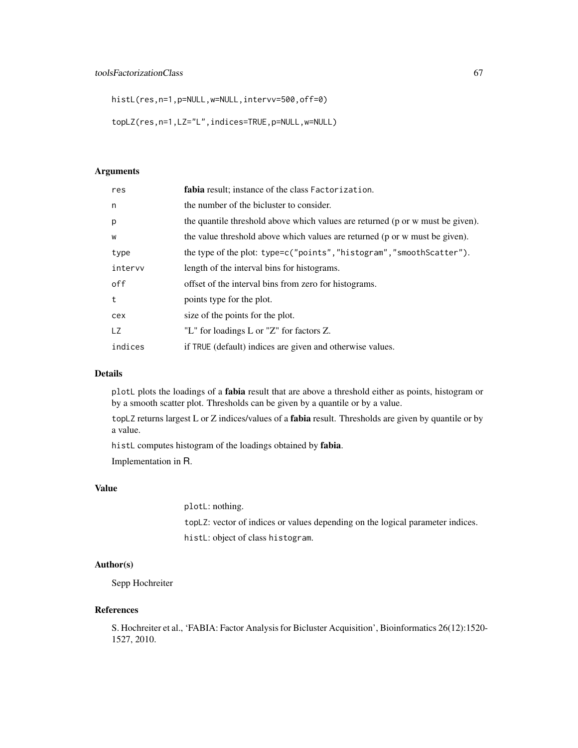histL(res,n=1,p=NULL,w=NULL,intervv=500,off=0)

topLZ(res,n=1,LZ="L",indices=TRUE,p=NULL,w=NULL)

# Arguments

| res     | fabia result; instance of the class Factorization.                             |
|---------|--------------------------------------------------------------------------------|
| n       | the number of the bicluster to consider.                                       |
| p       | the quantile threshold above which values are returned (p or w must be given). |
| W       | the value threshold above which values are returned (p or w must be given).    |
| type    | the type of the plot: type=c("points","histogram","smoothScatter").            |
| intervy | length of the interval bins for histograms.                                    |
| off     | offset of the interval bins from zero for histograms.                          |
| t       | points type for the plot.                                                      |
| cex     | size of the points for the plot.                                               |
| LZ.     | "L" for loadings L or "Z" for factors Z.                                       |
| indices | if TRUE (default) indices are given and otherwise values.                      |

# Details

plotL plots the loadings of a fabia result that are above a threshold either as points, histogram or by a smooth scatter plot. Thresholds can be given by a quantile or by a value.

topLZ returns largest L or Z indices/values of a fabia result. Thresholds are given by quantile or by a value.

histL computes histogram of the loadings obtained by fabia.

Implementation in R.

## Value

plotL: nothing.

topLZ: vector of indices or values depending on the logical parameter indices. histL: object of class histogram.

# Author(s)

Sepp Hochreiter

#### References

S. Hochreiter et al., 'FABIA: Factor Analysis for Bicluster Acquisition', Bioinformatics 26(12):1520- 1527, 2010.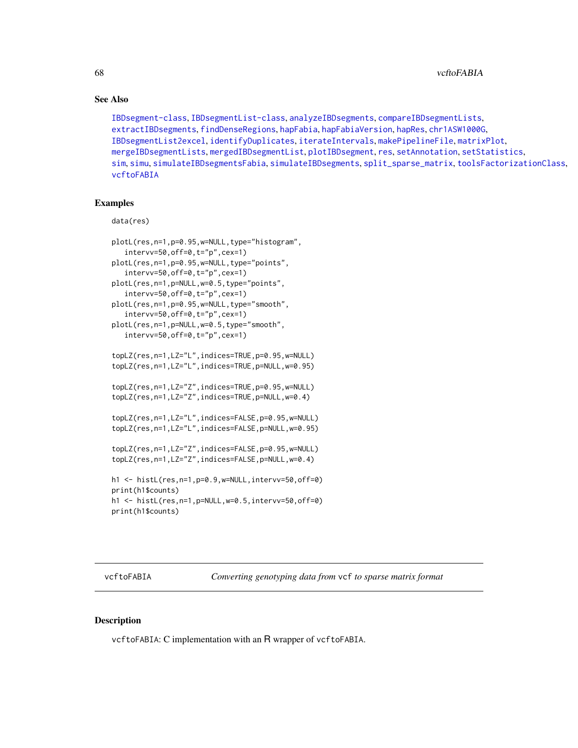68 vcftoFABIA

## See Also

```
IBDsegment-class, IBDsegmentList-class, analyzeIBDsegments, compareIBDsegmentLists,
extractIBDsegments, findDenseRegions, hapFabia, hapFabiaVersion, hapRes, chr1ASW1000G,
IBDsegmentList2excel, identifyDuplicates, iterateIntervals, makePipelineFile, matrixPlot,
mergeIBDsegmentLists, mergedIBDsegmentList, plotIBDsegment, res, setAnnotation, setStatistics,
sim, simu, simulateIBDsegmentsFabia, simulateIBDsegments, split_sparse_matrix, toolsFactorizationClass,
vcftoFABIA
```
# Examples

```
data(res)
```

```
plotL(res,n=1,p=0.95,w=NULL,type="histogram",
   intervv=50,off=0,t="p",cex=1)
plotL(res,n=1,p=0.95,w=NULL,type="points",
   intervv=50,off=0,t="p",cex=1)
plotL(res,n=1,p=NULL,w=0.5,type="points",
   intervv=50,off=0,t="p",cex=1)
plotL(res,n=1,p=0.95,w=NULL,type="smooth",
   intervv=50,off=0,t="p",cex=1)
plotL(res,n=1,p=NULL,w=0.5,type="smooth",
   intervv=50,off=0,t="p",cex=1)
topLZ(res,n=1,LZ="L",indices=TRUE,p=0.95,w=NULL)
topLZ(res,n=1,LZ="L",indices=TRUE,p=NULL,w=0.95)
topLZ(res,n=1,LZ="Z",indices=TRUE,p=0.95,w=NULL)
topLZ(res,n=1,LZ="Z",indices=TRUE,p=NULL,w=0.4)
topLZ(res,n=1,LZ="L",indices=FALSE,p=0.95,w=NULL)
topLZ(res,n=1,LZ="L",indices=FALSE,p=NULL,w=0.95)
topLZ(res,n=1,LZ="Z",indices=FALSE,p=0.95,w=NULL)
topLZ(res,n=1,LZ="Z",indices=FALSE,p=NULL,w=0.4)
h1 <- histL(res,n=1,p=0.9,w=NULL,intervv=50,off=0)
print(h1$counts)
h1 <- histL(res,n=1,p=NULL,w=0.5,intervv=50,off=0)
print(h1$counts)
```
<span id="page-67-0"></span>vcftoFABIA *Converting genotyping data from* vcf *to sparse matrix format*

## Description

vcftoFABIA: C implementation with an R wrapper of vcftoFABIA.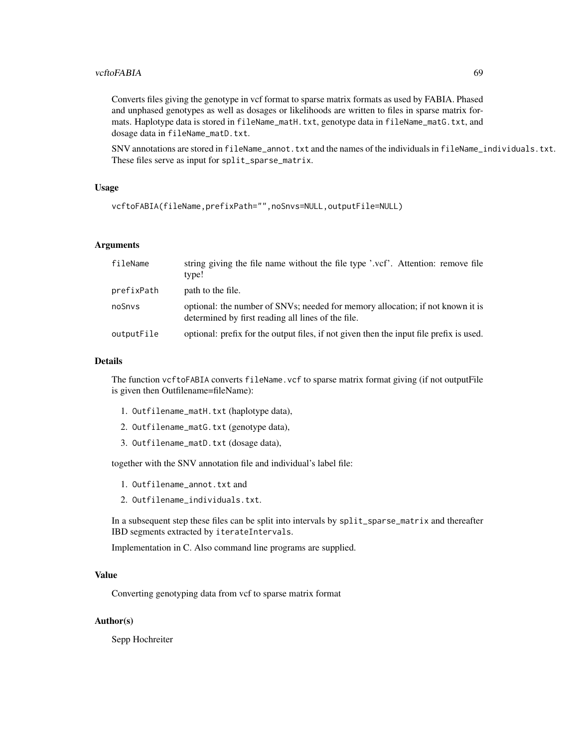#### vcftoFABIA 69

Converts files giving the genotype in vcf format to sparse matrix formats as used by FABIA. Phased and unphased genotypes as well as dosages or likelihoods are written to files in sparse matrix formats. Haplotype data is stored in fileName\_matH.txt, genotype data in fileName\_matG.txt, and dosage data in fileName\_matD.txt.

SNV annotations are stored in fileName\_annot.txt and the names of the individuals in fileName\_individuals.txt. These files serve as input for split\_sparse\_matrix.

# Usage

```
vcftoFABIA(fileName,prefixPath="",noSnvs=NULL,outputFile=NULL)
```
# Arguments

| fileName   | string giving the file name without the file type '.vcf'. Attention: remove file<br>type!                                            |
|------------|--------------------------------------------------------------------------------------------------------------------------------------|
| prefixPath | path to the file.                                                                                                                    |
| noSnys     | optional: the number of SNVs; needed for memory allocation; if not known it is<br>determined by first reading all lines of the file. |
| outputFile | optional: prefix for the output files, if not given then the input file prefix is used.                                              |

#### Details

The function vcftoFABIA converts fileName.vcf to sparse matrix format giving (if not outputFile is given then Outfilename=fileName):

- 1. Outfilename\_matH.txt (haplotype data),
- 2. Outfilename\_matG.txt (genotype data),
- 3. Outfilename\_matD.txt (dosage data),

together with the SNV annotation file and individual's label file:

- 1. Outfilename\_annot.txt and
- 2. Outfilename\_individuals.txt.

In a subsequent step these files can be split into intervals by split\_sparse\_matrix and thereafter IBD segments extracted by iterateIntervals.

Implementation in C. Also command line programs are supplied.

#### Value

Converting genotyping data from vcf to sparse matrix format

## Author(s)

Sepp Hochreiter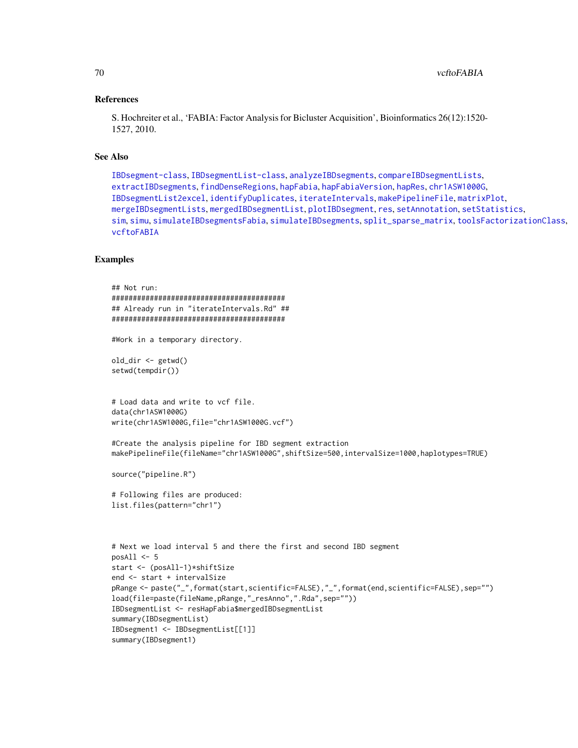#### References

S. Hochreiter et al., 'FABIA: Factor Analysis for Bicluster Acquisition', Bioinformatics 26(12):1520- 1527, 2010.

#### See Also

```
IBDsegment-class, IBDsegmentList-class, analyzeIBDsegments, compareIBDsegmentLists,
extractIBDsegments, findDenseRegions, hapFabia, hapFabiaVersion, hapRes, chr1ASW1000G,
IBDsegmentList2excel, identifyDuplicates, iterateIntervals, makePipelineFile, matrixPlot,
mergeIBDsegmentLists, mergedIBDsegmentList, plotIBDsegment, res, setAnnotation, setStatistics,
sim, simu, simulateIBDsegmentsFabia, simulateIBDsegments, split_sparse_matrix, toolsFactorizationClass,
vcftoFABIA
```
# **Examples**

```
## Not run:
#########################################
## Already run in "iterateIntervals.Rd" ##
#########################################
#Work in a temporary directory.
old_dir <- getwd()
setwd(tempdir())
# Load data and write to vcf file.
data(chr1ASW1000G)
write(chr1ASW1000G,file="chr1ASW1000G.vcf")
#Create the analysis pipeline for IBD segment extraction
makePipelineFile(fileName="chr1ASW1000G",shiftSize=500,intervalSize=1000,haplotypes=TRUE)
source("pipeline.R")
# Following files are produced:
list.files(pattern="chr1")
# Next we load interval 5 and there the first and second IBD segment
posAll < -5start <- (posAll-1)*shiftSize
end <- start + intervalSize
pRange <- paste("_",format(start,scientific=FALSE),"_",format(end,scientific=FALSE),sep="")
load(file=paste(fileName,pRange,"_resAnno",".Rda",sep=""))
IBDsegmentList <- resHapFabia$mergedIBDsegmentList
summary(IBDsegmentList)
IBDsegment1 <- IBDsegmentList[[1]]
summary(IBDsegment1)
```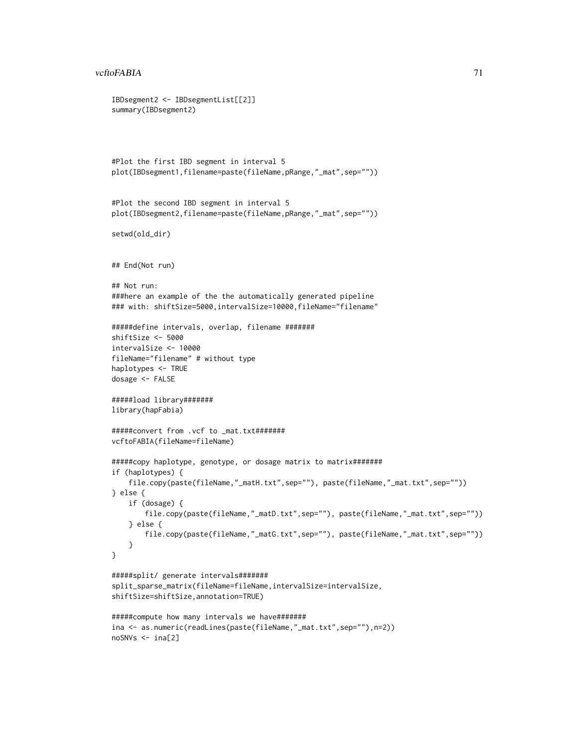```
IBDsegment2 <- IBDsegmentList[[2]]
summary(IBDsegment2)
#Plot the first IBD segment in interval 5
plot(IBDsegment1,filename=paste(fileName,pRange,"_mat",sep=""))
#Plot the second IBD segment in interval 5
plot(IBDsegment2,filename=paste(fileName,pRange,"_mat",sep=""))
setwd(old_dir)
## End(Not run)
## Not run:
###here an example of the the automatically generated pipeline
### with: shiftSize=5000, intervalSize=10000, fileName="filename"
#####define intervals, overlap, filename #######
shiftSize <- 5000
intervalSize <- 10000
fileName="filename" # without type
haplotypes <- TRUE
dosage <- FALSE
#####load library#######
library(hapFabia)
#####convert from .vcf to _mat.txt#######
vcftoFABIA(fileName=fileName)
#####copy haplotype, genotype, or dosage matrix to matrix#######
if (haplotypes) {
    file.copy(paste(fileName,"_matH.txt",sep=""), paste(fileName,"_mat.txt",sep=""))
} else {
   if (dosage) {
       file.copy(paste(fileName,"_matD.txt",sep=""), paste(fileName,"_mat.txt",sep=""))
    } else {
       file.copy(paste(fileName,"_matG.txt",sep=""), paste(fileName,"_mat.txt",sep=""))
    }
}
#####split/ generate intervals#######
split_sparse_matrix(fileName=fileName,intervalSize=intervalSize,
shiftSize=shiftSize,annotation=TRUE)
#####compute how many intervals we have#######
ina <- as.numeric(readLines(paste(fileName,"_mat.txt",sep=""),n=2))
noSNVs <- ina[2]
```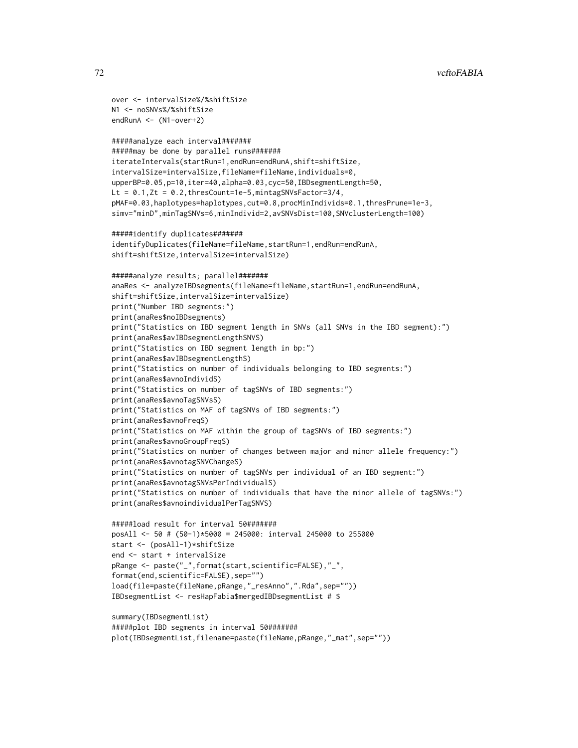```
over <- intervalSize%/%shiftSize
N1 <- noSNVs%/%shiftSize
endRunA <- (N1-over+2)
#####analyze each interval#######
#####may be done by parallel runs#######
iterateIntervals(startRun=1,endRun=endRunA,shift=shiftSize,
intervalSize=intervalSize,fileName=fileName,individuals=0,
upperBP=0.05,p=10,iter=40,alpha=0.03,cyc=50,IBDsegmentLength=50,
Lt = 0.1, Zt = 0.2, thresCount=1e-5, mintagSNVsFactor=3/4,
pMAF=0.03,haplotypes=haplotypes,cut=0.8,procMinIndivids=0.1,thresPrune=1e-3,
simv="minD",minTagSNVs=6,minIndivid=2,avSNVsDist=100,SNVclusterLength=100)
#####identify duplicates#######
identifyDuplicates(fileName=fileName,startRun=1,endRun=endRunA,
shift=shiftSize,intervalSize=intervalSize)
#####analyze results; parallel#######
anaRes <- analyzeIBDsegments(fileName=fileName,startRun=1,endRun=endRunA,
shift=shiftSize,intervalSize=intervalSize)
print("Number IBD segments:")
print(anaRes$noIBDsegments)
print("Statistics on IBD segment length in SNVs (all SNVs in the IBD segment):")
print(anaRes$avIBDsegmentLengthSNVS)
print("Statistics on IBD segment length in bp:")
print(anaRes$avIBDsegmentLengthS)
print("Statistics on number of individuals belonging to IBD segments:")
print(anaRes$avnoIndividS)
print("Statistics on number of tagSNVs of IBD segments:")
print(anaRes$avnoTagSNVsS)
print("Statistics on MAF of tagSNVs of IBD segments:")
print(anaRes$avnoFreqS)
print("Statistics on MAF within the group of tagSNVs of IBD segments:")
print(anaRes$avnoGroupFreqS)
print("Statistics on number of changes between major and minor allele frequency:")
print(anaRes$avnotagSNVChangeS)
print("Statistics on number of tagSNVs per individual of an IBD segment:")
print(anaRes$avnotagSNVsPerIndividualS)
print("Statistics on number of individuals that have the minor allele of tagSNVs:")
print(anaRes$avnoindividualPerTagSNVS)
#####load result for interval 50#######
posAll <- 50 # (50-1)*5000 = 245000: interval 245000 to 255000
start <- (posAll-1)*shiftSize
end <- start + intervalSize
pRange <- paste("_",format(start,scientific=FALSE),"_",
format(end,scientific=FALSE),sep="")
load(file=paste(fileName,pRange,"_resAnno",".Rda",sep=""))
IBDsegmentList <- resHapFabia$mergedIBDsegmentList # $
summary(IBDsegmentList)
#####plot IBD segments in interval 50#######
```
plot(IBDsegmentList,filename=paste(fileName,pRange,"\_mat",sep=""))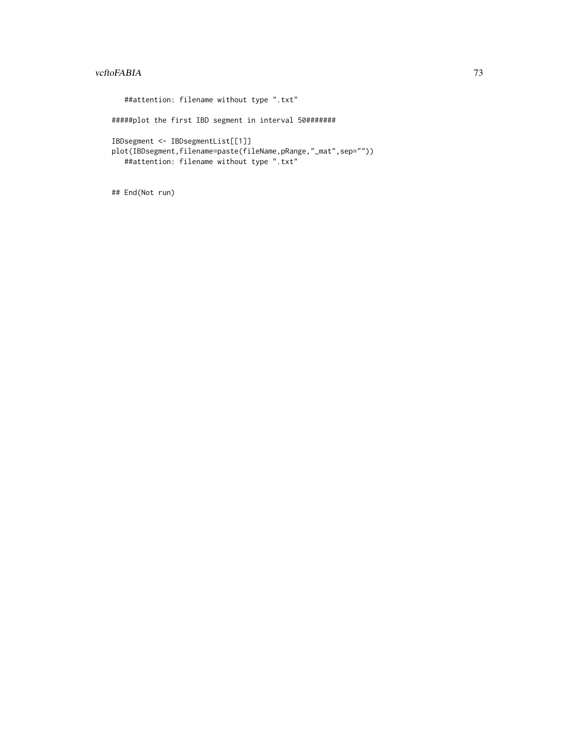##attention: filename without type ".txt" #####plot the first IBD segment in interval 50####### IBDsegment <- IBDsegmentList[[1]] plot(IBDsegment,filename=paste(fileName,pRange,"\_mat",sep="")) ##attention: filename without type ".txt"

## End(Not run)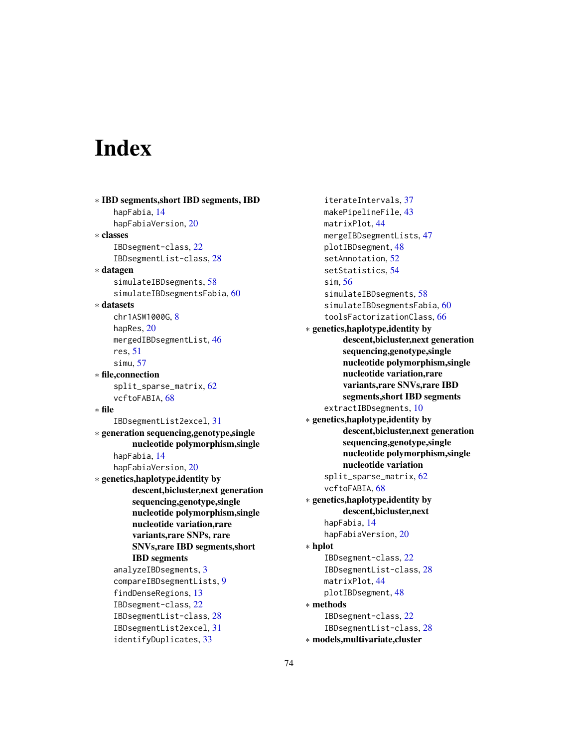## Index

∗ IBD segments,short IBD segments, IBD hapFabia, [14](#page-13-0) hapFabiaVersion, [20](#page-19-0) ∗ classes IBDsegment-class, [22](#page-21-0) IBDsegmentList-class, [28](#page-27-0) ∗ datagen simulateIBDsegments, [58](#page-57-0) simulateIBDsegmentsFabia, [60](#page-59-0) ∗ datasets chr1ASW1000G, [8](#page-7-0) hapRes, [20](#page-19-0) mergedIBDsegmentList, [46](#page-45-0) res, [51](#page-50-0) simu, [57](#page-56-0) ∗ file,connection split\_sparse\_matrix, [62](#page-61-0) vcftoFABIA, [68](#page-67-0) ∗ file IBDsegmentList2excel, [31](#page-30-0) ∗ generation sequencing,genotype,single nucleotide polymorphism,single hapFabia, [14](#page-13-0) hapFabiaVersion, [20](#page-19-0) ∗ genetics,haplotype,identity by descent,bicluster,next generation sequencing,genotype,single nucleotide polymorphism,single nucleotide variation,rare variants,rare SNPs, rare SNVs,rare IBD segments,short IBD segments analyzeIBDsegments, [3](#page-2-0) compareIBDsegmentLists, [9](#page-8-0) findDenseRegions, [13](#page-12-0) IBDsegment-class, [22](#page-21-0) IBDsegmentList-class, [28](#page-27-0) IBDsegmentList2excel, [31](#page-30-0) identifyDuplicates, [33](#page-32-0)

iterateIntervals, [37](#page-36-0) makePipelineFile, [43](#page-42-0) matrixPlot, [44](#page-43-0) mergeIBDsegmentLists, [47](#page-46-0) plotIBDsegment, [48](#page-47-0) setAnnotation, [52](#page-51-0) setStatistics, [54](#page-53-0) sim, [56](#page-55-0) simulateIBDsegments, [58](#page-57-0) simulateIBDsegmentsFabia, [60](#page-59-0) toolsFactorizationClass, [66](#page-65-0) ∗ genetics,haplotype,identity by descent,bicluster,next generation sequencing,genotype,single nucleotide polymorphism,single nucleotide variation,rare variants,rare SNVs,rare IBD segments,short IBD segments extractIBDsegments, [10](#page-9-0) ∗ genetics,haplotype,identity by descent,bicluster,next generation sequencing,genotype,single nucleotide polymorphism,single nucleotide variation split\_sparse\_matrix, [62](#page-61-0) vcftoFABIA, [68](#page-67-0) ∗ genetics,haplotype,identity by descent,bicluster,next hapFabia, [14](#page-13-0) hapFabiaVersion, [20](#page-19-0) ∗ hplot IBDsegment-class, [22](#page-21-0) IBDsegmentList-class, [28](#page-27-0) matrixPlot, [44](#page-43-0) plotIBDsegment, [48](#page-47-0) ∗ methods IBDsegment-class, [22](#page-21-0) IBDsegmentList-class, [28](#page-27-0) ∗ models,multivariate,cluster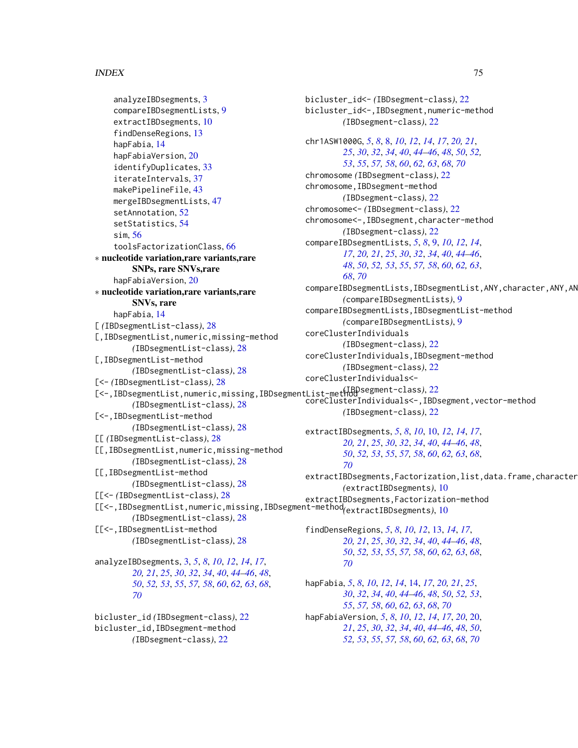## INDEX 75

```
analyzeIBDsegments, 3
    compareIBDsegmentLists, 9
    extractIBDsegments, 10
    findDenseRegions, 13
    hapFabia, 14
    hapFabiaVersion, 20
    identifyDuplicates, 33
    iterateIntervals, 37
    makePipelineFile, 43
    mergeIBDsegmentLists, 47
    setAnnotation, 52
    setStatistics, 54
    sim, 56
    toolsFactorizationClass, 66
∗ nucleotide variation,rare variants,rare
        SNPs, rare SNVs,rare
    hapFabiaVersion, 20
∗ nucleotide variation,rare variants,rare
        SNVs, rare
    hapFabia, 14
[ (IBDsegmentList-class), 28
[,IBDsegmentList,numeric,missing-method
        (IBDsegmentList-class), 28
[,IBDsegmentList-method
        (IBDsegmentList-class), 28
[<- (IBDsegmentList-class), 28
[<-,IBDsegmentList,numeric,missing,IBDsegmentList-method
(IBDsegment-class), 22
        (IBDsegmentList-class), 28
[<-,IBDsegmentList-method
        (IBDsegmentList-class), 28
[[ (IBDsegmentList-class), 28
[[,IBDsegmentList,numeric,missing-method
        (IBDsegmentList-class), 28
[[,IBDsegmentList-method
        (IBDsegmentList-class), 28
[[<- (IBDsegmentList-class), 28
        (IBDsegmentList-class), 28
[[<-,IBDsegmentList-method
        (IBDsegmentList-class), 28
analyzeIBDsegments, 3, 5, 8, 10, 12, 14, 17,
        20, 21, 25, 30, 32, 34, 40, 44–46, 48,
        50, 52, 53, 55, 57, 58, 60, 62, 63, 68,
```
bicluster\_id *(*IBDsegment-class*)*, [22](#page-21-0) bicluster\_id,IBDsegment-method *(*IBDsegment-class*)*, [22](#page-21-0)

*[70](#page-69-0)*

bicluster\_id<- *(*IBDsegment-class*)*, [22](#page-21-0) bicluster\_id<-,IBDsegment,numeric-method *(*IBDsegment-class*)*, [22](#page-21-0) chr1ASW1000G, *[5](#page-4-0)*, *[8](#page-7-0)*, [8,](#page-7-0) *[10](#page-9-0)*, *[12](#page-11-0)*, *[14](#page-13-0)*, *[17](#page-16-0)*, *[20,](#page-19-0) [21](#page-20-0)*, *[25](#page-24-0)*, *[30](#page-29-0)*, *[32](#page-31-0)*, *[34](#page-33-0)*, *[40](#page-39-0)*, *[44](#page-43-0)[–46](#page-45-0)*, *[48](#page-47-0)*, *[50](#page-49-0)*, *[52,](#page-51-0) [53](#page-52-0)*, *[55](#page-54-0)*, *[57,](#page-56-0) [58](#page-57-0)*, *[60](#page-59-0)*, *[62,](#page-61-0) [63](#page-62-0)*, *[68](#page-67-0)*, *[70](#page-69-0)* chromosome *(*IBDsegment-class*)*, [22](#page-21-0) chromosome,IBDsegment-method *(*IBDsegment-class*)*, [22](#page-21-0) chromosome<- *(*IBDsegment-class*)*, [22](#page-21-0) chromosome<-,IBDsegment,character-method *(*IBDsegment-class*)*, [22](#page-21-0) compareIBDsegmentLists, *[5](#page-4-0)*, *[8](#page-7-0)*, [9,](#page-8-0) *[10](#page-9-0)*, *[12](#page-11-0)*, *[14](#page-13-0)*, *[17](#page-16-0)*, *[20,](#page-19-0) [21](#page-20-0)*, *[25](#page-24-0)*, *[30](#page-29-0)*, *[32](#page-31-0)*, *[34](#page-33-0)*, *[40](#page-39-0)*, *[44](#page-43-0)[–46](#page-45-0)*, *[48](#page-47-0)*, *[50](#page-49-0)*, *[52,](#page-51-0) [53](#page-52-0)*, *[55](#page-54-0)*, *[57,](#page-56-0) [58](#page-57-0)*, *[60](#page-59-0)*, *[62,](#page-61-0) [63](#page-62-0)*, *[68](#page-67-0)*, *[70](#page-69-0)* compareIBDsegmentLists,IBDsegmentList,ANY,character,ANY,AN *(*compareIBDsegmentLists*)*, [9](#page-8-0) compareIBDsegmentLists,IBDsegmentList-method *(*compareIBDsegmentLists*)*, [9](#page-8-0) coreClusterIndividuals *(*IBDsegment-class*)*, [22](#page-21-0) coreClusterIndividuals,IBDsegment-method *(*IBDsegment-class*)*, [22](#page-21-0) coreClusterIndividuals< coreClusterIndividuals<-,IBDsegment,vector-method *(*IBDsegment-class*)*, [22](#page-21-0) extractIBDsegments, *[5](#page-4-0)*, *[8](#page-7-0)*, *[10](#page-9-0)*, [10,](#page-9-0) *[12](#page-11-0)*, *[14](#page-13-0)*, *[17](#page-16-0)*, *[20,](#page-19-0) [21](#page-20-0)*, *[25](#page-24-0)*, *[30](#page-29-0)*, *[32](#page-31-0)*, *[34](#page-33-0)*, *[40](#page-39-0)*, *[44](#page-43-0)[–46](#page-45-0)*, *[48](#page-47-0)*, *[50](#page-49-0)*, *[52,](#page-51-0) [53](#page-52-0)*, *[55](#page-54-0)*, *[57,](#page-56-0) [58](#page-57-0)*, *[60](#page-59-0)*, *[62,](#page-61-0) [63](#page-62-0)*, *[68](#page-67-0)*, *[70](#page-69-0)* extractIBDsegments,Factorization,list,data.frame,character *(*extractIBDsegments*)*, [10](#page-9-0)

[[<-,IBDsegmentList,numeric,missing,IBDsegment-method extractIBDsegments,Factorization-method *(*extractIBDsegments*)*, [10](#page-9-0)

> findDenseRegions, *[5](#page-4-0)*, *[8](#page-7-0)*, *[10](#page-9-0)*, *[12](#page-11-0)*, [13,](#page-12-0) *[14](#page-13-0)*, *[17](#page-16-0)*, *[20,](#page-19-0) [21](#page-20-0)*, *[25](#page-24-0)*, *[30](#page-29-0)*, *[32](#page-31-0)*, *[34](#page-33-0)*, *[40](#page-39-0)*, *[44](#page-43-0)[–46](#page-45-0)*, *[48](#page-47-0)*, *[50](#page-49-0)*, *[52,](#page-51-0) [53](#page-52-0)*, *[55](#page-54-0)*, *[57,](#page-56-0) [58](#page-57-0)*, *[60](#page-59-0)*, *[62,](#page-61-0) [63](#page-62-0)*, *[68](#page-67-0)*, *[70](#page-69-0)*

> hapFabia, *[5](#page-4-0)*, *[8](#page-7-0)*, *[10](#page-9-0)*, *[12](#page-11-0)*, *[14](#page-13-0)*, [14,](#page-13-0) *[17](#page-16-0)*, *[20,](#page-19-0) [21](#page-20-0)*, *[25](#page-24-0)*, *[30](#page-29-0)*, *[32](#page-31-0)*, *[34](#page-33-0)*, *[40](#page-39-0)*, *[44](#page-43-0)[–46](#page-45-0)*, *[48](#page-47-0)*, *[50](#page-49-0)*, *[52,](#page-51-0) [53](#page-52-0)*, *[55](#page-54-0)*, *[57,](#page-56-0) [58](#page-57-0)*, *[60](#page-59-0)*, *[62,](#page-61-0) [63](#page-62-0)*, *[68](#page-67-0)*, *[70](#page-69-0)* hapFabiaVersion, *[5](#page-4-0)*, *[8](#page-7-0)*, *[10](#page-9-0)*, *[12](#page-11-0)*, *[14](#page-13-0)*, *[17](#page-16-0)*, *[20](#page-19-0)*, [20,](#page-19-0) *[21](#page-20-0)*, *[25](#page-24-0)*, *[30](#page-29-0)*, *[32](#page-31-0)*, *[34](#page-33-0)*, *[40](#page-39-0)*, *[44](#page-43-0)[–46](#page-45-0)*, *[48](#page-47-0)*, *[50](#page-49-0)*, *[52,](#page-51-0) [53](#page-52-0)*, *[55](#page-54-0)*, *[57,](#page-56-0) [58](#page-57-0)*, *[60](#page-59-0)*, *[62,](#page-61-0) [63](#page-62-0)*, *[68](#page-67-0)*, *[70](#page-69-0)*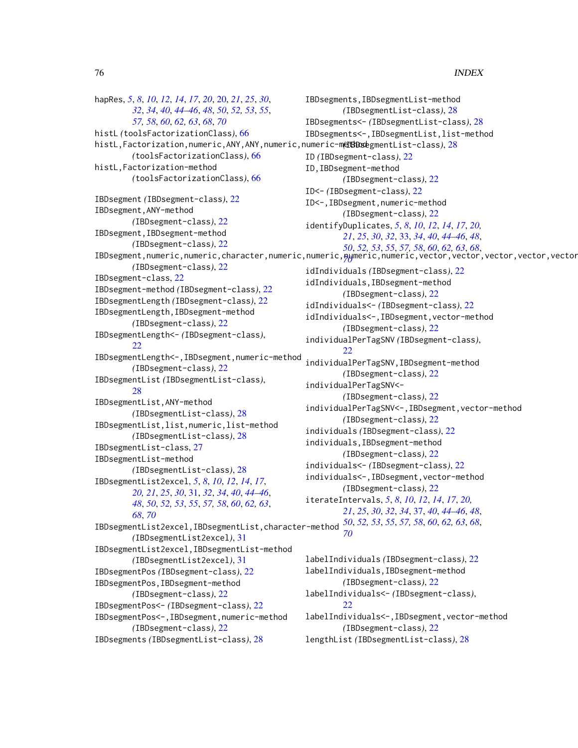hapRes, *[5](#page-4-0)*, *[8](#page-7-0)*, *[10](#page-9-0)*, *[12](#page-11-0)*, *[14](#page-13-0)*, *[17](#page-16-0)*, *[20](#page-19-0)*, [20,](#page-19-0) *[21](#page-20-0)*, *[25](#page-24-0)*, *[30](#page-29-0)*, *[32](#page-31-0)*, *[34](#page-33-0)*, *[40](#page-39-0)*, *[44–](#page-43-0)[46](#page-45-0)*, *[48](#page-47-0)*, *[50](#page-49-0)*, *[52,](#page-51-0) [53](#page-52-0)*, *[55](#page-54-0)*, *[57,](#page-56-0) [58](#page-57-0)*, *[60](#page-59-0)*, *[62,](#page-61-0) [63](#page-62-0)*, *[68](#page-67-0)*, *[70](#page-69-0)* histL *(*toolsFactorizationClass*)*, [66](#page-65-0) histL,Factorization,numeric,ANY,ANY,numeric,numeric-method *(*IBDsegmentList-class*)*, [28](#page-27-0) *(*toolsFactorizationClass*)*, [66](#page-65-0) histL,Factorization-method *(*toolsFactorizationClass*)*, [66](#page-65-0) IBDsegment *(*IBDsegment-class*)*, [22](#page-21-0) IBDsegment,ANY-method *(*IBDsegment-class*)*, [22](#page-21-0) IBDsegment,IBDsegment-method *(*IBDsegment-class*)*, [22](#page-21-0) *(*IBDsegment-class*)*, [22](#page-21-0) IBDsegment-class, [22](#page-21-0) IBDsegment-method *(*IBDsegment-class*)*, [22](#page-21-0) IBDsegmentLength *(*IBDsegment-class*)*, [22](#page-21-0) IBDsegmentLength,IBDsegment-method *(*IBDsegment-class*)*, [22](#page-21-0) IBDsegmentLength<- *(*IBDsegment-class*)*, [22](#page-21-0) IBDsegmentLength<-,IBDsegment,numeric-method *(*IBDsegment-class*)*, [22](#page-21-0) IBDsegmentList *(*IBDsegmentList-class*)*, [28](#page-27-0) IBDsegmentList,ANY-method *(*IBDsegmentList-class*)*, [28](#page-27-0) IBDsegmentList,list,numeric,list-method *(*IBDsegmentList-class*)*, [28](#page-27-0) IBDsegmentList-class, [27](#page-26-0) IBDsegmentList-method *(*IBDsegmentList-class*)*, [28](#page-27-0) IBDsegmentList2excel, *[5](#page-4-0)*, *[8](#page-7-0)*, *[10](#page-9-0)*, *[12](#page-11-0)*, *[14](#page-13-0)*, *[17](#page-16-0)*, *[20,](#page-19-0) [21](#page-20-0)*, *[25](#page-24-0)*, *[30](#page-29-0)*, [31,](#page-30-0) *[32](#page-31-0)*, *[34](#page-33-0)*, *[40](#page-39-0)*, *[44–](#page-43-0)[46](#page-45-0)*, *[48](#page-47-0)*, *[50](#page-49-0)*, *[52,](#page-51-0) [53](#page-52-0)*, *[55](#page-54-0)*, *[57,](#page-56-0) [58](#page-57-0)*, *[60](#page-59-0)*, *[62,](#page-61-0) [63](#page-62-0)*, *[68](#page-67-0)*, *[70](#page-69-0)* IBDsegmentList2excel,IBDsegmentList,character-method *[50](#page-49-0)*, *[52,](#page-51-0) [53](#page-52-0)*, *[55](#page-54-0)*, *[57,](#page-56-0) [58](#page-57-0)*, *[60](#page-59-0)*, *[62,](#page-61-0) [63](#page-62-0)*, *[68](#page-67-0)*, *(*IBDsegmentList2excel*)*, [31](#page-30-0) IBDsegmentList2excel,IBDsegmentList-method *(*IBDsegmentList2excel*)*, [31](#page-30-0) IBDsegmentPos *(*IBDsegment-class*)*, [22](#page-21-0) IBDsegmentPos,IBDsegment-method *(*IBDsegment-class*)*, [22](#page-21-0) IBDsegmentPos<- *(*IBDsegment-class*)*, [22](#page-21-0) IBDsegmentPos<-,IBDsegment,numeric-method *(*IBDsegment-class*)*, [22](#page-21-0) IBDsegments *(*IBDsegmentList-class*)*, [28](#page-27-0) [22](#page-21-0) *[70](#page-69-0)* [22](#page-21-0)

IBDsegment,numeric,numeric,character,numeric,numeric,numeric,numeric,vector,vector,vector,vector,vector,vector,vector,vector,vector,vector,vector,vector,vector,vector,vector,vector-method *[70](#page-69-0)* IBDsegments,IBDsegmentList-method *(*IBDsegmentList-class*)*, [28](#page-27-0) IBDsegments<- *(*IBDsegmentList-class*)*, [28](#page-27-0) IBDsegments<-,IBDsegmentList,list-method ID *(*IBDsegment-class*)*, [22](#page-21-0) ID,IBDsegment-method *(*IBDsegment-class*)*, [22](#page-21-0) ID<- *(*IBDsegment-class*)*, [22](#page-21-0) ID<-,IBDsegment,numeric-method *(*IBDsegment-class*)*, [22](#page-21-0) identifyDuplicates, *[5](#page-4-0)*, *[8](#page-7-0)*, *[10](#page-9-0)*, *[12](#page-11-0)*, *[14](#page-13-0)*, *[17](#page-16-0)*, *[20,](#page-19-0) [21](#page-20-0)*, *[25](#page-24-0)*, *[30](#page-29-0)*, *[32](#page-31-0)*, [33,](#page-32-0) *[34](#page-33-0)*, *[40](#page-39-0)*, *[44](#page-43-0)[–46](#page-45-0)*, *[48](#page-47-0)*, *[50](#page-49-0)*, *[52,](#page-51-0) [53](#page-52-0)*, *[55](#page-54-0)*, *[57,](#page-56-0) [58](#page-57-0)*, *[60](#page-59-0)*, *[62,](#page-61-0) [63](#page-62-0)*, *[68](#page-67-0)*, idIndividuals *(*IBDsegment-class*)*, [22](#page-21-0) idIndividuals,IBDsegment-method *(*IBDsegment-class*)*, [22](#page-21-0) idIndividuals<- *(*IBDsegment-class*)*, [22](#page-21-0) idIndividuals<-,IBDsegment,vector-method *(*IBDsegment-class*)*, [22](#page-21-0) individualPerTagSNV *(*IBDsegment-class*)*, individualPerTagSNV,IBDsegment-method *(*IBDsegment-class*)*, [22](#page-21-0) individualPerTagSNV<- *(*IBDsegment-class*)*, [22](#page-21-0) individualPerTagSNV<-,IBDsegment,vector-method *(*IBDsegment-class*)*, [22](#page-21-0) individuals *(*IBDsegment-class*)*, [22](#page-21-0) individuals,IBDsegment-method *(*IBDsegment-class*)*, [22](#page-21-0) individuals<- *(*IBDsegment-class*)*, [22](#page-21-0) individuals<-,IBDsegment,vector-method *(*IBDsegment-class*)*, [22](#page-21-0) iterateIntervals, *[5](#page-4-0)*, *[8](#page-7-0)*, *[10](#page-9-0)*, *[12](#page-11-0)*, *[14](#page-13-0)*, *[17](#page-16-0)*, *[20,](#page-19-0) [21](#page-20-0)*, *[25](#page-24-0)*, *[30](#page-29-0)*, *[32](#page-31-0)*, *[34](#page-33-0)*, [37,](#page-36-0) *[40](#page-39-0)*, *[44](#page-43-0)[–46](#page-45-0)*, *[48](#page-47-0)*, labelIndividuals *(*IBDsegment-class*)*, [22](#page-21-0) labelIndividuals,IBDsegment-method *(*IBDsegment-class*)*, [22](#page-21-0) labelIndividuals<- *(*IBDsegment-class*)*, labelIndividuals<-,IBDsegment,vector-method *(*IBDsegment-class*)*, [22](#page-21-0)

lengthList *(*IBDsegmentList-class*)*, [28](#page-27-0)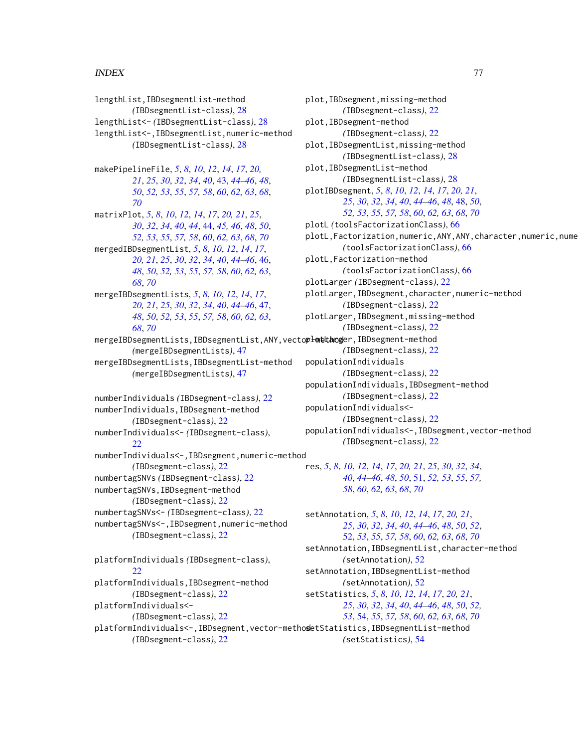## INDEX 277

lengthList,IBDsegmentList-method *(*IBDsegmentList-class*)*, [28](#page-27-0) lengthList<- *(*IBDsegmentList-class*)*, [28](#page-27-0) lengthList<-,IBDsegmentList,numeric-method *(*IBDsegmentList-class*)*, [28](#page-27-0) makePipelineFile, *[5](#page-4-0)*, *[8](#page-7-0)*, *[10](#page-9-0)*, *[12](#page-11-0)*, *[14](#page-13-0)*, *[17](#page-16-0)*, *[20,](#page-19-0) [21](#page-20-0)*, *[25](#page-24-0)*, *[30](#page-29-0)*, *[32](#page-31-0)*, *[34](#page-33-0)*, *[40](#page-39-0)*, [43,](#page-42-0) *[44–](#page-43-0)[46](#page-45-0)*, *[48](#page-47-0)*, *[50](#page-49-0)*, *[52,](#page-51-0) [53](#page-52-0)*, *[55](#page-54-0)*, *[57,](#page-56-0) [58](#page-57-0)*, *[60](#page-59-0)*, *[62,](#page-61-0) [63](#page-62-0)*, *[68](#page-67-0)*, *[70](#page-69-0)* matrixPlot, *[5](#page-4-0)*, *[8](#page-7-0)*, *[10](#page-9-0)*, *[12](#page-11-0)*, *[14](#page-13-0)*, *[17](#page-16-0)*, *[20,](#page-19-0) [21](#page-20-0)*, *[25](#page-24-0)*, *[30](#page-29-0)*, *[32](#page-31-0)*, *[34](#page-33-0)*, *[40](#page-39-0)*, *[44](#page-43-0)*, [44,](#page-43-0) *[45,](#page-44-0) [46](#page-45-0)*, *[48](#page-47-0)*, *[50](#page-49-0)*, *[52,](#page-51-0) [53](#page-52-0)*, *[55](#page-54-0)*, *[57,](#page-56-0) [58](#page-57-0)*, *[60](#page-59-0)*, *[62,](#page-61-0) [63](#page-62-0)*, *[68](#page-67-0)*, *[70](#page-69-0)* mergedIBDsegmentList, *[5](#page-4-0)*, *[8](#page-7-0)*, *[10](#page-9-0)*, *[12](#page-11-0)*, *[14](#page-13-0)*, *[17](#page-16-0)*, *[20,](#page-19-0) [21](#page-20-0)*, *[25](#page-24-0)*, *[30](#page-29-0)*, *[32](#page-31-0)*, *[34](#page-33-0)*, *[40](#page-39-0)*, *[44–](#page-43-0)[46](#page-45-0)*, [46,](#page-45-0) *[48](#page-47-0)*, *[50](#page-49-0)*, *[52,](#page-51-0) [53](#page-52-0)*, *[55](#page-54-0)*, *[57,](#page-56-0) [58](#page-57-0)*, *[60](#page-59-0)*, *[62,](#page-61-0) [63](#page-62-0)*, *[68](#page-67-0)*, *[70](#page-69-0)* mergeIBDsegmentLists, *[5](#page-4-0)*, *[8](#page-7-0)*, *[10](#page-9-0)*, *[12](#page-11-0)*, *[14](#page-13-0)*, *[17](#page-16-0)*, *[20,](#page-19-0) [21](#page-20-0)*, *[25](#page-24-0)*, *[30](#page-29-0)*, *[32](#page-31-0)*, *[34](#page-33-0)*, *[40](#page-39-0)*, *[44–](#page-43-0)[46](#page-45-0)*, [47,](#page-46-0) *[48](#page-47-0)*, *[50](#page-49-0)*, *[52,](#page-51-0) [53](#page-52-0)*, *[55](#page-54-0)*, *[57,](#page-56-0) [58](#page-57-0)*, *[60](#page-59-0)*, *[62,](#page-61-0) [63](#page-62-0)*, *[68](#page-67-0)*, *[70](#page-69-0)* mergeIBDsegmentLists,IBDsegmentList,ANY,vecto**plonetanog**er,IBDsegment-method *(*mergeIBDsegmentLists*)*, [47](#page-46-0) mergeIBDsegmentLists,IBDsegmentList-method *(*mergeIBDsegmentLists*)*, [47](#page-46-0) numberIndividuals *(*IBDsegment-class*)*, [22](#page-21-0) numberIndividuals,IBDsegment-method *(*IBDsegment-class*)*, [22](#page-21-0) numberIndividuals<- *(*IBDsegment-class*)*, [22](#page-21-0) numberIndividuals<-,IBDsegment,numeric-method *(*IBDsegment-class*)*, [22](#page-21-0) numbertagSNVs *(*IBDsegment-class*)*, [22](#page-21-0) numbertagSNVs,IBDsegment-method *(*IBDsegment-class*)*, [22](#page-21-0) numbertagSNVs<- *(*IBDsegment-class*)*, [22](#page-21-0) numbertagSNVs<-,IBDsegment,numeric-method *(*IBDsegment-class*)*, [22](#page-21-0) platformIndividuals *(*IBDsegment-class*)*, [22](#page-21-0) platformIndividuals,IBDsegment-method *(*IBDsegment-class*)*, [22](#page-21-0)

platformIndividuals<-

*(*IBDsegment-class*)*, [22](#page-21-0)

*(*IBDsegment-class*)*, [22](#page-21-0)

plot,IBDsegment,missing-method *(*IBDsegment-class*)*, [22](#page-21-0) plot,IBDsegment-method *(*IBDsegment-class*)*, [22](#page-21-0) plot,IBDsegmentList,missing-method *(*IBDsegmentList-class*)*, [28](#page-27-0) plot,IBDsegmentList-method *(*IBDsegmentList-class*)*, [28](#page-27-0) plotIBDsegment, *[5](#page-4-0)*, *[8](#page-7-0)*, *[10](#page-9-0)*, *[12](#page-11-0)*, *[14](#page-13-0)*, *[17](#page-16-0)*, *[20,](#page-19-0) [21](#page-20-0)*, *[25](#page-24-0)*, *[30](#page-29-0)*, *[32](#page-31-0)*, *[34](#page-33-0)*, *[40](#page-39-0)*, *[44](#page-43-0)[–46](#page-45-0)*, *[48](#page-47-0)*, [48,](#page-47-0) *[50](#page-49-0)*, *[52,](#page-51-0) [53](#page-52-0)*, *[55](#page-54-0)*, *[57,](#page-56-0) [58](#page-57-0)*, *[60](#page-59-0)*, *[62,](#page-61-0) [63](#page-62-0)*, *[68](#page-67-0)*, *[70](#page-69-0)* plotL *(*toolsFactorizationClass*)*, [66](#page-65-0) plotL,Factorization,numeric,ANY,ANY,character,numeric,nume *(*toolsFactorizationClass*)*, [66](#page-65-0) plotL,Factorization-method *(*toolsFactorizationClass*)*, [66](#page-65-0) plotLarger *(*IBDsegment-class*)*, [22](#page-21-0) plotLarger,IBDsegment,character,numeric-method *(*IBDsegment-class*)*, [22](#page-21-0) plotLarger,IBDsegment,missing-method *(*IBDsegment-class*)*, [22](#page-21-0) *(*IBDsegment-class*)*, [22](#page-21-0) populationIndividuals *(*IBDsegment-class*)*, [22](#page-21-0) populationIndividuals,IBDsegment-method *(*IBDsegment-class*)*, [22](#page-21-0) populationIndividuals<- *(*IBDsegment-class*)*, [22](#page-21-0) populationIndividuals<-,IBDsegment,vector-method *(*IBDsegment-class*)*, [22](#page-21-0) res, *[5](#page-4-0)*, *[8](#page-7-0)*, *[10](#page-9-0)*, *[12](#page-11-0)*, *[14](#page-13-0)*, *[17](#page-16-0)*, *[20,](#page-19-0) [21](#page-20-0)*, *[25](#page-24-0)*, *[30](#page-29-0)*, *[32](#page-31-0)*, *[34](#page-33-0)*, *[40](#page-39-0)*, *[44](#page-43-0)[–46](#page-45-0)*, *[48](#page-47-0)*, *[50](#page-49-0)*, [51,](#page-50-0) *[52,](#page-51-0) [53](#page-52-0)*, *[55](#page-54-0)*, *[57,](#page-56-0) [58](#page-57-0)*, *[60](#page-59-0)*, *[62,](#page-61-0) [63](#page-62-0)*, *[68](#page-67-0)*, *[70](#page-69-0)*

platformIndividuals<-,IBDsegment,vector-method setStatistics,IBDsegmentList-method setAnnotation, *[5](#page-4-0)*, *[8](#page-7-0)*, *[10](#page-9-0)*, *[12](#page-11-0)*, *[14](#page-13-0)*, *[17](#page-16-0)*, *[20,](#page-19-0) [21](#page-20-0)*, *[25](#page-24-0)*, *[30](#page-29-0)*, *[32](#page-31-0)*, *[34](#page-33-0)*, *[40](#page-39-0)*, *[44](#page-43-0)[–46](#page-45-0)*, *[48](#page-47-0)*, *[50](#page-49-0)*, *[52](#page-51-0)*, [52,](#page-51-0) *[53](#page-52-0)*, *[55](#page-54-0)*, *[57,](#page-56-0) [58](#page-57-0)*, *[60](#page-59-0)*, *[62,](#page-61-0) [63](#page-62-0)*, *[68](#page-67-0)*, *[70](#page-69-0)* setAnnotation, IBDsegmentList, character-method *(*setAnnotation*)*, [52](#page-51-0) setAnnotation,IBDsegmentList-method *(*setAnnotation*)*, [52](#page-51-0) setStatistics, *[5](#page-4-0)*, *[8](#page-7-0)*, *[10](#page-9-0)*, *[12](#page-11-0)*, *[14](#page-13-0)*, *[17](#page-16-0)*, *[20,](#page-19-0) [21](#page-20-0)*, *[25](#page-24-0)*, *[30](#page-29-0)*, *[32](#page-31-0)*, *[34](#page-33-0)*, *[40](#page-39-0)*, *[44](#page-43-0)[–46](#page-45-0)*, *[48](#page-47-0)*, *[50](#page-49-0)*, *[52,](#page-51-0) [53](#page-52-0)*, [54,](#page-53-0) *[55](#page-54-0)*, *[57,](#page-56-0) [58](#page-57-0)*, *[60](#page-59-0)*, *[62,](#page-61-0) [63](#page-62-0)*, *[68](#page-67-0)*, *[70](#page-69-0) (*setStatistics*)*, [54](#page-53-0)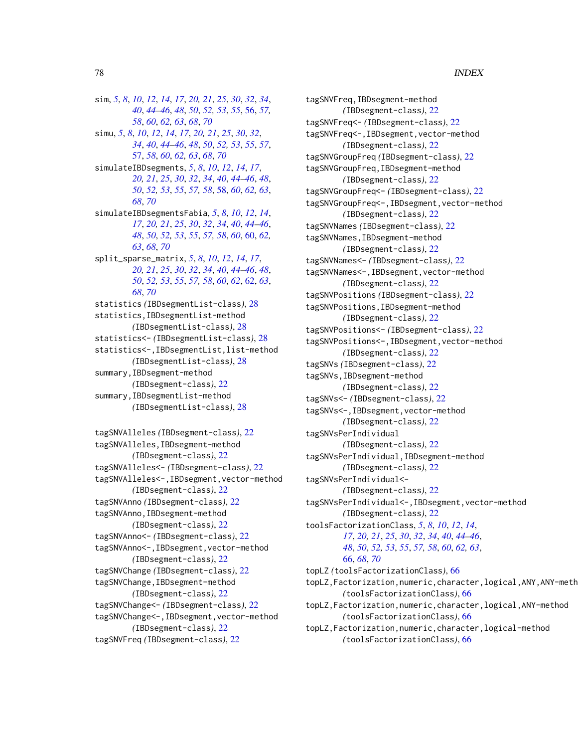sim, 5, 8, 10, 12, 14, 17, 20, 21, 25, 30, 32, 34, 40, 44–46, 48, 50, 52, 53, 55, 56, 57, 58, 60, 62, 63, 68, 70 simu, 5, 8, 10, 12, 14, 17, 20, 21, 25, 30, 32, 34, 40, 44–46, 48, 50, 52, 53, 55, 57, 57, 58, 60, 62, 63, 68, 70 simulateIBDsegments, 5, 8, 10, 12, 14, 17, 20, 21, 25, 30, 32, 34, 40, 44–46, 48, 50, 52, 53, 55, 57, 58, 58, 60, 62, 63, 68,70 simulateIBDsegmentsFabia, 5, 8, 10, 12, 14, 17, 20, 21, 25, 30, 32, 34, 40, 44-46, 48, 50, 52, 53, 55, 57, 58, 60, 60, 62, 63, 68, 70 split\_sparse\_matrix, 5, 8, 10, 12, 14, 17, 20, 21, 25, 30, 32, 34, 40, 44-46, 48, 50, 52, 53, 55, 57, 58, 60, 62, 62, 63, 68,70 statistics (IBDsegmentList-class), 28 statistics, IBDsegmentList-method (IBDsegmentList-class), 28 statistics<- (IBDsegmentList-class), 28 statistics<-, IBDsegmentList, list-method (IBDsegmentList-class), 28 summary, IBDsegment-method (IBDsegment-class), 22 summary, IBDsegmentList-method (IBDsegmentList-class), 28 tagSNVAlleles (IBDsegment-class), 22

tagSNVAlleles, IBDsegment-method (IBDsegment-class), 22 tagSNVAlleles<- (IBDsegment-class), 22 tagSNVAlleles<-, IBDsegment, vector-method (IBDsegment-class), 22 tagSNVAnno (IBDsegment-class), 22 tagSNVAnno, IBDsegment-method (IBDsegment-class), 22 tagSNVAnno<- (IBDsegment-class), 22 tagSNVAnno<-, IBDsegment, vector-method (IBDsegment-class), 22 tagSNVChange (IBDsegment-class), 22 tagSNVChange, IBDsegment-method (IBDsegment-class), 22 tagSNVChange<- (IBDsegment-class), 22 tagSNVChange<-, IBDsegment, vector-method (IBDsegment-class), 22 tagSNVFreq (IBDsegment-class), 22

tagSNVFreq, IBDsegment-method (IBD segment-class), 22 tagSNVFreq<- (IBDsegment-class), 22 tagSNVFreq<-, IBDsegment, vector-method (IBDsegment-class), 22 tagSNVGroupFreq (IBDsegment-class), 22 tagSNVGroupFreq, IBDsegment-method (IBDsegment-class), 22 tagSNVGroupFreq<- (IBDsegment-class), 22 tagSNVGroupFreq<-, IBDsegment, vector-method (IBDsegment-class), 22 tagSNVNames (IBDsegment-class), 22 tagSNVNames, IBDsegment-method (IBDsegment-class), 22 tagSNVNames<- (IBDsegment-class), 22 tagSNVNames<-, IBDsegment, vector-method (IBDsegment-class), 22 tagSNVPositions (IBDsegment-class), 22 tagSNVPositions, IBDsegment-method (IBDsegment-class), 22 tagSNVPositions<- (IBDsegment-class), 22 tagSNVPositions<-, IBDsegment, vector-method (IBDsegment-class), 22 tagSNVs (IBDsegment-class), 22 tagSNVs, IBDsegment-method (IBDsegment-class), 22 tagSNVs<- (IBDsegment-class), 22 tagSNVs<-, IBDsegment, vector-method (IBDsegment-class), 22 tagSNVsPerIndividual (IBDsegment-class), 22 tagSNVsPerIndividual, IBDsegment-method (IBDsegment-class), 22 tagSNVsPerIndividual<- $(IBDsegment - class), 22$ tagSNVsPerIndividual<-, IBDsegment, vector-method (IBDsegment-class), 22 toolsFactorizationClass, 5, 8, 10, 12, 14, 17, 20, 21, 25, 30, 32, 34, 40, 44–46, 48, 50, 52, 53, 55, 57, 58, 60, 62, 63, 66, 68, 70 topLZ (toolsFactorizationClass), 66 topLZ, Factorization, numeric, character, logical, ANY, ANY-meth (toolsFactorizationClass), 66 topLZ, Factorization, numeric, character, logical, ANY-method (toolsFactorizationClass), 66 topLZ, Factorization, numeric, character, logical-method (toolsFactorizationClass), 66